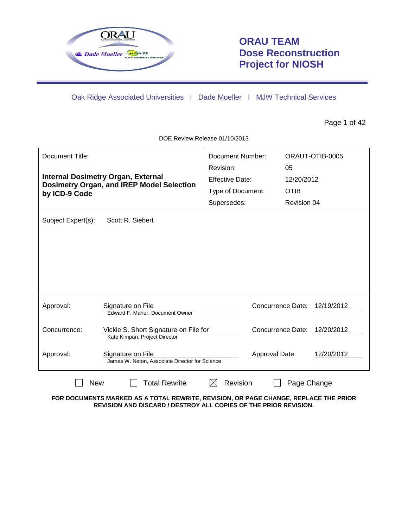

# **ORAU TEAM Dose Reconstruction Project for NIOSH**

Oak Ridge Associated Universities I Dade Moeller I MJW Technical Services

Page 1 of 42

DOE Review Release 01/10/2013

| Document Title:<br><b>Internal Dosimetry Organ, External</b><br><b>Dosimetry Organ, and IREP Model Selection</b><br>by ICD-9 Code |                                                                        | <b>Document Number:</b><br>Revision:<br><b>Effective Date:</b><br>Type of Document:<br>Supersedes: | ORAUT-OTIB-0005<br>05<br>12/20/2012<br><b>OTIB</b><br>Revision 04 |            |
|-----------------------------------------------------------------------------------------------------------------------------------|------------------------------------------------------------------------|----------------------------------------------------------------------------------------------------|-------------------------------------------------------------------|------------|
| Subject Expert(s):                                                                                                                | Scott R. Siebert                                                       |                                                                                                    |                                                                   |            |
| Approval:                                                                                                                         | Signature on File<br>Edward F. Maher, Document Owner                   |                                                                                                    | <b>Concurrence Date:</b>                                          | 12/19/2012 |
| Concurrence:                                                                                                                      | Vickie S. Short Signature on File for<br>Kate Kimpan, Project Director |                                                                                                    | Concurrence Date:                                                 | 12/20/2012 |
| Approval:                                                                                                                         | Signature on File<br>James W. Neton, Associate Director for Science    |                                                                                                    | Approval Date:                                                    | 12/20/2012 |
| <b>New</b>                                                                                                                        | <b>Total Rewrite</b>                                                   | Revision                                                                                           | Page Change                                                       |            |

**FOR DOCUMENTS MARKED AS A TOTAL REWRITE, REVISION, OR PAGE CHANGE, REPLACE THE PRIOR REVISION AND DISCARD / DESTROY ALL COPIES OF THE PRIOR REVISION.**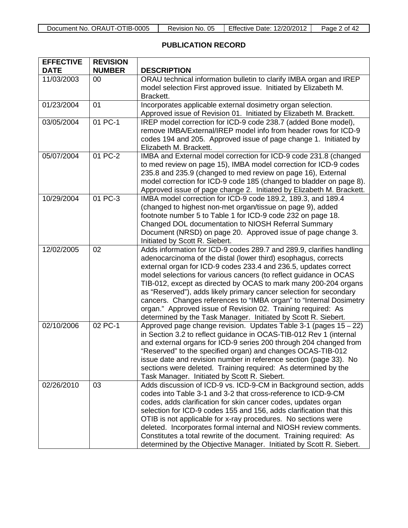| `TIB-∟<br>0005<br>JT<br>ORAU<br>Document<br>`No.<br>. | 05<br><b>No</b><br>Revision | Effective<br>12/20/201<br>Jate | Ωt<br>Page<br>Δ |
|-------------------------------------------------------|-----------------------------|--------------------------------|-----------------|

# **PUBLICATION RECORD**

| <b>EFFECTIVE</b><br><b>DATE</b> | <b>REVISION</b><br><b>NUMBER</b> | <b>DESCRIPTION</b>                                                                                                                                                                                                                                                                                                                                                                                                                                                                                                                                                                                                              |
|---------------------------------|----------------------------------|---------------------------------------------------------------------------------------------------------------------------------------------------------------------------------------------------------------------------------------------------------------------------------------------------------------------------------------------------------------------------------------------------------------------------------------------------------------------------------------------------------------------------------------------------------------------------------------------------------------------------------|
| 11/03/2003                      | 00                               | ORAU technical information bulletin to clarify IMBA organ and IREP<br>model selection First approved issue. Initiated by Elizabeth M.<br>Brackett.                                                                                                                                                                                                                                                                                                                                                                                                                                                                              |
| 01/23/2004                      | 01                               | Incorporates applicable external dosimetry organ selection.<br>Approved issue of Revision 01. Initiated by Elizabeth M. Brackett.                                                                                                                                                                                                                                                                                                                                                                                                                                                                                               |
| 03/05/2004                      | 01 PC-1                          | IREP model correction for ICD-9 code 238.7 (added Bone model),<br>remove IMBA/External/IREP model info from header rows for ICD-9<br>codes 194 and 205. Approved issue of page change 1. Initiated by<br>Elizabeth M. Brackett.                                                                                                                                                                                                                                                                                                                                                                                                 |
| 05/07/2004                      | 01 PC-2                          | IMBA and External model correction for ICD-9 code 231.8 (changed<br>to med review on page 15), IMBA model correction for ICD-9 codes<br>235.8 and 235.9 (changed to med review on page 16), External<br>model correction for ICD-9 code 185 (changed to bladder on page 8).<br>Approved issue of page change 2. Initiated by Elizabeth M. Brackett.                                                                                                                                                                                                                                                                             |
| 10/29/2004                      | 01 PC-3                          | IMBA model correction for ICD-9 code 189.2, 189.3, and 189.4<br>(changed to highest non-met organ/tissue on page 9), added<br>footnote number 5 to Table 1 for ICD-9 code 232 on page 18.<br>Changed DOL documentation to NIOSH Referral Summary<br>Document (NRSD) on page 20. Approved issue of page change 3.<br>Initiated by Scott R. Siebert.                                                                                                                                                                                                                                                                              |
| 12/02/2005                      | 02                               | Adds information for ICD-9 codes 289.7 and 289.9, clarifies handling<br>adenocarcinoma of the distal (lower third) esophagus, corrects<br>external organ for ICD-9 codes 233.4 and 236.5, updates correct<br>model selections for various cancers (to reflect guidance in OCAS<br>TIB-012, except as directed by OCAS to mark many 200-204 organs<br>as "Reserved"), adds likely primary cancer selection for secondary<br>cancers. Changes references to "IMBA organ" to "Internal Dosimetry<br>organ." Approved issue of Revision 02. Training required: As<br>determined by the Task Manager. Initiated by Scott R. Siebert. |
| 02/10/2006                      | 02 PC-1                          | Approved page change revision. Updates Table 3-1 (pages 15 - 22)<br>in Section 3.2 to reflect guidance in OCAS-TIB-012 Rev 1 (internal<br>and external organs for ICD-9 series 200 through 204 changed from<br>"Reserved" to the specified organ) and changes OCAS-TIB-012<br>issue date and revision number in reference section (page 33). No<br>sections were deleted. Training required: As determined by the<br>Task Manager. Initiated by Scott R. Siebert.                                                                                                                                                               |
| 02/26/2010                      | 03                               | Adds discussion of ICD-9 vs. ICD-9-CM in Background section, adds<br>codes into Table 3-1 and 3-2 that cross-reference to ICD-9-CM<br>codes, adds clarification for skin cancer codes, updates organ<br>selection for ICD-9 codes 155 and 156, adds clarification that this<br>OTIB is not applicable for x-ray procedures. No sections were<br>deleted. Incorporates formal internal and NIOSH review comments.<br>Constitutes a total rewrite of the document. Training required: As<br>determined by the Objective Manager. Initiated by Scott R. Siebert.                                                                   |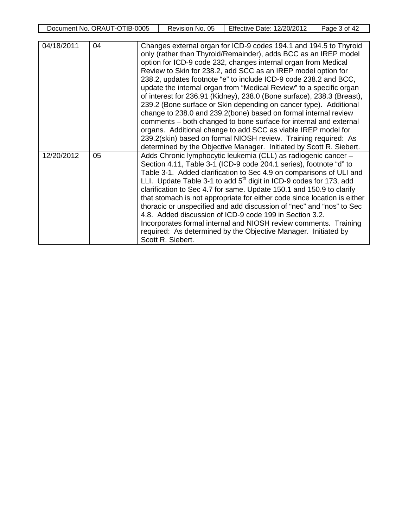| Document No. ORAUT-OTIB-0005 | . 05<br>Revision No. | <b>Effective Date:</b><br>12/20/2012 | ั of 42<br>Page |
|------------------------------|----------------------|--------------------------------------|-----------------|
|                              |                      |                                      |                 |

| 04/18/2011 | 04 | Changes external organ for ICD-9 codes 194.1 and 194.5 to Thyroid<br>only (rather than Thyroid/Remainder), adds BCC as an IREP model<br>option for ICD-9 code 232, changes internal organ from Medical<br>Review to Skin for 238.2, add SCC as an IREP model option for<br>238.2, updates footnote "e" to include ICD-9 code 238.2 and BCC,<br>update the internal organ from "Medical Review" to a specific organ<br>of interest for 236.91 (Kidney), 238.0 (Bone surface), 238.3 (Breast),<br>239.2 (Bone surface or Skin depending on cancer type). Additional<br>change to 238.0 and 239.2(bone) based on formal internal review<br>comments – both changed to bone surface for internal and external<br>organs. Additional change to add SCC as viable IREP model for<br>239.2(skin) based on formal NIOSH review. Training required: As |
|------------|----|-----------------------------------------------------------------------------------------------------------------------------------------------------------------------------------------------------------------------------------------------------------------------------------------------------------------------------------------------------------------------------------------------------------------------------------------------------------------------------------------------------------------------------------------------------------------------------------------------------------------------------------------------------------------------------------------------------------------------------------------------------------------------------------------------------------------------------------------------|
| 12/20/2012 | 05 | determined by the Objective Manager. Initiated by Scott R. Siebert.<br>Adds Chronic lymphocytic leukemia (CLL) as radiogenic cancer -<br>Section 4.11, Table 3-1 (ICD-9 code 204.1 series), footnote "d" to<br>Table 3-1. Added clarification to Sec 4.9 on comparisons of ULI and<br>LLI. Update Table 3-1 to add $5th$ digit in ICD-9 codes for 173, add<br>clarification to Sec 4.7 for same. Update 150.1 and 150.9 to clarify<br>that stomach is not appropriate for either code since location is either<br>thoracic or unspecified and add discussion of "nec" and "nos" to Sec<br>4.8. Added discussion of ICD-9 code 199 in Section 3.2.<br>Incorporates formal internal and NIOSH review comments. Training<br>required: As determined by the Objective Manager. Initiated by<br>Scott R. Siebert.                                  |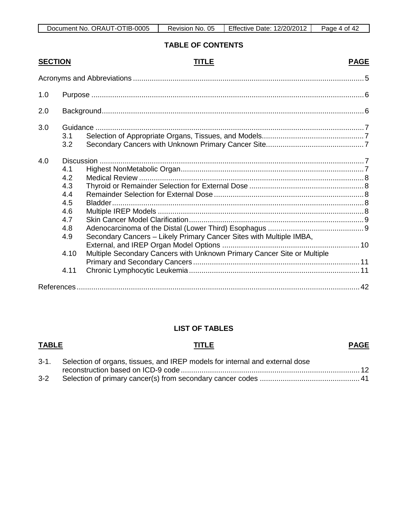| ORAUT-OTIB-0005<br>Document No. | -05<br>No.<br>Revision, | <b>Effective Date:</b><br>12/20/2012 | 42<br>Page<br>οt |
|---------------------------------|-------------------------|--------------------------------------|------------------|

# **TABLE OF CONTENTS**

| <b>SECTION</b> |      | TITLE                                                                   | <b>PAGE</b> |
|----------------|------|-------------------------------------------------------------------------|-------------|
|                |      |                                                                         |             |
| 1.0            |      |                                                                         |             |
| 2.0            |      |                                                                         |             |
| 3.0            |      |                                                                         |             |
|                | 3.1  |                                                                         |             |
|                | 3.2  |                                                                         |             |
| 4.0            |      |                                                                         |             |
|                | 4.1  |                                                                         |             |
|                | 4.2  |                                                                         |             |
|                | 4.3  |                                                                         |             |
|                | 4.4  |                                                                         |             |
|                | 4.5  |                                                                         |             |
|                | 4.6  |                                                                         |             |
|                | 4.7  |                                                                         |             |
|                | 4.8  |                                                                         |             |
|                | 4.9  | Secondary Cancers - Likely Primary Cancer Sites with Multiple IMBA,     |             |
|                |      |                                                                         |             |
|                | 4.10 | Multiple Secondary Cancers with Unknown Primary Cancer Site or Multiple |             |
|                |      |                                                                         |             |
|                | 4.11 |                                                                         |             |
|                |      |                                                                         |             |

# **LIST OF TABLES**

### **TABLE TITLE PAGE**

|     | 3-1. Selection of organs, tissues, and IREP models for internal and external dose |  |
|-----|-----------------------------------------------------------------------------------|--|
|     |                                                                                   |  |
| 3-2 |                                                                                   |  |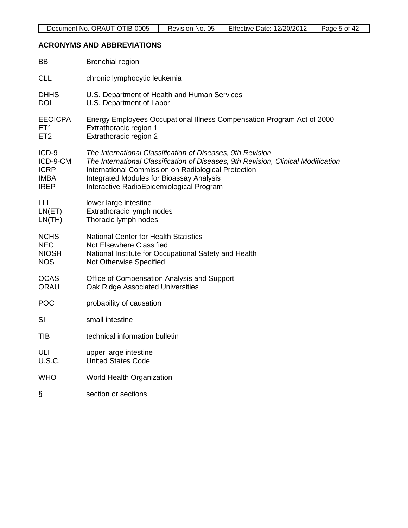# **ACRONYMS AND ABBREVIATIONS**

| BB              | <b>Bronchial region</b>                                                           |
|-----------------|-----------------------------------------------------------------------------------|
| <b>CLL</b>      | chronic lymphocytic leukemia                                                      |
| <b>DHHS</b>     | U.S. Department of Health and Human Services                                      |
| <b>DOL</b>      | U.S. Department of Labor                                                          |
| <b>EEOICPA</b>  | Energy Employees Occupational Illness Compensation Program Act of 2000            |
| ET <sub>1</sub> | Extrathoracic region 1                                                            |
| ET <sub>2</sub> | Extrathoracic region 2                                                            |
| ICD-9           | The International Classification of Diseases, 9th Revision                        |
| ICD-9-CM        | The International Classification of Diseases, 9th Revision, Clinical Modification |
| <b>ICRP</b>     | International Commission on Radiological Protection                               |
| <b>IMBA</b>     | <b>Integrated Modules for Bioassay Analysis</b>                                   |
| <b>IREP</b>     | Interactive RadioEpidemiological Program                                          |
| LLI             | lower large intestine                                                             |
| LN(ET)          | Extrathoracic lymph nodes                                                         |
| LN(TH)          | Thoracic lymph nodes                                                              |
| <b>NCHS</b>     | <b>National Center for Health Statistics</b>                                      |
| <b>NEC</b>      | <b>Not Elsewhere Classified</b>                                                   |
| <b>NIOSH</b>    | National Institute for Occupational Safety and Health                             |
| <b>NOS</b>      | Not Otherwise Specified                                                           |
| <b>OCAS</b>     | Office of Compensation Analysis and Support                                       |
| <b>ORAU</b>     | Oak Ridge Associated Universities                                                 |
| <b>POC</b>      | probability of causation                                                          |
| SI              | small intestine                                                                   |
| <b>TIB</b>      | technical information bulletin                                                    |
| ULI             | upper large intestine                                                             |
| <b>U.S.C.</b>   | <b>United States Code</b>                                                         |
| <b>WHO</b>      | <b>World Health Organization</b>                                                  |
| §               | section or sections                                                               |

 $\begin{array}{c} \hline \end{array}$ 

 $\mathbf{I}$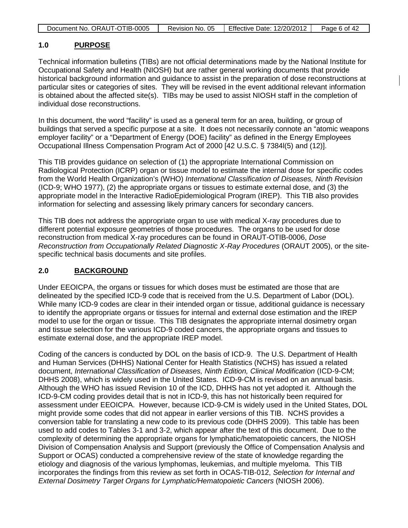| Document No. ORAUT-OTIB-0005 | Revision No. 05 | Effective Date: 12/20/2012 | Page 6 of 42 |
|------------------------------|-----------------|----------------------------|--------------|

#### **1.0 PURPOSE**

Technical information bulletins (TIBs) are not official determinations made by the National Institute for Occupational Safety and Health (NIOSH) but are rather general working documents that provide historical background information and guidance to assist in the preparation of dose reconstructions at particular sites or categories of sites. They will be revised in the event additional relevant information is obtained about the affected site(s). TIBs may be used to assist NIOSH staff in the completion of individual dose reconstructions.

In this document, the word "facility" is used as a general term for an area, building, or group of buildings that served a specific purpose at a site. It does not necessarily connote an "atomic weapons employer facility" or a "Department of Energy (DOE) facility" as defined in the Energy Employees Occupational Illness Compensation Program Act of 2000 [42 U.S.C. § 7384l(5) and (12)].

This TIB provides guidance on selection of (1) the appropriate International Commission on Radiological Protection (ICRP) organ or tissue model to estimate the internal dose for specific codes from the World Health Organization's (WHO) *International Classification of Diseases, Ninth Revision* (ICD-9; WHO 1977), (2) the appropriate organs or tissues to estimate external dose, and (3) the appropriate model in the Interactive RadioEpidemiological Program (IREP). This TIB also provides information for selecting and assessing likely primary cancers for secondary cancers.

This TIB does not address the appropriate organ to use with medical X-ray procedures due to different potential exposure geometries of those procedures. The organs to be used for dose reconstruction from medical X-ray procedures can be found in ORAUT-OTIB-0006, *Dose Reconstruction from Occupationally Related Diagnostic X-Ray Procedures* (ORAUT 2005), or the sitespecific technical basis documents and site profiles.

#### **2.0 BACKGROUND**

Under EEOICPA, the organs or tissues for which doses must be estimated are those that are delineated by the specified ICD-9 code that is received from the U.S. Department of Labor (DOL). While many ICD-9 codes are clear in their intended organ or tissue, additional guidance is necessary to identify the appropriate organs or tissues for internal and external dose estimation and the IREP model to use for the organ or tissue. This TIB designates the appropriate internal dosimetry organ and tissue selection for the various ICD-9 coded cancers, the appropriate organs and tissues to estimate external dose, and the appropriate IREP model.

Coding of the cancers is conducted by DOL on the basis of ICD-9. The U.S. Department of Health and Human Services (DHHS) National Center for Health Statistics (NCHS) has issued a related document, *International Classification of Diseases, Ninth Edition, Clinical Modification* (ICD-9-CM; DHHS 2008), which is widely used in the United States. ICD-9-CM is revised on an annual basis. Although the WHO has issued Revision 10 of the ICD, DHHS has not yet adopted it. Although the ICD-9-CM coding provides detail that is not in ICD-9, this has not historically been required for assessment under EEOICPA. However, because ICD-9-CM is widely used in the United States, DOL might provide some codes that did not appear in earlier versions of this TIB. NCHS provides a conversion table for translating a new code to its previous code (DHHS 2009). This table has been used to add codes to Tables 3-1 and 3-2, which appear after the text of this document. Due to the complexity of determining the appropriate organs for lymphatic/hematopoietic cancers, the NIOSH Division of Compensation Analysis and Support (previously the Office of Compensation Analysis and Support or OCAS) conducted a comprehensive review of the state of knowledge regarding the etiology and diagnosis of the various lymphomas, leukemias, and multiple myeloma. This TIB incorporates the findings from this review as set forth in OCAS-TIB-012, *Selection for Internal and External Dosimetry Target Organs for Lymphatic/Hematopoietic Cancers* (NIOSH 2006).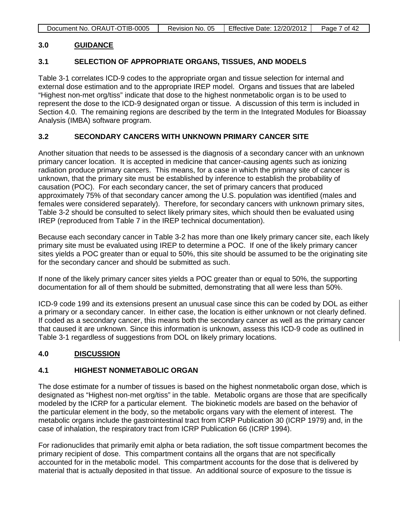| Document No. ORAUT-OTIB-0005 | Revision No. 05 | <b>Effective Date: 12/20/2012</b> | Page 7 of 42 |
|------------------------------|-----------------|-----------------------------------|--------------|

#### **3.0 GUIDANCE**

#### **3.1 SELECTION OF APPROPRIATE ORGANS, TISSUES, AND MODELS**

Table 3-1 correlates ICD-9 codes to the appropriate organ and tissue selection for internal and external dose estimation and to the appropriate IREP model. Organs and tissues that are labeled "Highest non-met org/tiss" indicate that dose to the highest nonmetabolic organ is to be used to represent the dose to the ICD-9 designated organ or tissue. A discussion of this term is included in Section 4.0. The remaining regions are described by the term in the Integrated Modules for Bioassay Analysis (IMBA) software program.

#### **3.2 SECONDARY CANCERS WITH UNKNOWN PRIMARY CANCER SITE**

Another situation that needs to be assessed is the diagnosis of a secondary cancer with an unknown primary cancer location. It is accepted in medicine that cancer-causing agents such as ionizing radiation produce primary cancers. This means, for a case in which the primary site of cancer is unknown, that the primary site must be established by inference to establish the probability of causation (POC). For each secondary cancer, the set of primary cancers that produced approximately 75% of that secondary cancer among the U.S. population was identified (males and females were considered separately). Therefore, for secondary cancers with unknown primary sites, Table 3-2 should be consulted to select likely primary sites, which should then be evaluated using IREP (reproduced from Table 7 in the IREP technical documentation).

Because each secondary cancer in Table 3-2 has more than one likely primary cancer site, each likely primary site must be evaluated using IREP to determine a POC. If one of the likely primary cancer sites yields a POC greater than or equal to 50%, this site should be assumed to be the originating site for the secondary cancer and should be submitted as such.

If none of the likely primary cancer sites yields a POC greater than or equal to 50%, the supporting documentation for all of them should be submitted, demonstrating that all were less than 50%.

ICD-9 code 199 and its extensions present an unusual case since this can be coded by DOL as either a primary or a secondary cancer. In either case, the location is either unknown or not clearly defined. If coded as a secondary cancer, this means both the secondary cancer as well as the primary cancer that caused it are unknown. Since this information is unknown, assess this ICD-9 code as outlined in Table 3-1 regardless of suggestions from DOL on likely primary locations.

#### **4.0 DISCUSSION**

#### **4.1 HIGHEST NONMETABOLIC ORGAN**

The dose estimate for a number of tissues is based on the highest nonmetabolic organ dose, which is designated as "Highest non-met org/tiss" in the table. Metabolic organs are those that are specifically modeled by the ICRP for a particular element. The biokinetic models are based on the behavior of the particular element in the body, so the metabolic organs vary with the element of interest. The metabolic organs include the gastrointestinal tract from ICRP Publication 30 (ICRP 1979) and, in the case of inhalation, the respiratory tract from ICRP Publication 66 (ICRP 1994).

For radionuclides that primarily emit alpha or beta radiation, the soft tissue compartment becomes the primary recipient of dose. This compartment contains all the organs that are not specifically accounted for in the metabolic model. This compartment accounts for the dose that is delivered by material that is actually deposited in that tissue. An additional source of exposure to the tissue is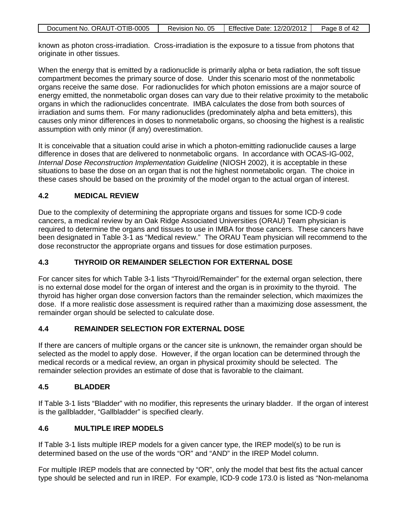| Document No. ORAUT-OTIB-0005 | Revision No. 05 | Effective Date: 12/20/2012 | Page 8 of 42 |
|------------------------------|-----------------|----------------------------|--------------|

known as photon cross-irradiation. Cross-irradiation is the exposure to a tissue from photons that originate in other tissues.

When the energy that is emitted by a radionuclide is primarily alpha or beta radiation, the soft tissue compartment becomes the primary source of dose. Under this scenario most of the nonmetabolic organs receive the same dose. For radionuclides for which photon emissions are a major source of energy emitted, the nonmetabolic organ doses can vary due to their relative proximity to the metabolic organs in which the radionuclides concentrate. IMBA calculates the dose from both sources of irradiation and sums them. For many radionuclides (predominately alpha and beta emitters), this causes only minor differences in doses to nonmetabolic organs, so choosing the highest is a realistic assumption with only minor (if any) overestimation.

It is conceivable that a situation could arise in which a photon-emitting radionuclide causes a large difference in doses that are delivered to nonmetabolic organs. In accordance with OCAS-IG-002, *Internal Dose Reconstruction Implementation Guideline* (NIOSH 2002), it is acceptable in these situations to base the dose on an organ that is not the highest nonmetabolic organ. The choice in these cases should be based on the proximity of the model organ to the actual organ of interest.

#### **4.2 MEDICAL REVIEW**

Due to the complexity of determining the appropriate organs and tissues for some ICD-9 code cancers, a medical review by an Oak Ridge Associated Universities (ORAU) Team physician is required to determine the organs and tissues to use in IMBA for those cancers. These cancers have been designated in Table 3-1 as "Medical review." The ORAU Team physician will recommend to the dose reconstructor the appropriate organs and tissues for dose estimation purposes.

### **4.3 THYROID OR REMAINDER SELECTION FOR EXTERNAL DOSE**

For cancer sites for which Table 3-1 lists "Thyroid/Remainder" for the external organ selection, there is no external dose model for the organ of interest and the organ is in proximity to the thyroid. The thyroid has higher organ dose conversion factors than the remainder selection, which maximizes the dose. If a more realistic dose assessment is required rather than a maximizing dose assessment, the remainder organ should be selected to calculate dose.

#### **4.4 REMAINDER SELECTION FOR EXTERNAL DOSE**

If there are cancers of multiple organs or the cancer site is unknown, the remainder organ should be selected as the model to apply dose. However, if the organ location can be determined through the medical records or a medical review, an organ in physical proximity should be selected. The remainder selection provides an estimate of dose that is favorable to the claimant.

#### **4.5 BLADDER**

If Table 3-1 lists "Bladder" with no modifier, this represents the urinary bladder. If the organ of interest is the gallbladder, "Gallbladder" is specified clearly.

#### **4.6 MULTIPLE IREP MODELS**

If Table 3-1 lists multiple IREP models for a given cancer type, the IREP model(s) to be run is determined based on the use of the words "OR" and "AND" in the IREP Model column.

For multiple IREP models that are connected by "OR", only the model that best fits the actual cancer type should be selected and run in IREP. For example, ICD-9 code 173.0 is listed as "Non-melanoma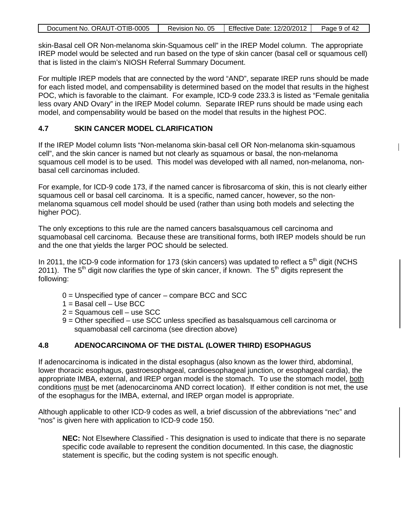| Document No. ORAUT-OTIB-0005 | Revision No. 05 | <b>Effective Date: 12/20/2012</b> | Page 9 of 42 |
|------------------------------|-----------------|-----------------------------------|--------------|
|                              |                 |                                   |              |

skin-Basal cell OR Non-melanoma skin-Squamous cell" in the IREP Model column. The appropriate IREP model would be selected and run based on the type of skin cancer (basal cell or squamous cell) that is listed in the claim's NIOSH Referral Summary Document.

For multiple IREP models that are connected by the word "AND", separate IREP runs should be made for each listed model, and compensability is determined based on the model that results in the highest POC, which is favorable to the claimant. For example, ICD-9 code 233.3 is listed as "Female genitalia less ovary AND Ovary" in the IREP Model column. Separate IREP runs should be made using each model, and compensability would be based on the model that results in the highest POC.

### **4.7 SKIN CANCER MODEL CLARIFICATION**

If the IREP Model column lists "Non-melanoma skin-basal cell OR Non-melanoma skin-squamous cell", and the skin cancer is named but not clearly as squamous or basal, the non-melanoma squamous cell model is to be used. This model was developed with all named, non-melanoma, nonbasal cell carcinomas included.

 $\mathsf{I}$ 

For example, for ICD-9 code 173, if the named cancer is fibrosarcoma of skin, this is not clearly either squamous cell or basal cell carcinoma. It is a specific, named cancer, however, so the nonmelanoma squamous cell model should be used (rather than using both models and selecting the higher POC).

The only exceptions to this rule are the named cancers basalsquamous cell carcinoma and squamobasal cell carcinoma. Because these are transitional forms, both IREP models should be run and the one that yields the larger POC should be selected.

In 2011, the ICD-9 code information for 173 (skin cancers) was updated to reflect a  $5<sup>th</sup>$  digit (NCHS 2011). The  $5<sup>th</sup>$  digit now clarifies the type of skin cancer, if known. The  $5<sup>th</sup>$  digits represent the following:

- 0 = Unspecified type of cancer compare BCC and SCC
- 1 = Basal cell Use BCC
- 2 = Squamous cell use SCC
- 9 = Other specified use SCC unless specified as basalsquamous cell carcinoma or squamobasal cell carcinoma (see direction above)

## **4.8 ADENOCARCINOMA OF THE DISTAL (LOWER THIRD) ESOPHAGUS**

If adenocarcinoma is indicated in the distal esophagus (also known as the lower third, abdominal, lower thoracic esophagus, gastroesophageal, cardioesophageal junction, or esophageal cardia), the appropriate IMBA, external, and IREP organ model is the stomach. To use the stomach model, both conditions must be met (adenocarcinoma AND correct location). If either condition is not met, the use of the esophagus for the IMBA, external, and IREP organ model is appropriate.

Although applicable to other ICD-9 codes as well, a brief discussion of the abbreviations "nec" and "nos" is given here with application to ICD-9 code 150.

**NEC:** Not Elsewhere Classified - This designation is used to indicate that there is no separate specific code available to represent the condition documented. In this case, the diagnostic statement is specific, but the coding system is not specific enough.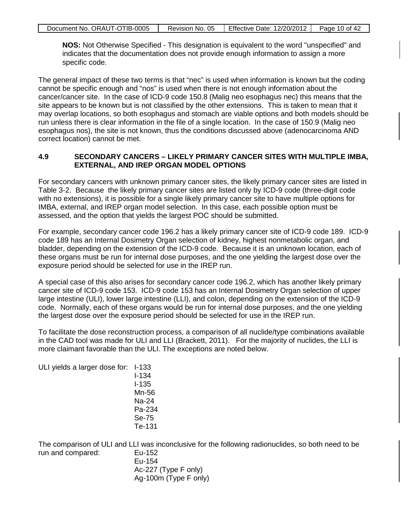| Document No. ORAUT-OTIB-0005 | Revision No. 05 | Effective Date: 12/20/2012 | Page 10 of 42 |
|------------------------------|-----------------|----------------------------|---------------|
|                              |                 |                            |               |

**NOS:** Not Otherwise Specified - This designation is equivalent to the word "unspecified" and indicates that the documentation does not provide enough information to assign a more specific code.

The general impact of these two terms is that "nec" is used when information is known but the coding cannot be specific enough and "nos" is used when there is not enough information about the cancer/cancer site. In the case of ICD-9 code 150.8 (Malig neo esophagus nec) this means that the site appears to be known but is not classified by the other extensions. This is taken to mean that it may overlap locations, so both esophagus and stomach are viable options and both models should be run unless there is clear information in the file of a single location. In the case of 150.9 (Malig neo esophagus nos), the site is not known, thus the conditions discussed above (adenocarcinoma AND correct location) cannot be met.

#### **4.9 SECONDARY CANCERS – LIKELY PRIMARY CANCER SITES WITH MULTIPLE IMBA, EXTERNAL, AND IREP ORGAN MODEL OPTIONS**

For secondary cancers with unknown primary cancer sites, the likely primary cancer sites are listed in Table 3-2. Because the likely primary cancer sites are listed only by ICD-9 code (three-digit code with no extensions), it is possible for a single likely primary cancer site to have multiple options for IMBA, external, and IREP organ model selection. In this case, each possible option must be assessed, and the option that yields the largest POC should be submitted.

For example, secondary cancer code 196.2 has a likely primary cancer site of ICD-9 code 189. ICD-9 code 189 has an Internal Dosimetry Organ selection of kidney, highest nonmetabolic organ, and bladder, depending on the extension of the ICD-9 code. Because it is an unknown location, each of these organs must be run for internal dose purposes, and the one yielding the largest dose over the exposure period should be selected for use in the IREP run.

A special case of this also arises for secondary cancer code 196.2, which has another likely primary cancer site of ICD-9 code 153. ICD-9 code 153 has an Internal Dosimetry Organ selection of upper large intestine (ULI), lower large intestine (LLI), and colon, depending on the extension of the ICD-9 code. Normally, each of these organs would be run for internal dose purposes, and the one yielding the largest dose over the exposure period should be selected for use in the IREP run.

To facilitate the dose reconstruction process, a comparison of all nuclide/type combinations available in the CAD tool was made for ULI and LLI (Brackett, 2011). For the majority of nuclides, the LLI is more claimant favorable than the ULI. The exceptions are noted below.

| ULI yields a larger dose for: I-133 |           |
|-------------------------------------|-----------|
|                                     | $I - 134$ |
|                                     | l-135     |
|                                     | Mn-56     |
|                                     | Na-24     |
|                                     | Pa-234    |
|                                     | Se-75     |
|                                     | Te-131    |
|                                     |           |

The comparison of ULI and LLI was inconclusive for the following radionuclides, so both need to be run and compared: Eu-152 Eu-154

Ac-227 (Type F only) Ag-100m (Type F only)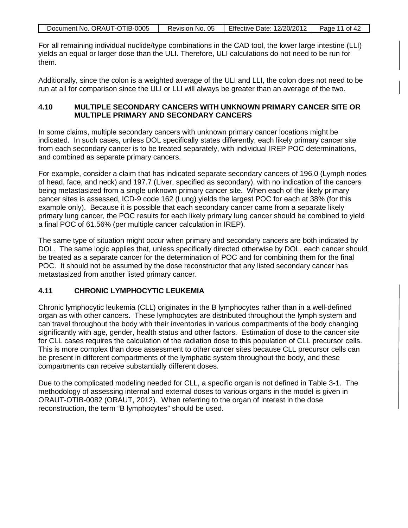| Document No. ORAUT-OTIB-0005 | Revision No. 05 | <b>Effective Date: 12/20/2012</b> | Page 11 of 42 |
|------------------------------|-----------------|-----------------------------------|---------------|
|                              |                 |                                   |               |

For all remaining individual nuclide/type combinations in the CAD tool, the lower large intestine (LLI) yields an equal or larger dose than the ULI. Therefore, ULI calculations do not need to be run for them.

Additionally, since the colon is a weighted average of the ULI and LLI, the colon does not need to be run at all for comparison since the ULI or LLI will always be greater than an average of the two.

#### **4.10 MULTIPLE SECONDARY CANCERS WITH UNKNOWN PRIMARY CANCER SITE OR MULTIPLE PRIMARY AND SECONDARY CANCERS**

In some claims, multiple secondary cancers with unknown primary cancer locations might be indicated. In such cases, unless DOL specifically states differently, each likely primary cancer site from each secondary cancer is to be treated separately, with individual IREP POC determinations, and combined as separate primary cancers.

For example, consider a claim that has indicated separate secondary cancers of 196.0 (Lymph nodes of head, face, and neck) and 197.7 (Liver, specified as secondary), with no indication of the cancers being metastasized from a single unknown primary cancer site. When each of the likely primary cancer sites is assessed, ICD-9 code 162 (Lung) yields the largest POC for each at 38% (for this example only). Because it is possible that each secondary cancer came from a separate likely primary lung cancer, the POC results for each likely primary lung cancer should be combined to yield a final POC of 61.56% (per multiple cancer calculation in IREP).

The same type of situation might occur when primary and secondary cancers are both indicated by DOL. The same logic applies that, unless specifically directed otherwise by DOL, each cancer should be treated as a separate cancer for the determination of POC and for combining them for the final POC. It should not be assumed by the dose reconstructor that any listed secondary cancer has metastasized from another listed primary cancer.

#### **4.11 CHRONIC LYMPHOCYTIC LEUKEMIA**

Chronic lymphocytic leukemia (CLL) originates in the B lymphocytes rather than in a well-defined organ as with other cancers. These lymphocytes are distributed throughout the lymph system and can travel throughout the body with their inventories in various compartments of the body changing significantly with age, gender, health status and other factors. Estimation of dose to the cancer site for CLL cases requires the calculation of the radiation dose to this population of CLL precursor cells. This is more complex than dose assessment to other cancer sites because CLL precursor cells can be present in different compartments of the lymphatic system throughout the body, and these compartments can receive substantially different doses.

Due to the complicated modeling needed for CLL, a specific organ is not defined in Table 3-1. The methodology of assessing internal and external doses to various organs in the model is given in ORAUT-OTIB-0082 (ORAUT, 2012). When referring to the organ of interest in the dose reconstruction, the term "B lymphocytes" should be used.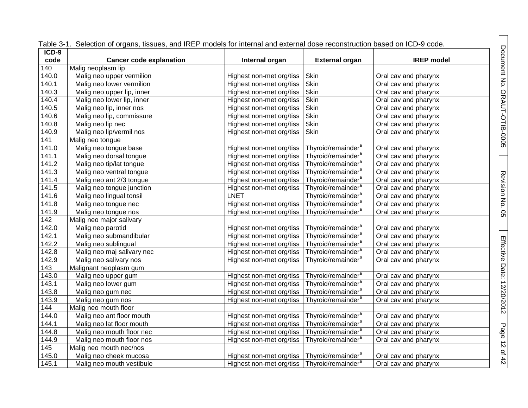| $ICD-9$ | rabio o T. Ociochorroi organo, hoodoo, and mei Thodoio for internal and external dood reconstruction based on food o code. |                                                           |                                |                      |
|---------|----------------------------------------------------------------------------------------------------------------------------|-----------------------------------------------------------|--------------------------------|----------------------|
| code    | <b>Cancer code explanation</b>                                                                                             | Internal organ                                            | <b>External organ</b>          | <b>IREP</b> model    |
| 140     | Malig neoplasm lip                                                                                                         |                                                           |                                |                      |
| 140.0   | Malig neo upper vermilion                                                                                                  | Highest non-met org/tiss                                  | Skin                           | Oral cav and pharynx |
| 140.1   | Malig neo lower vermilion                                                                                                  | Highest non-met org/tiss                                  | Skin                           | Oral cav and pharynx |
| 140.3   | Malig neo upper lip, inner                                                                                                 | Highest non-met org/tiss                                  | Skin                           | Oral cav and pharynx |
| 140.4   | Malig neo lower lip, inner                                                                                                 | Highest non-met org/tiss                                  | Skin                           | Oral cav and pharynx |
| 140.5   | Malig neo lip, inner nos                                                                                                   | Highest non-met org/tiss                                  | Skin                           | Oral cav and pharynx |
| 140.6   | Malig neo lip, commissure                                                                                                  | Highest non-met org/tiss                                  | Skin                           | Oral cav and pharynx |
| 140.8   | Malig neo lip nec                                                                                                          | Highest non-met org/tiss                                  | Skin                           | Oral cav and pharynx |
| 140.9   | Malig neo lip/vermil nos                                                                                                   | Highest non-met org/tiss                                  | Skin                           | Oral cav and pharynx |
| 141     | Malig neo tongue                                                                                                           |                                                           |                                |                      |
| 141.0   | Malig neo tongue base                                                                                                      | Highest non-met org/tiss   Thyroid/remainder <sup>a</sup> |                                | Oral cav and pharynx |
| 141.1   | Malig neo dorsal tongue                                                                                                    | Highest non-met org/tiss   Thyroid/remainder <sup>a</sup> |                                | Oral cav and pharynx |
| 141.2   | Malig neo tip/lat tongue                                                                                                   | Highest non-met org/tiss                                  | Thyroid/remainder <sup>a</sup> | Oral cav and pharynx |
| 141.3   | Malig neo ventral tongue                                                                                                   | Highest non-met org/tiss                                  | Thyroid/remainder <sup>a</sup> | Oral cav and pharynx |
| 141.4   | Malig neo ant 2/3 tongue                                                                                                   | Highest non-met org/tiss   Thyroid/remainder <sup>a</sup> |                                | Oral cav and pharynx |
| 141.5   | Malig neo tongue junction                                                                                                  | Highest non-met org/tiss   Thyroid/remainder <sup>a</sup> |                                | Oral cav and pharynx |
| 141.6   | Malig neo lingual tonsil                                                                                                   | <b>LNET</b>                                               | Thyroid/remainder <sup>a</sup> | Oral cav and pharynx |
| 141.8   | Malig neo tongue nec                                                                                                       | Highest non-met org/tiss   Thyroid/remainder <sup>a</sup> |                                | Oral cav and pharynx |
| 141.9   | Malig neo tongue nos                                                                                                       | Highest non-met org/tiss   Thyroid/remainder <sup>a</sup> |                                | Oral cav and pharynx |
| 142     | Malig neo major salivary                                                                                                   |                                                           |                                |                      |
| 142.0   | Malig neo parotid                                                                                                          | Highest non-met org/tiss   Thyroid/remainder <sup>a</sup> |                                | Oral cav and pharynx |
| 142.1   | Malig neo submandibular                                                                                                    | Highest non-met org/tiss   Thyroid/remainder <sup>a</sup> |                                | Oral cav and pharynx |
| 142.2   | Malig neo sublingual                                                                                                       | Highest non-met org/tiss   Thyroid/remainder <sup>a</sup> |                                | Oral cav and pharynx |
| 142.8   | Malig neo maj salivary nec                                                                                                 | Highest non-met org/tiss   Thyroid/remainder <sup>a</sup> |                                | Oral cav and pharynx |
| 142.9   | Malig neo salivary nos                                                                                                     | Highest non-met org/tiss   Thyroid/remainder <sup>a</sup> |                                | Oral cav and pharynx |
| 143     | Malignant neoplasm gum                                                                                                     |                                                           |                                |                      |
| 143.0   | Malig neo upper gum                                                                                                        | Highest non-met org/tiss   Thyroid/remainder <sup>a</sup> |                                | Oral cav and pharynx |
| 143.1   | Malig neo lower gum                                                                                                        | Highest non-met org/tiss   Thyroid/remainder <sup>a</sup> |                                | Oral cav and pharynx |
| 143.8   | Malig neo gum nec                                                                                                          | Highest non-met org/tiss   Thyroid/remainder <sup>a</sup> |                                | Oral cav and pharynx |
| 143.9   | Malig neo gum nos                                                                                                          | Highest non-met org/tiss   Thyroid/remainder <sup>a</sup> |                                | Oral cav and pharynx |
| 144     | Malig neo mouth floor                                                                                                      |                                                           |                                |                      |
| 144.0   | Malig neo ant floor mouth                                                                                                  | Highest non-met org/tiss   Thyroid/remainder <sup>a</sup> |                                | Oral cav and pharynx |
| 144.1   | Malig neo lat floor mouth                                                                                                  | Highest non-met org/tiss   Thyroid/remainder <sup>a</sup> |                                | Oral cav and pharynx |
| 144.8   | Malig neo mouth floor nec                                                                                                  | Highest non-met org/tiss   Thyroid/remainder <sup>a</sup> |                                | Oral cav and pharynx |
| 144.9   | Malig neo mouth floor nos                                                                                                  | Highest non-met org/tiss   Thyroid/remainder <sup>a</sup> |                                | Oral cav and pharynx |
| 145     | Malig neo mouth nec/nos                                                                                                    |                                                           |                                |                      |
| 145.0   | Malig neo cheek mucosa                                                                                                     | Highest non-met org/tiss   Thyroid/remainder <sup>a</sup> |                                | Oral cav and pharynx |
| 145.1   | Malig neo mouth vestibule                                                                                                  | Highest non-met org/tiss   Thyroid/remainder <sup>a</sup> |                                | Oral cav and pharynx |

Table 3-1. Selection of organs, tissues, and IREP models for internal and external dose reconstruction based on ICD-9 code.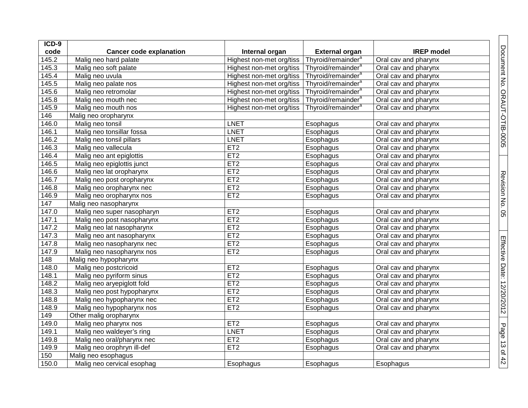| ICD-9 |                                |                          |                                |                      |
|-------|--------------------------------|--------------------------|--------------------------------|----------------------|
| code  | <b>Cancer code explanation</b> | Internal organ           | <b>External organ</b>          | <b>IREP</b> model    |
| 145.2 | Malig neo hard palate          | Highest non-met org/tiss | Thyroid/remainder <sup>a</sup> | Oral cav and pharynx |
| 145.3 | Malig neo soft palate          | Highest non-met org/tiss | Thyroid/remainder <sup>a</sup> | Oral cav and pharynx |
| 145.4 | Malig neo uvula                | Highest non-met org/tiss | Thyroid/remainder <sup>a</sup> | Oral cav and pharynx |
| 145.5 | Malig neo palate nos           | Highest non-met org/tiss | Thyroid/remainder <sup>a</sup> | Oral cav and pharynx |
| 145.6 | Malig neo retromolar           | Highest non-met org/tiss | Thyroid/remainder <sup>a</sup> | Oral cav and pharynx |
| 145.8 | Malig neo mouth nec            | Highest non-met org/tiss | Thyroid/remainder <sup>a</sup> | Oral cav and pharynx |
| 145.9 | Malig neo mouth nos            | Highest non-met org/tiss | Thyroid/remainder <sup>a</sup> | Oral cav and pharynx |
| 146   | Malig neo oropharynx           |                          |                                |                      |
| 146.0 | Malig neo tonsil               | <b>LNET</b>              | Esophagus                      | Oral cav and pharynx |
| 146.1 | Malig neo tonsillar fossa      | <b>LNET</b>              | Esophagus                      | Oral cav and pharynx |
| 146.2 | Malig neo tonsil pillars       | <b>LNET</b>              | Esophagus                      | Oral cav and pharynx |
| 146.3 | Malig neo vallecula            | ET2                      | Esophagus                      | Oral cav and pharynx |
| 146.4 | Malig neo ant epiglottis       | ET <sub>2</sub>          | Esophagus                      | Oral cav and pharynx |
| 146.5 | Malig neo epiglottis junct     | ET <sub>2</sub>          | Esophagus                      | Oral cav and pharynx |
| 146.6 | Malig neo lat oropharynx       | ET <sub>2</sub>          | Esophagus                      | Oral cav and pharynx |
| 146.7 | Malig neo post oropharynx      | ET <sub>2</sub>          | Esophagus                      | Oral cav and pharynx |
| 146.8 | Malig neo oropharynx nec       | ET <sub>2</sub>          | Esophagus                      | Oral cav and pharynx |
| 146.9 | Malig neo oropharynx nos       | ET2                      | Esophagus                      | Oral cav and pharynx |
| 147   | Malig neo nasopharynx          |                          |                                |                      |
| 147.0 | Malig neo super nasopharyn     | ET <sub>2</sub>          | Esophagus                      | Oral cav and pharynx |
| 147.1 | Malig neo post nasopharynx     | ET2                      | Esophagus                      | Oral cav and pharynx |
| 147.2 | Malig neo lat nasopharynx      | ET <sub>2</sub>          | Esophagus                      | Oral cav and pharynx |
| 147.3 | Malig neo ant nasopharynx      | ET <sub>2</sub>          | Esophagus                      | Oral cav and pharynx |
| 147.8 | Malig neo nasopharynx nec      | ET2                      | Esophagus                      | Oral cav and pharynx |
| 147.9 | Malig neo nasopharynx nos      | ET <sub>2</sub>          | Esophagus                      | Oral cav and pharynx |
| 148   | Malig neo hypopharynx          |                          |                                |                      |
| 148.0 | Malig neo postcricoid          | ET <sub>2</sub>          | Esophagus                      | Oral cav and pharynx |
| 148.1 | Malig neo pyriform sinus       | ET2                      | Esophagus                      | Oral cav and pharynx |
| 148.2 | Malig neo aryepiglott fold     | ET2                      | Esophagus                      | Oral cav and pharynx |
| 148.3 | Malig neo post hypopharynx     | ET <sub>2</sub>          | Esophagus                      | Oral cav and pharynx |
| 148.8 | Malig neo hypopharynx nec      | ET <sub>2</sub>          | Esophagus                      | Oral cav and pharynx |
| 148.9 | Malig neo hypopharynx nos      | ET <sub>2</sub>          | Esophagus                      | Oral cav and pharynx |
| 149   | Other malig oropharynx         |                          |                                |                      |
| 149.0 | Malig neo pharynx nos          | ET <sub>2</sub>          | Esophagus                      | Oral cav and pharynx |
| 149.1 | Malig neo waldeyer's ring      | <b>LNET</b>              | Esophagus                      | Oral cav and pharynx |
| 149.8 | Malig neo oral/pharynx nec     | ET <sub>2</sub>          | Esophagus                      | Oral cav and pharynx |
| 149.9 | Malig neo orophryn ill-def     | ET <sub>2</sub>          | Esophagus                      | Oral cav and pharynx |
| 150   | Malig neo esophagus            |                          |                                |                      |
| 150.0 | Malig neo cervical esophag     | Esophagus                | Esophagus                      | Esophagus            |

Document No. ORAUT-OTIB-0005

Revision No. 05

Effective Date: 12/20/2012

Page 13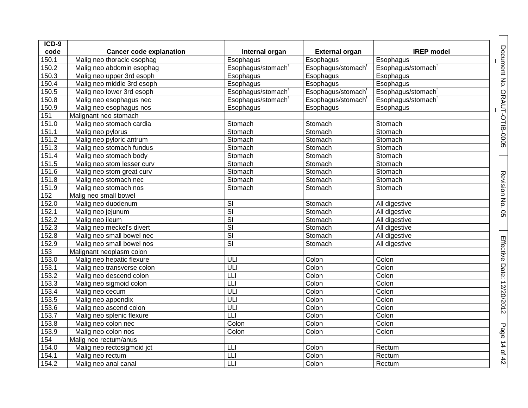| $ICD-9$ |                                |                         |                       |                   |  |
|---------|--------------------------------|-------------------------|-----------------------|-------------------|--|
| code    | <b>Cancer code explanation</b> | Internal organ          | <b>External organ</b> | <b>IREP</b> model |  |
| 150.1   | Malig neo thoracic esophag     | Esophagus               | Esophagus             | Esophagus         |  |
| 150.2   | Malig neo abdomin esophag      | Esophagus/stomach       | Esophagus/stomach     | Esophagus/stomach |  |
| 150.3   | Malig neo upper 3rd esoph      | Esophagus               | Esophagus             | Esophagus         |  |
| 150.4   | Malig neo middle 3rd esoph     | Esophagus               | Esophagus             | Esophagus         |  |
| 150.5   | Malig neo lower 3rd esoph      | Esophagus/stomach       | Esophagus/stomach     | Esophagus/stomach |  |
| 150.8   | Malig neo esophagus nec        | Esophagus/stomach       | Esophagus/stomach     | Esophagus/stomach |  |
| 150.9   | Malig neo esophagus nos        | Esophagus               | Esophagus             | Esophagus         |  |
| 151     | Malignant neo stomach          |                         |                       |                   |  |
| 151.0   | Malig neo stomach cardia       | Stomach                 | Stomach               | Stomach           |  |
| 151.1   | Malig neo pylorus              | Stomach                 | Stomach               | Stomach           |  |
| 151.2   | Malig neo pyloric antrum       | Stomach                 | Stomach               | Stomach           |  |
| 151.3   | Malig neo stomach fundus       | Stomach                 | Stomach               | Stomach           |  |
| 151.4   | Malig neo stomach body         | Stomach                 | Stomach               | Stomach           |  |
| 151.5   | Malig neo stom lesser curv     | Stomach                 | Stomach               | Stomach           |  |
| 151.6   | Malig neo stom great curv      | Stomach                 | Stomach               | Stomach           |  |
| 151.8   | Malig neo stomach nec          | Stomach                 | Stomach               | Stomach           |  |
| 151.9   | Malig neo stomach nos          | Stomach                 | Stomach               | Stomach           |  |
| 152     | Malig neo small bowel          |                         |                       |                   |  |
| 152.0   | Malig neo duodenum             | SI                      | Stomach               | All digestive     |  |
| 152.1   | Malig neo jejunum              | SI                      | Stomach               | All digestive     |  |
| 152.2   | Malig neo ileum                | $\overline{\mathbf{s}}$ | Stomach               | All digestive     |  |
| 152.3   | Malig neo meckel's divert      | $\overline{\mathsf{S}}$ | Stomach               | All digestive     |  |
| 152.8   | Malig neo small bowel nec      | $\overline{\mathbf{s}}$ | Stomach               | All digestive     |  |
| 152.9   | Malig neo small bowel nos      | SI                      | Stomach               | All digestive     |  |
| 153     | Malignant neoplasm colon       |                         |                       |                   |  |
| 153.0   | Malig neo hepatic flexure      | ULI                     | Colon                 | Colon             |  |
| 153.1   | Malig neo transverse colon     | ULI                     | Colon                 | Colon             |  |
| 153.2   | Malig neo descend colon        | LLI                     | Colon                 | Colon             |  |
| 153.3   | Malig neo sigmoid colon        | L                       | Colon                 | Colon             |  |
| 153.4   | Malig neo cecum                | ULI                     | Colon                 | Colon             |  |
| 153.5   | Malig neo appendix             | ULI                     | Colon                 | Colon             |  |
| 153.6   | Malig neo ascend colon         | ULI                     | Colon                 | Colon             |  |
| 153.7   | Malig neo splenic flexure      | LLI                     | Colon                 | Colon             |  |
| 153.8   | Malig neo colon nec            | Colon                   | Colon                 | Colon             |  |
| 153.9   | Malig neo colon nos            | Colon                   | Colon                 | Colon             |  |
| 154     | Malig neo rectum/anus          |                         |                       |                   |  |
| 154.0   | Malig neo rectosigmoid jct     | LLI                     | Colon                 | Rectum            |  |
| 154.1   | Malig neo rectum               | LLI                     | Colon                 | Rectum            |  |
| 154.2   | Malig neo anal canal           | LLI                     | Colon                 | Rectum            |  |

Document No. ORAUT-OTIB-0005

Revision No. 05

Effective Date: 12/20/2012

Page 14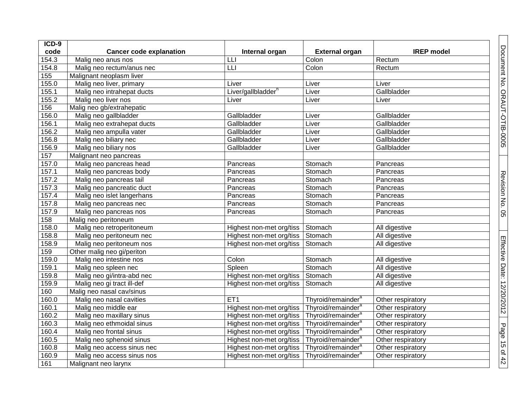| ICD-9 |                                |                                |                                |                   |
|-------|--------------------------------|--------------------------------|--------------------------------|-------------------|
| code  | <b>Cancer code explanation</b> | Internal organ                 | <b>External organ</b>          | <b>IREP</b> model |
| 154.3 | Malig neo anus nos             | LLI                            | Colon                          | Rectum            |
| 154.8 | Malig neo rectum/anus nec      | LLI                            | Colon                          | Rectum            |
| 155   | Malignant neoplasm liver       |                                |                                |                   |
| 155.0 | Malig neo liver, primary       | Liver                          | Liver                          | Liver             |
| 155.1 | Malig neo intrahepat ducts     | Liver/gallbladder <sup>h</sup> | Liver                          | Gallbladder       |
| 155.2 | Malig neo liver nos            | Liver                          | Liver                          | Liver             |
| 156   | Malig neo gb/extrahepatic      |                                |                                |                   |
| 156.0 | Malig neo gallbladder          | Gallbladder                    | Liver                          | Gallbladder       |
| 156.1 | Malig neo extrahepat ducts     | Gallbladder                    | Liver                          | Gallbladder       |
| 156.2 | Malig neo ampulla vater        | Gallbladder                    | Liver                          | Gallbladder       |
| 156.8 | Malig neo biliary nec          | Gallbladder                    | Liver                          | Gallbladder       |
| 156.9 | Malig neo biliary nos          | Gallbladder                    | Liver                          | Gallbladder       |
| 157   | Malignant neo pancreas         |                                |                                |                   |
| 157.0 | Malig neo pancreas head        | Pancreas                       | Stomach                        | Pancreas          |
| 157.1 | Malig neo pancreas body        | Pancreas                       | Stomach                        | Pancreas          |
| 157.2 | Malig neo pancreas tail        | Pancreas                       | Stomach                        | Pancreas          |
| 157.3 | Malig neo pancreatic duct      | Pancreas                       | Stomach                        | Pancreas          |
| 157.4 | Malig neo islet langerhans     | Pancreas                       | Stomach                        | Pancreas          |
| 157.8 | Malig neo pancreas nec         | Pancreas                       | Stomach                        | Pancreas          |
| 157.9 | Malig neo pancreas nos         | Pancreas                       | Stomach                        | Pancreas          |
| 158   | Malig neo peritoneum           |                                |                                |                   |
| 158.0 | Malig neo retroperitoneum      | Highest non-met org/tiss       | Stomach                        | All digestive     |
| 158.8 | Malig neo peritoneum nec       | Highest non-met org/tiss       | Stomach                        | All digestive     |
| 158.9 | Malig neo peritoneum nos       | Highest non-met org/tiss       | Stomach                        | All digestive     |
| 159   | Other malig neo gi/periton     |                                |                                |                   |
| 159.0 | Malig neo intestine nos        | Colon                          | Stomach                        | All digestive     |
| 159.1 | Malig neo spleen nec           | Spleen                         | Stomach                        | All digestive     |
| 159.8 | Malig neo gi/intra-abd nec     | Highest non-met org/tiss       | Stomach                        | All digestive     |
| 159.9 | Malig neo gi tract ill-def     | Highest non-met org/tiss       | Stomach                        | All digestive     |
| 160   | Malig neo nasal cav/sinus      |                                |                                |                   |
| 160.0 | Malig neo nasal cavities       | ET <sub>1</sub>                | Thyroid/remainder <sup>a</sup> | Other respiratory |
| 160.1 | Malig neo middle ear           | Highest non-met org/tiss       | Thyroid/remainder <sup>a</sup> | Other respiratory |
| 160.2 | Malig neo maxillary sinus      | Highest non-met org/tiss       | Thyroid/remainder <sup>a</sup> | Other respiratory |
| 160.3 | Malig neo ethmoidal sinus      | Highest non-met org/tiss       | Thyroid/remainder <sup>a</sup> | Other respiratory |
| 160.4 | Malig neo frontal sinus        | Highest non-met org/tiss       | Thyroid/remainder <sup>a</sup> | Other respiratory |
| 160.5 | Malig neo sphenoid sinus       | Highest non-met org/tiss       | Thyroid/remainder <sup>a</sup> | Other respiratory |
| 160.8 | Malig neo access sinus nec     | Highest non-met org/tiss       | Thyroid/remainder <sup>a</sup> | Other respiratory |
| 160.9 | Malig neo access sinus nos     | Highest non-met org/tiss       | Thyroid/remainder <sup>a</sup> | Other respiratory |
| 161   | Malignant neo larynx           |                                |                                |                   |

Document No. ORAUT-OTIB-0005

Revision No. 05

Effective Date: 12/20/2012

Page 15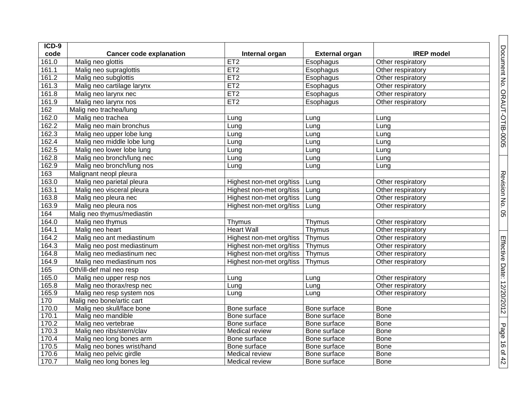| ICD-9 |                                |                          |                       |                   |
|-------|--------------------------------|--------------------------|-----------------------|-------------------|
| code  | <b>Cancer code explanation</b> | Internal organ           | <b>External organ</b> | <b>IREP</b> model |
| 161.0 | Malig neo glottis              | ET2                      | Esophagus             | Other respiratory |
| 161.1 | Malig neo supraglottis         | ET2                      | Esophagus             | Other respiratory |
| 161.2 | Malig neo subglottis           | ET2                      | Esophagus             | Other respiratory |
| 161.3 | Malig neo cartilage larynx     | ET2                      | Esophagus             | Other respiratory |
| 161.8 | Malig neo larynx nec           | ET2                      | Esophagus             | Other respiratory |
| 161.9 | Malig neo larynx nos           | ET2                      | Esophagus             | Other respiratory |
| 162   | Malig neo trachea/lung         |                          |                       |                   |
| 162.0 | Malig neo trachea              | Lung                     | Lung                  | Lung              |
| 162.2 | Malig neo main bronchus        | Lung                     | Lung                  | Lung              |
| 162.3 | Malig neo upper lobe lung      | Lung                     | Lung                  | Lung              |
| 162.4 | Malig neo middle lobe lung     | Lung                     | Lung                  | Lung              |
| 162.5 | Malig neo lower lobe lung      | Lung                     | Lung                  | Lung              |
| 162.8 | Malig neo bronch/lung nec      | Lung                     | Lung                  | Lung              |
| 162.9 | Malig neo bronch/lung nos      | Lung                     | Lung                  | Lung              |
| 163   | Malignant neopl pleura         |                          |                       |                   |
| 163.0 | Malig neo parietal pleura      | Highest non-met org/tiss | Lung                  | Other respiratory |
| 163.1 | Malig neo visceral pleura      | Highest non-met org/tiss | Lung                  | Other respiratory |
| 163.8 | Malig neo pleura nec           | Highest non-met org/tiss | Lung                  | Other respiratory |
| 163.9 | Malig neo pleura nos           | Highest non-met org/tiss | Lung                  | Other respiratory |
| 164   | Malig neo thymus/mediastin     |                          |                       |                   |
| 164.0 | Malig neo thymus               | Thymus                   | Thymus                | Other respiratory |
| 164.1 | Malig neo heart                | <b>Heart Wall</b>        | Thymus                | Other respiratory |
| 164.2 | Malig neo ant mediastinum      | Highest non-met org/tiss | Thymus                | Other respiratory |
| 164.3 | Malig neo post mediastinum     | Highest non-met org/tiss | Thymus                | Other respiratory |
| 164.8 | Malig neo mediastinum nec      | Highest non-met org/tiss | Thymus                | Other respiratory |
| 164.9 | Malig neo mediastinum nos      | Highest non-met org/tiss | Thymus                | Other respiratory |
| 165   | Oth/ill-def mal neo resp       |                          |                       |                   |
| 165.0 | Malig neo upper resp nos       | Lung                     | Lung                  | Other respiratory |
| 165.8 | Malig neo thorax/resp nec      | Lung                     | Lung                  | Other respiratory |
| 165.9 | Malig neo resp system nos      | Lung                     | Lung                  | Other respiratory |
| 170   | Malig neo bone/artic cart      |                          |                       |                   |
| 170.0 | Malig neo skull/face bone      | Bone surface             | Bone surface          | <b>Bone</b>       |
| 170.1 | Malig neo mandible             | Bone surface             | Bone surface          | <b>Bone</b>       |
| 170.2 | Malig neo vertebrae            | Bone surface             | Bone surface          | <b>Bone</b>       |
| 170.3 | Malig neo ribs/stern/clav      | Medical review           | Bone surface          | <b>Bone</b>       |
| 170.4 | Malig neo long bones arm       | Bone surface             | Bone surface          | <b>Bone</b>       |
| 170.5 | Malig neo bones wrist/hand     | Bone surface             | Bone surface          | <b>Bone</b>       |
| 170.6 | Malig neo pelvic girdle        | Medical review           | Bone surface          | <b>Bone</b>       |
| 170.7 | Malig neo long bones leg       | Medical review           | Bone surface          | Bone              |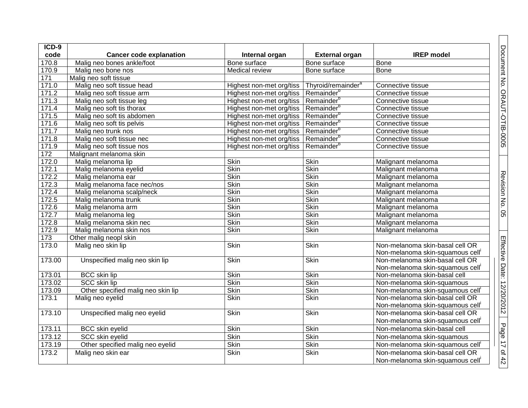| $ICD-9$ |                                    |                          |                                |                                  |
|---------|------------------------------------|--------------------------|--------------------------------|----------------------------------|
| code    | <b>Cancer code explanation</b>     | Internal organ           | <b>External organ</b>          | <b>IREP</b> model                |
| 170.8   | Malig neo bones ankle/foot         | Bone surface             | Bone surface                   | <b>Bone</b>                      |
| 170.9   | Malig neo bone nos                 | <b>Medical review</b>    | Bone surface                   | <b>Bone</b>                      |
| 171     | Malig neo soft tissue              |                          |                                |                                  |
| 171.0   | Malig neo soft tissue head         | Highest non-met org/tiss | Thyroid/remainder <sup>a</sup> | Connective tissue                |
| 171.2   | Malig neo soft tissue arm          | Highest non-met org/tiss | Remainder <sup>b</sup>         | Connective tissue                |
| 171.3   | Malig neo soft tissue leg          | Highest non-met org/tiss | Remainder <sup>b</sup>         | Connective tissue                |
| 171.4   | Malig neo soft tis thorax          | Highest non-met org/tiss | Remainder <sup>b</sup>         | Connective tissue                |
| 171.5   | Malig neo soft tis abdomen         | Highest non-met org/tiss | Remainder <sup>b</sup>         | Connective tissue                |
| 171.6   | Malig neo soft tis pelvis          | Highest non-met org/tiss | Remainder <sup>b</sup>         | Connective tissue                |
| 171.7   | Malig neo trunk nos                | Highest non-met org/tiss | Remainder <sup>b</sup>         | Connective tissue                |
| 171.8   | Malig neo soft tissue nec          | Highest non-met org/tiss | Remainder <sup>b</sup>         | Connective tissue                |
| 171.9   | Malig neo soft tissue nos          | Highest non-met org/tiss | Remainder <sup>b</sup>         | Connective tissue                |
| 172     | Malignant melanoma skin            |                          |                                |                                  |
| 172.0   | Malig melanoma lip                 | <b>Skin</b>              | <b>Skin</b>                    | Malignant melanoma               |
| 172.1   | Malig melanoma eyelid              | <b>Skin</b>              | <b>Skin</b>                    | Malignant melanoma               |
| 172.2   | Malig melanoma ear                 | <b>Skin</b>              | <b>Skin</b>                    | Malignant melanoma               |
| 172.3   | Malig melanoma face nec/nos        | Skin                     | <b>Skin</b>                    | Malignant melanoma               |
| 172.4   | Malig melanoma scalp/neck          | <b>Skin</b>              | <b>Skin</b>                    | Malignant melanoma               |
| 172.5   | Malig melanoma trunk               | Skin                     | <b>Skin</b>                    | Malignant melanoma               |
| 172.6   | Malig melanoma arm                 | <b>Skin</b>              | Skin                           | Malignant melanoma               |
| 172.7   | Malig melanoma leg                 | Skin                     | <b>Skin</b>                    | Malignant melanoma               |
| 172.8   | Malig melanoma skin nec            | <b>Skin</b>              | <b>Skin</b>                    | Malignant melanoma               |
| 172.9   | Malig melanoma skin nos            | Skin                     | <b>Skin</b>                    | Malignant melanoma               |
| 173     | Other malig neopl skin             |                          |                                |                                  |
| 173.0   | Malig neo skin lip                 | <b>Skin</b>              | <b>Skin</b>                    | Non-melanoma skin-basal cell OR  |
|         |                                    |                          |                                | Non-melanoma skin-squamous cell' |
| 173.00  | Unspecified malig neo skin lip     | <b>Skin</b>              | <b>Skin</b>                    | Non-melanoma skin-basal cell OR  |
|         |                                    |                          |                                | Non-melanoma skin-squamous cell' |
| 173.01  | <b>BCC</b> skin lip                | <b>Skin</b>              | <b>Skin</b>                    | Non-melanoma skin-basal cell     |
| 173.02  | SCC skin lip                       | <b>Skin</b>              | Skin                           | Non-melanoma skin-squamous       |
| 173.09  | Other specified malig neo skin lip | Skin                     | <b>Skin</b>                    | Non-melanoma skin-squamous cell  |
| 173.1   | Malig neo eyelid                   | <b>Skin</b>              | <b>Skin</b>                    | Non-melanoma skin-basal cell OR  |
|         |                                    |                          |                                | Non-melanoma skin-squamous cell' |
| 173.10  | Unspecified malig neo eyelid       | Skin                     | Skin                           | Non-melanoma skin-basal cell OR  |
|         |                                    |                          |                                | Non-melanoma skin-squamous cell  |
| 173.11  | <b>BCC</b> skin eyelid             | Skin                     | <b>Skin</b>                    | Non-melanoma skin-basal cell     |
| 173.12  | <b>SCC skin eyelid</b>             | <b>Skin</b>              | <b>Skin</b>                    | Non-melanoma skin-squamous       |
| 173.19  | Other specified malig neo eyelid   | <b>Skin</b>              | <b>Skin</b>                    | Non-melanoma skin-squamous cell  |
| 173.2   | Malig neo skin ear                 | Skin                     | <b>Skin</b>                    | Non-melanoma skin-basal cell OR  |
|         |                                    |                          |                                | Non-melanoma skin-squamous cell  |

Document No. ORAUT-OTIB-0005

Revision No. 0

ပာ

Effective Date: 12/20/2012

Page 17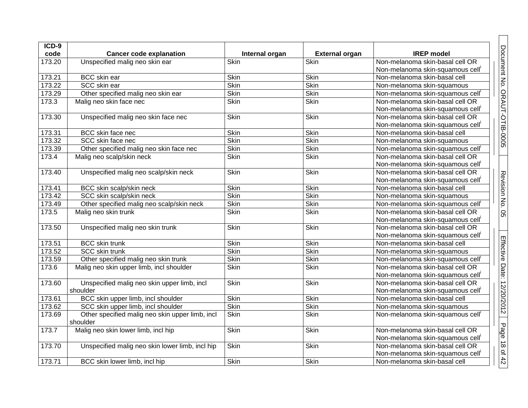| ICD-9  |                                                             |                |                       |                                                                                 |
|--------|-------------------------------------------------------------|----------------|-----------------------|---------------------------------------------------------------------------------|
| code   | <b>Cancer code explanation</b>                              | Internal organ | <b>External organ</b> | <b>IREP</b> model                                                               |
| 173.20 | Unspecified malig neo skin ear                              | Skin           | Skin                  | Non-melanoma skin-basal cell OR                                                 |
|        |                                                             |                |                       | Non-melanoma skin-squamous cell <sup>i</sup>                                    |
| 173.21 | <b>BCC</b> skin ear                                         | Skin           | Skin                  | Non-melanoma skin-basal cell                                                    |
| 173.22 | SCC skin ear                                                | Skin           | <b>Skin</b>           | Non-melanoma skin-squamous                                                      |
| 173.29 | Other specified malig neo skin ear                          | <b>Skin</b>    | Skin                  | Non-melanoma skin-squamous cell <sup>i</sup>                                    |
| 173.3  | Malig neo skin face nec                                     | <b>Skin</b>    | <b>Skin</b>           | Non-melanoma skin-basal cell OR<br>Non-melanoma skin-squamous cell'             |
| 173.30 | Unspecified malig neo skin face nec                         | <b>Skin</b>    | <b>Skin</b>           | Non-melanoma skin-basal cell OR<br>Non-melanoma skin-squamous cell'             |
| 173.31 | BCC skin face nec                                           | Skin           | Skin                  | Non-melanoma skin-basal cell                                                    |
| 173.32 | SCC skin face nec                                           | Skin           | Skin                  | Non-melanoma skin-squamous                                                      |
| 173.39 | Other specified malig neo skin face nec                     | Skin           | Skin                  | Non-melanoma skin-squamous cell'                                                |
| 173.4  | Malig neo scalp/skin neck                                   | <b>Skin</b>    | Skin                  | Non-melanoma skin-basal cell OR<br>Non-melanoma skin-squamous cell'             |
| 173.40 | Unspecified malig neo scalp/skin neck                       | Skin           | Skin                  | Non-melanoma skin-basal cell OR<br>Non-melanoma skin-squamous cell'             |
| 173.41 | BCC skin scalp/skin neck                                    | Skin           | Skin                  | Non-melanoma skin-basal cell                                                    |
| 173.42 | SCC skin scalp/skin neck                                    | <b>Skin</b>    | <b>Skin</b>           | Non-melanoma skin-squamous                                                      |
| 173.49 | Other specified malig neo scalp/skin neck                   | <b>Skin</b>    | Skin                  | Non-melanoma skin-squamous cell'                                                |
| 173.5  | Malig neo skin trunk                                        | <b>Skin</b>    | <b>Skin</b>           | Non-melanoma skin-basal cell OR<br>Non-melanoma skin-squamous cell'             |
| 173.50 | Unspecified malig neo skin trunk                            | <b>Skin</b>    | <b>Skin</b>           | Non-melanoma skin-basal cell OR<br>Non-melanoma skin-squamous cell'             |
| 173.51 | <b>BCC</b> skin trunk                                       | Skin           | <b>Skin</b>           | Non-melanoma skin-basal cell                                                    |
| 173.52 | <b>SCC skin trunk</b>                                       | <b>Skin</b>    | Skin                  | Non-melanoma skin-squamous                                                      |
| 173.59 | Other specified malig neo skin trunk                        | <b>Skin</b>    | Skin                  | Non-melanoma skin-squamous cell'                                                |
| 173.6  | Malig neo skin upper limb, incl shoulder                    | <b>Skin</b>    | <b>Skin</b>           | Non-melanoma skin-basal cell OR<br>Non-melanoma skin-squamous cell <sup>i</sup> |
| 173.60 | Unspecified malig neo skin upper limb, incl<br>shoulder     | Skin           | Skin                  | Non-melanoma skin-basal cell OR<br>Non-melanoma skin-squamous cell'             |
| 173.61 | BCC skin upper limb, incl shoulder                          | Skin           | Skin                  | Non-melanoma skin-basal cell                                                    |
| 173.62 | SCC skin upper limb, incl shoulder                          | Skin           | <b>Skin</b>           | Non-melanoma skin-squamous                                                      |
| 173.69 | Other specified malig neo skin upper limb, incl<br>shoulder | <b>Skin</b>    | <b>Skin</b>           | Non-melanoma skin-squamous cell <sup>i</sup>                                    |
| 173.7  | Malig neo skin lower limb, incl hip                         | <b>Skin</b>    | <b>Skin</b>           | Non-melanoma skin-basal cell OR<br>Non-melanoma skin-squamous cell'             |
| 173.70 | Unspecified malig neo skin lower limb, incl hip             | Skin           | <b>Skin</b>           | Non-melanoma skin-basal cell OR<br>Non-melanoma skin-squamous cell'             |
| 173.71 | BCC skin lower limb, incl hip                               | Skin           | <b>Skin</b>           | Non-melanoma skin-basal cell                                                    |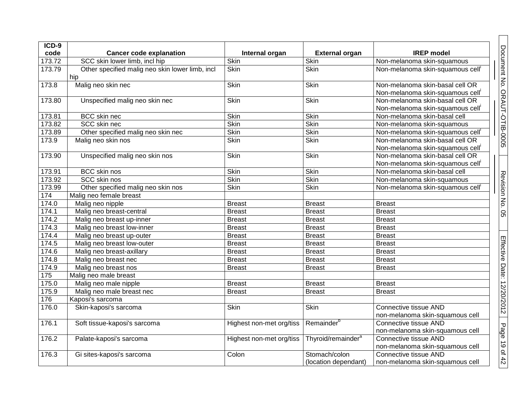| $ICD-9$ |                                                        |                          |                                       |                                                                                 |                              |
|---------|--------------------------------------------------------|--------------------------|---------------------------------------|---------------------------------------------------------------------------------|------------------------------|
| code    | <b>Cancer code explanation</b>                         | Internal organ           | <b>External organ</b>                 | <b>IREP</b> model                                                               |                              |
| 173.72  | SCC skin lower limb, incl hip                          | Skin                     | <b>Skin</b>                           | Non-melanoma skin-squamous                                                      |                              |
| 173.79  | Other specified malig neo skin lower limb, incl<br>hip | <b>Skin</b>              | <b>Skin</b>                           | Non-melanoma skin-squamous cell'                                                | Document No. ORAUT-OTIB-0005 |
| 173.8   | Malig neo skin nec                                     | Skin                     | <b>Skin</b>                           | Non-melanoma skin-basal cell OR<br>Non-melanoma skin-squamous cell <sup>i</sup> |                              |
| 173.80  | Unspecified malig neo skin nec                         | Skin                     | <b>Skin</b>                           | Non-melanoma skin-basal cell OR<br>Non-melanoma skin-squamous cell'             |                              |
| 173.81  | <b>BCC</b> skin nec                                    | Skin                     | <b>Skin</b>                           | Non-melanoma skin-basal cell                                                    |                              |
| 173.82  | SCC skin nec                                           | Skin                     | Skin                                  | Non-melanoma skin-squamous                                                      |                              |
| 173.89  | Other specified malig neo skin nec                     | Skin                     | Skin                                  | Non-melanoma skin-squamous cell'                                                |                              |
| 173.9   | Malig neo skin nos                                     | <b>Skin</b>              | <b>Skin</b>                           | Non-melanoma skin-basal cell OR<br>Non-melanoma skin-squamous cell'             |                              |
| 173.90  | Unspecified malig neo skin nos                         | Skin                     | <b>Skin</b>                           | Non-melanoma skin-basal cell OR<br>Non-melanoma skin-squamous cell'             |                              |
| 173.91  | <b>BCC</b> skin nos                                    | <b>Skin</b>              | <b>Skin</b>                           | Non-melanoma skin-basal cell                                                    |                              |
| 173.92  | <b>SCC skin nos</b>                                    | Skin                     | Skin                                  | Non-melanoma skin-squamous                                                      |                              |
| 173.99  | Other specified malig neo skin nos                     | <b>Skin</b>              | <b>Skin</b>                           | Non-melanoma skin-squamous cell'                                                | Revision No. 05              |
| 174     | Malig neo female breast                                |                          |                                       |                                                                                 |                              |
| 174.0   | Malig neo nipple                                       | <b>Breast</b>            | <b>Breast</b>                         | <b>Breast</b>                                                                   |                              |
| 174.1   | Malig neo breast-central                               | <b>Breast</b>            | <b>Breast</b>                         | <b>Breast</b>                                                                   |                              |
| 174.2   | Malig neo breast up-inner                              | <b>Breast</b>            | <b>Breast</b>                         | <b>Breast</b>                                                                   |                              |
| 174.3   | Malig neo breast low-inner                             | <b>Breast</b>            | <b>Breast</b>                         | <b>Breast</b>                                                                   |                              |
| 174.4   | Malig neo breast up-outer                              | <b>Breast</b>            | <b>Breast</b>                         | <b>Breast</b>                                                                   |                              |
| 174.5   | Malig neo breast low-outer                             | <b>Breast</b>            | <b>Breast</b>                         | <b>Breast</b>                                                                   |                              |
| 174.6   | Malig neo breast-axillary                              | <b>Breast</b>            | <b>Breast</b>                         | <b>Breast</b>                                                                   |                              |
| 174.8   | Malig neo breast nec                                   | <b>Breast</b>            | <b>Breast</b>                         | <b>Breast</b>                                                                   |                              |
| 174.9   | Malig neo breast nos                                   | <b>Breast</b>            | <b>Breast</b>                         | <b>Breast</b>                                                                   |                              |
| 175     | Malig neo male breast                                  |                          |                                       |                                                                                 |                              |
| 175.0   | Malig neo male nipple                                  | <b>Breast</b>            | <b>Breast</b>                         | <b>Breast</b>                                                                   |                              |
| 175.9   | Malig neo male breast nec                              | <b>Breast</b>            | <b>Breast</b>                         | <b>Breast</b>                                                                   |                              |
| 176     | Kaposi's sarcoma                                       |                          |                                       |                                                                                 |                              |
| 176.0   | Skin-kaposi's sarcoma                                  | <b>Skin</b>              | <b>Skin</b>                           | Connective tissue AND<br>non-melanoma skin-squamous cell                        | Effective Date: 12/20/2012   |
| 176.1   | Soft tissue-kaposi's sarcoma                           | Highest non-met org/tiss | Remainder <sup>b</sup>                | Connective tissue AND<br>non-melanoma skin-squamous cell                        |                              |
| 176.2   | Palate-kaposi's sarcoma                                | Highest non-met org/tiss | Thyroid/remainder <sup>a</sup>        | Connective tissue AND<br>non-melanoma skin-squamous cell                        |                              |
| 176.3   | Gi sites-kaposi's sarcoma                              | Colon                    | Stomach/colon<br>(location dependant) | Connective tissue AND<br>non-melanoma skin-squamous cell                        | Page 19 of 42                |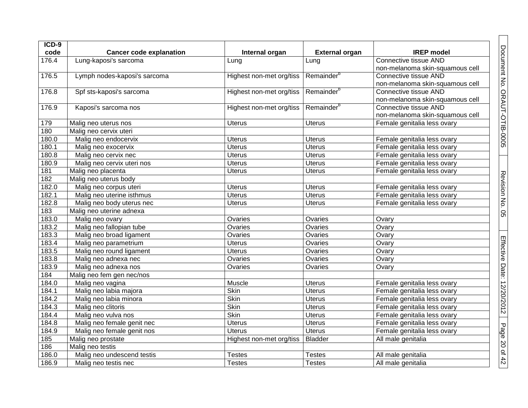| $ICD-9$ |                                |                          |                        |                                 |
|---------|--------------------------------|--------------------------|------------------------|---------------------------------|
| code    | <b>Cancer code explanation</b> | Internal organ           | <b>External organ</b>  | <b>IREP</b> model               |
| 176.4   | Lung-kaposi's sarcoma          | Lung                     | Lung                   | Connective tissue AND           |
|         |                                |                          |                        | non-melanoma skin-squamous cell |
| 176.5   | Lymph nodes-kaposi's sarcoma   | Highest non-met org/tiss | Remainder <sup>b</sup> | Connective tissue AND           |
|         |                                |                          |                        | non-melanoma skin-squamous cell |
| 176.8   | Spf sts-kaposi's sarcoma       | Highest non-met org/tiss | Remainder <sup>b</sup> | Connective tissue AND           |
|         |                                |                          |                        | non-melanoma skin-squamous cell |
| 176.9   | Kaposi's sarcoma nos           | Highest non-met org/tiss | Remainder <sup>b</sup> | Connective tissue AND           |
|         |                                |                          |                        | non-melanoma skin-squamous cell |
| 179     | Malig neo uterus nos           | <b>Uterus</b>            | <b>Uterus</b>          | Female genitalia less ovary     |
| 180     | Malig neo cervix uteri         |                          |                        |                                 |
| 180.0   | Malig neo endocervix           | <b>Uterus</b>            | <b>Uterus</b>          | Female genitalia less ovary     |
| 180.1   | Malig neo exocervix            | <b>Uterus</b>            | <b>Uterus</b>          | Female genitalia less ovary     |
| 180.8   | Malig neo cervix nec           | <b>Uterus</b>            | <b>Uterus</b>          | Female genitalia less ovary     |
| 180.9   | Malig neo cervix uteri nos     | <b>Uterus</b>            | <b>Uterus</b>          | Female genitalia less ovary     |
| 181     | Malig neo placenta             | <b>Uterus</b>            | <b>Uterus</b>          | Female genitalia less ovary     |
| 182     | Malig neo uterus body          |                          |                        |                                 |
| 182.0   | Malig neo corpus uteri         | <b>Uterus</b>            | <b>Uterus</b>          | Female genitalia less ovary     |
| 182.1   | Malig neo uterine isthmus      | <b>Uterus</b>            | <b>Uterus</b>          | Female genitalia less ovary     |
| 182.8   | Malig neo body uterus nec      | <b>Uterus</b>            | <b>Uterus</b>          | Female genitalia less ovary     |
| 183     | Malig neo uterine adnexa       |                          |                        |                                 |
| 183.0   | Malig neo ovary                | Ovaries                  | Ovaries                | Ovary                           |
| 183.2   | Malig neo fallopian tube       | Ovaries                  | Ovaries                | Ovary                           |
| 183.3   | Malig neo broad ligament       | Ovaries                  | Ovaries                | Ovary                           |
| 183.4   | Malig neo parametrium          | <b>Uterus</b>            | Ovaries                | Ovary                           |
| 183.5   | Malig neo round ligament       | <b>Uterus</b>            | Ovaries                | Ovary                           |
| 183.8   | Malig neo adnexa nec           | Ovaries                  | Ovaries                | Ovary                           |
| 183.9   | Malig neo adnexa nos           | Ovaries                  | Ovaries                | Ovary                           |
| 184     | Malig neo fem gen nec/nos      |                          |                        |                                 |
| 184.0   | Malig neo vagina               | Muscle                   | <b>Uterus</b>          | Female genitalia less ovary     |
| 184.1   | Malig neo labia majora         | Skin                     | <b>Uterus</b>          | Female genitalia less ovary     |
| 184.2   | Malig neo labia minora         | Skin                     | <b>Uterus</b>          | Female genitalia less ovary     |
| 184.3   | Malig neo clitoris             | Skin                     | Uterus                 | Female genitalia less ovary     |
| 184.4   | Malig neo vulva nos            | Skin                     | <b>Uterus</b>          | Female genitalia less ovary     |
| 184.8   | Malig neo female genit nec     | <b>Uterus</b>            | <b>Uterus</b>          | Female genitalia less ovary     |
| 184.9   | Malig neo female genit nos     | <b>Uterus</b>            | <b>Uterus</b>          | Female genitalia less ovary     |
| 185     | Malig neo prostate             | Highest non-met org/tiss | <b>Bladder</b>         | All male genitalia              |
| 186     | Malig neo testis               |                          |                        |                                 |
| 186.0   | Malig neo undescend testis     | <b>Testes</b>            | <b>Testes</b>          | All male genitalia              |
| 186.9   | Malig neo testis nec           | <b>Testes</b>            | <b>Testes</b>          | All male genitalia              |

Document No. ORAUT-OTIB-0005

Revision No. 05

Effective Date: 12/20/2012

Page 20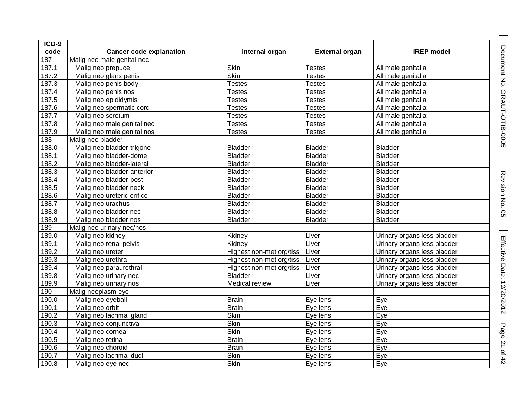| ICD-9 |                                |                          |                       |                             |
|-------|--------------------------------|--------------------------|-----------------------|-----------------------------|
| code  | <b>Cancer code explanation</b> | Internal organ           | <b>External organ</b> | <b>IREP</b> model           |
| 187   | Malig neo male genital nec     |                          |                       |                             |
| 187.1 | Malig neo prepuce              | Skin                     | <b>Testes</b>         | All male genitalia          |
| 187.2 | Malig neo glans penis          | Skin                     | <b>Testes</b>         | All male genitalia          |
| 187.3 | Malig neo penis body           | <b>Testes</b>            | <b>Testes</b>         | All male genitalia          |
| 187.4 | Malig neo penis nos            | <b>Testes</b>            | <b>Testes</b>         | All male genitalia          |
| 187.5 | Malig neo epididymis           | <b>Testes</b>            | <b>Testes</b>         | All male genitalia          |
| 187.6 | Malig neo spermatic cord       | <b>Testes</b>            | <b>Testes</b>         | All male genitalia          |
| 187.7 | Malig neo scrotum              | <b>Testes</b>            | <b>Testes</b>         | All male genitalia          |
| 187.8 | Malig neo male genital nec     | <b>Testes</b>            | <b>Testes</b>         | All male genitalia          |
| 187.9 | Malig neo male genital nos     | <b>Testes</b>            | <b>Testes</b>         | All male genitalia          |
| 188   | Malig neo bladder              |                          |                       |                             |
| 188.0 | Malig neo bladder-trigone      | <b>Bladder</b>           | <b>Bladder</b>        | <b>Bladder</b>              |
| 188.1 | Malig neo bladder-dome         | <b>Bladder</b>           | <b>Bladder</b>        | <b>Bladder</b>              |
| 188.2 | Malig neo bladder-lateral      | <b>Bladder</b>           | <b>Bladder</b>        | <b>Bladder</b>              |
| 188.3 | Malig neo bladder-anterior     | <b>Bladder</b>           | <b>Bladder</b>        | <b>Bladder</b>              |
| 188.4 | Malig neo bladder-post         | <b>Bladder</b>           | <b>Bladder</b>        | <b>Bladder</b>              |
| 188.5 | Malig neo bladder neck         | <b>Bladder</b>           | <b>Bladder</b>        | <b>Bladder</b>              |
| 188.6 | Malig neo ureteric orifice     | <b>Bladder</b>           | <b>Bladder</b>        | <b>Bladder</b>              |
| 188.7 | Malig neo urachus              | <b>Bladder</b>           | <b>Bladder</b>        | <b>Bladder</b>              |
| 188.8 | Malig neo bladder nec          | <b>Bladder</b>           | <b>Bladder</b>        | <b>Bladder</b>              |
| 188.9 | Malig neo bladder nos          | <b>Bladder</b>           | <b>Bladder</b>        | <b>Bladder</b>              |
| 189   | Malig neo urinary nec/nos      |                          |                       |                             |
| 189.0 | Malig neo kidney               | Kidney                   | Liver                 | Urinary organs less bladder |
| 189.1 | Malig neo renal pelvis         | Kidney                   | Liver                 | Urinary organs less bladder |
| 189.2 | Malig neo ureter               | Highest non-met org/tiss | Liver                 | Urinary organs less bladder |
| 189.3 | Malig neo urethra              | Highest non-met org/tiss | Liver                 | Urinary organs less bladder |
| 189.4 | Malig neo paraurethral         | Highest non-met org/tiss | Liver                 | Urinary organs less bladder |
| 189.8 | Malig neo urinary nec          | <b>Bladder</b>           | Liver                 | Urinary organs less bladder |
| 189.9 | Malig neo urinary nos          | Medical review           | Liver                 | Urinary organs less bladder |
| 190   | Malig neoplasm eye             |                          |                       |                             |
| 190.0 | Malig neo eyeball              | <b>Brain</b>             | Eye lens              | Eye                         |
| 190.1 | Malig neo orbit                | <b>Brain</b>             | Eye lens              | Eye                         |
| 190.2 | Malig neo lacrimal gland       | Skin                     | Eye lens              | Eye                         |
| 190.3 | Malig neo conjunctiva          | Skin                     | Eye lens              | Eye                         |
| 190.4 | Malig neo cornea               | Skin                     | Eye lens              | Eye                         |
| 190.5 | Malig neo retina               | <b>Brain</b>             | Eye lens              | Eye                         |
| 190.6 | Malig neo choroid              | <b>Brain</b>             | Eye lens              | Eye                         |
| 190.7 | Malig neo lacrimal duct        | Skin                     | Eye lens              | Eye                         |
| 190.8 | Malig neo eye nec              | Skin                     | Eye lens              | Eye                         |

Document No. ORAUT-OTIB-0005

Revision No. 05

Effective Date: 12/20/2012

Page 21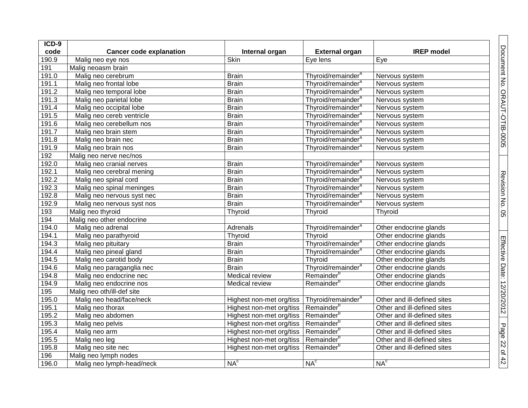| ICD-9 |                                |                                                   |                                |                             |
|-------|--------------------------------|---------------------------------------------------|--------------------------------|-----------------------------|
| code  | <b>Cancer code explanation</b> | Internal organ                                    | <b>External organ</b>          | <b>IREP</b> model           |
| 190.9 | Malig neo eye nos              | <b>Skin</b>                                       | Eye lens                       | Eye                         |
| 191   | Malig neoasm brain             |                                                   |                                |                             |
| 191.0 | Malig neo cerebrum             | <b>Brain</b>                                      | Thyroid/remainder <sup>a</sup> | Nervous system              |
| 191.1 | Malig neo frontal lobe         | <b>Brain</b>                                      | Thyroid/remainder <sup>a</sup> | Nervous system              |
| 191.2 | Malig neo temporal lobe        | <b>Brain</b>                                      | Thyroid/remainder <sup>a</sup> | Nervous system              |
| 191.3 | Malig neo parietal lobe        | <b>Brain</b>                                      | Thyroid/remainder <sup>a</sup> | Nervous system              |
| 191.4 | Malig neo occipital lobe       | <b>Brain</b>                                      | Thyroid/remainder <sup>a</sup> | Nervous system              |
| 191.5 | Malig neo cereb ventricle      | <b>Brain</b>                                      | Thyroid/remainder <sup>a</sup> | Nervous system              |
| 191.6 | Malig neo cerebellum nos       | <b>Brain</b>                                      | Thyroid/remainder <sup>a</sup> | Nervous system              |
| 191.7 | Malig neo brain stem           | <b>Brain</b>                                      | Thyroid/remainder <sup>a</sup> | Nervous system              |
| 191.8 | Malig neo brain nec            | <b>Brain</b>                                      | Thyroid/remainder <sup>a</sup> | Nervous system              |
| 191.9 | Malig neo brain nos            | <b>Brain</b>                                      | Thyroid/remainder <sup>a</sup> | Nervous system              |
| 192   | Malig neo nerve nec/nos        |                                                   |                                |                             |
| 192.0 | Malig neo cranial nerves       | <b>Brain</b>                                      | Thyroid/remainder <sup>a</sup> | Nervous system              |
| 192.1 | Malig neo cerebral mening      | <b>Brain</b>                                      | Thyroid/remainder <sup>a</sup> | Nervous system              |
| 192.2 | Malig neo spinal cord          | <b>Brain</b>                                      | Thyroid/remainder <sup>a</sup> | Nervous system              |
| 192.3 | Malig neo spinal meninges      | <b>Brain</b>                                      | Thyroid/remainder <sup>a</sup> | Nervous system              |
| 192.8 | Malig neo nervous syst nec     | <b>Brain</b>                                      | Thyroid/remainder <sup>a</sup> | Nervous system              |
| 192.9 | Malig neo nervous syst nos     | <b>Brain</b>                                      | Thyroid/remainder <sup>a</sup> | Nervous system              |
| 193   | Malig neo thyroid              | Thyroid                                           | Thyroid                        | Thyroid                     |
| 194   | Malig neo other endocrine      |                                                   |                                |                             |
| 194.0 | Malig neo adrenal              | Adrenals                                          | Thyroid/remainder <sup>a</sup> | Other endocrine glands      |
| 194.1 | Malig neo parathyroid          | Thyroid                                           | Thyroid                        | Other endocrine glands      |
| 194.3 | Malig neo pituitary            | <b>Brain</b>                                      | Thyroid/remainder <sup>a</sup> | Other endocrine glands      |
| 194.4 | Malig neo pineal gland         | <b>Brain</b>                                      | Thyroid/remainder <sup>a</sup> | Other endocrine glands      |
| 194.5 | Malig neo carotid body         | <b>Brain</b>                                      | Thyroid                        | Other endocrine glands      |
| 194.6 | Malig neo paraganglia nec      | <b>Brain</b>                                      | Thyroid/remainder <sup>a</sup> | Other endocrine glands      |
| 194.8 | Malig neo endocrine nec        | Medical review                                    | Remainder <sup>b</sup>         | Other endocrine glands      |
| 194.9 | Malig neo endocrine nos        | Medical review                                    | Remainder <sup>b</sup>         | Other endocrine glands      |
| 195   | Malig neo oth/ill-def site     |                                                   |                                |                             |
| 195.0 | Malig neo head/face/neck       | Highest non-met org/tiss                          | Thyroid/remainder <sup>a</sup> | Other and ill-defined sites |
| 195.1 | Malig neo thorax               | Highest non-met org/tiss                          | Remainder <sup>b</sup>         | Other and ill-defined sites |
| 195.2 | Malig neo abdomen              | Highest non-met org/tiss   Remainder <sup>b</sup> |                                | Other and ill-defined sites |
| 195.3 | Malig neo pelvis               | Highest non-met org/tiss                          | Remainder <sup>b</sup>         | Other and ill-defined sites |
| 195.4 | Malig neo arm                  | Highest non-met org/tiss                          | Remainder <sup>t</sup>         | Other and ill-defined sites |
| 195.5 | Malig neo leg                  | Highest non-met org/tiss                          | Remainder <sup>b</sup>         | Other and ill-defined sites |
| 195.8 | Malig neo site nec             | Highest non-met org/tiss                          | Remainder <sup>b</sup>         | Other and ill-defined sites |
| 196   | Malig neo lymph nodes          |                                                   |                                |                             |
| 196.0 | Malig neo lymph-head/neck      | NA <sup>c</sup>                                   | NA <sup>c</sup>                | NA <sup>c</sup>             |

Document No. ORAUT-OTIB-0005

Revision No. 05

Effective Date: 12/20/2012

Page 22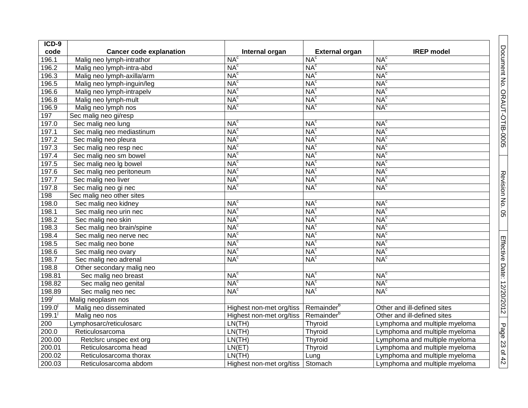| ICD-9       |                                |                          |                        |                               |
|-------------|--------------------------------|--------------------------|------------------------|-------------------------------|
| code        | <b>Cancer code explanation</b> | Internal organ           | <b>External organ</b>  | <b>IREP</b> model             |
| 196.1       | Malig neo lymph-intrathor      | NA <sup>c</sup>          | NA <sup>c</sup>        | NA <sup>c</sup>               |
| 196.2       | Malig neo lymph-intra-abd      | NA <sup>c</sup>          | NA <sup>c</sup>        | NA <sup>c</sup>               |
| 196.3       | Malig neo lymph-axilla/arm     | NA <sup>c</sup>          | NA <sup>c</sup>        | NA <sup>c</sup>               |
| 196.5       | Malig neo lymph-inguin/leg     | NA <sup>c</sup>          | NA <sup>c</sup>        | NA <sup>c</sup>               |
| 196.6       | Malig neo lymph-intrapelv      | NA <sup>c</sup>          | NA <sup>c</sup>        | NA <sup>c</sup>               |
| 196.8       | Malig neo lymph-mult           | NA <sup>c</sup>          | NA <sup>c</sup>        | NA <sup>c</sup>               |
| 196.9       | Malig neo lymph nos            | NA <sup>c</sup>          | NA <sup>c</sup>        | NA <sup>c</sup>               |
| 197         | Sec malig neo gi/resp          |                          |                        |                               |
| 197.0       | Sec malig neo lung             | NA <sup>c</sup>          | NA <sup>c</sup>        | NA <sup>c</sup>               |
| 197.1       | Sec malig neo mediastinum      | NA <sup>c</sup>          | NA <sup>c</sup>        | NA <sup>c</sup>               |
| 197.2       | Sec malig neo pleura           | NA <sup>c</sup>          | NA <sup>c</sup>        | NA <sup>c</sup>               |
| 197.3       | Sec malig neo resp nec         | NA <sup>c</sup>          | NA <sup>c</sup>        | NA <sup>c</sup>               |
| 197.4       | Sec malig neo sm bowel         | NA <sup>c</sup>          | NA <sup>c</sup>        | NA <sup>c</sup>               |
| 197.5       | Sec malig neo Ig bowel         | NA <sup>c</sup>          | NA <sup>c</sup>        | NA <sup>c</sup>               |
| 197.6       | Sec malig neo peritoneum       | NA <sup>c</sup>          | NA <sup>c</sup>        | NA <sup>c</sup>               |
| 197.7       | Sec malig neo liver            | NA <sup>c</sup>          | NA <sup>c</sup>        | NA <sup>c</sup>               |
| 197.8       | Sec malig neo gi nec           | NA <sup>c</sup>          | NA <sup>c</sup>        | NA <sup>c</sup>               |
| 198         | Sec malig neo other sites      |                          |                        |                               |
| 198.0       | Sec malig neo kidney           | NA <sup>c</sup>          | NA <sup>c</sup>        | NA <sup>c</sup>               |
| 198.1       | Sec malig neo urin nec         | NA <sup>c</sup>          | NA <sup>c</sup>        | NA <sup>c</sup>               |
| 198.2       | Sec malig neo skin             | NA <sup>c</sup>          | NA <sup>c</sup>        | NA <sup>c</sup>               |
| 198.3       | Sec malig neo brain/spine      | NA <sup>c</sup>          | NA <sup>c</sup>        | NA <sup>c</sup>               |
| 198.4       | Sec malig neo nerve nec        | NA <sup>c</sup>          | NA <sup>c</sup>        | NA <sup>c</sup>               |
| 198.5       | Sec malig neo bone             | NA <sup>c</sup>          | NA <sup>c</sup>        | NA <sup>c</sup>               |
| 198.6       | Sec malig neo ovary            | NA <sup>c</sup>          | NA <sup>c</sup>        | NA <sup>c</sup>               |
| 198.7       | Sec malig neo adrenal          | NA <sup>c</sup>          | NA <sup>c</sup>        | NA <sup>c</sup>               |
| 198.8       | Other secondary malig neo      |                          |                        |                               |
| 198.81      | Sec malig neo breast           | NA <sup>c</sup>          | NA <sup>c</sup>        | NA <sup>c</sup>               |
| 198.82      | Sec malig neo genital          | NA <sup>c</sup>          | NA <sup>c</sup>        | NA <sup>c</sup>               |
| 198.89      | Sec malig neo nec              | NA <sup>c</sup>          | NA <sup>c</sup>        | NA <sup>c</sup>               |
| 199         | Malig neoplasm nos             |                          |                        |                               |
| $199.0^{1}$ | Malig neo disseminated         | Highest non-met org/tiss | Remainder <sup>b</sup> | Other and ill-defined sites   |
| 199.1       | Malig neo nos                  | Highest non-met org/tiss | Remainder <sup>b</sup> | Other and ill-defined sites   |
| 200         | Lymphosarc/reticulosarc        | LN(TH)                   | Thyroid                | Lymphoma and multiple myeloma |
| 200.0       | Reticulosarcoma                | LN(TH)                   | Thyroid                | Lymphoma and multiple myeloma |
| 200.00      | Retclsrc unspec ext org        | LN(TH)                   | Thyroid                | Lymphoma and multiple myeloma |
| 200.01      | Reticulosarcoma head           | LN(ET)                   | Thyroid                | Lymphoma and multiple myeloma |
| 200.02      | Reticulosarcoma thorax         | LN(TH)                   | Lung                   | Lymphoma and multiple myeloma |
| 200.03      | Reticulosarcoma abdom          | Highest non-met org/tiss | Stomach                | Lymphoma and multiple myeloma |

Document No. ORAUT-OTIB-0005

Revision No. 05

Effective Date: 12/20/2012

Page 23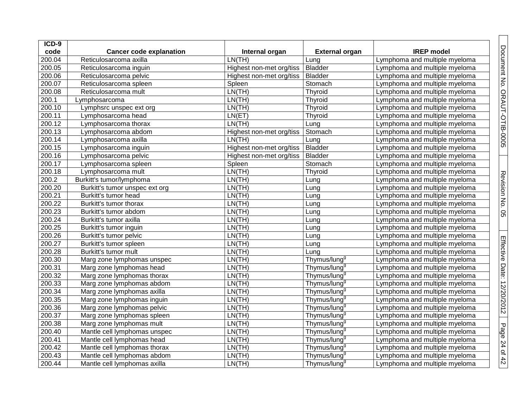| ICD-9               |                                |                          |                          |                               |
|---------------------|--------------------------------|--------------------------|--------------------------|-------------------------------|
| code                | <b>Cancer code explanation</b> | Internal organ           | <b>External organ</b>    | <b>IREP</b> model             |
| 200.04              | Reticulosarcoma axilla         | LN(TH)                   | Lung                     | Lymphoma and multiple myeloma |
| 200.05              | Reticulosarcoma inguin         | Highest non-met org/tiss | <b>Bladder</b>           | Lymphoma and multiple myeloma |
| 200.06              | Reticulosarcoma pelvic         | Highest non-met org/tiss | <b>Bladder</b>           | Lymphoma and multiple myeloma |
| 200.07              | Reticulosarcoma spleen         | Spleen                   | Stomach                  | Lymphoma and multiple myeloma |
| 200.08              | Reticulosarcoma mult           | LN(TH)                   | Thyroid                  | Lymphoma and multiple myeloma |
| 200.1               | Lymphosarcoma                  | LN(TH)                   | Thyroid                  | Lymphoma and multiple myeloma |
| 200.10              | Lymphsrc unspec ext org        | LN(TH)                   | Thyroid                  | Lymphoma and multiple myeloma |
| 200.11              | Lymphosarcoma head             | LN(ET)                   | Thyroid                  | Lymphoma and multiple myeloma |
| 200.12              | Lymphosarcoma thorax           | LN(TH)                   | Lung                     | Lymphoma and multiple myeloma |
| 200.13              | Lymphosarcoma abdom            | Highest non-met org/tiss | Stomach                  | Lymphoma and multiple myeloma |
| 200.14              | Lymphosarcoma axilla           | LN(TH)                   | Lung                     | Lymphoma and multiple myeloma |
| 200.15              | Lymphosarcoma inguin           | Highest non-met org/tiss | <b>Bladder</b>           | Lymphoma and multiple myeloma |
| 200.16              | Lymphosarcoma pelvic           | Highest non-met org/tiss | <b>Bladder</b>           | Lymphoma and multiple myeloma |
| 200.17              | Lymphosarcoma spleen           | Spleen                   | Stomach                  | Lymphoma and multiple myeloma |
| 200.18              | Lymphosarcoma mult             | LN(TH)                   | Thyroid                  | Lymphoma and multiple myeloma |
| 200.2               | Burkitt's tumor/lymphoma       | LN(TH)                   | Lung                     | Lymphoma and multiple myeloma |
| 200.20              | Burkitt's tumor unspec ext org | LN(TH)                   | Lung                     | Lymphoma and multiple myeloma |
| 200.21              | Burkitt's tumor head           | LN(TH)                   | Lung                     | Lymphoma and multiple myeloma |
| 200.22              | Burkitt's tumor thorax         | LN(TH)                   | Lung                     | Lymphoma and multiple myeloma |
| 200.23              | Burkitt's tumor abdom          | LN(TH)                   | Lung                     | Lymphoma and multiple myeloma |
| 200.24              | Burkitt's tumor axilla         | LN(TH)                   | Lung                     | Lymphoma and multiple myeloma |
| 200.25              | Burkitt's tumor inguin         | LN(TH)                   | Lung                     | Lymphoma and multiple myeloma |
| 200.26              | Burkitt's tumor pelvic         | LN(TH)                   | Lung                     | Lymphoma and multiple myeloma |
| 200.27              | Burkitt's tumor spleen         | LN(TH)                   | Lung                     | Lymphoma and multiple myeloma |
| 200.28              | Burkitt's tumor mult           | LN(TH)                   | Lung                     | Lymphoma and multiple myeloma |
| 200.30              | Marg zone lymphomas unspec     | LN(TH)                   | Thymus/lung <sup>9</sup> | Lymphoma and multiple myeloma |
| 200.31              | Marg zone lymphomas head       | LN(TH)                   | Thymus/lung <sup>9</sup> | Lymphoma and multiple myeloma |
| 200.32              | Marg zone lymphomas thorax     | LN(TH)                   | Thymus/lung <sup>9</sup> | Lymphoma and multiple myeloma |
| 200.33              | Marg zone lymphomas abdom      | LN(TH)                   | Thymus/lung <sup>9</sup> | Lymphoma and multiple myeloma |
| 200.34              | Marg zone lymphomas axilla     | LN(TH)                   | Thymus/lung <sup>9</sup> | Lymphoma and multiple myeloma |
| 200.35              | Marg zone lymphomas inguin     | LN(TH)                   | Thymus/lung <sup>9</sup> | Lymphoma and multiple myeloma |
| 200.36              | Marg zone lymphomas pelvic     | LN(TH)                   | Thymus/lung <sup>9</sup> | Lymphoma and multiple myeloma |
| 200.37              | Marg zone lymphomas spleen     | LN(TH)                   | Thymus/lung <sup>9</sup> | Lymphoma and multiple myeloma |
| 200.38              | Marg zone lymphomas mult       | LN(TH)                   | Thymus/lung <sup>9</sup> | Lymphoma and multiple myeloma |
| 200.40              | Mantle cell lymphomas unspec   | LN(TH)                   | Thymus/lung <sup>9</sup> | Lymphoma and multiple myeloma |
| 200.41              | Mantle cell lymphomas head     | LN(TH)                   | Thymus/lung <sup>9</sup> | Lymphoma and multiple myeloma |
| $\overline{200.42}$ | Mantle cell lymphomas thorax   | LN(TH)                   | Thymus/lung <sup>9</sup> | Lymphoma and multiple myeloma |
| 200.43              | Mantle cell lymphomas abdom    | LN(TH)                   | Thymus/lung <sup>9</sup> | Lymphoma and multiple myeloma |
| 200.44              | Mantle cell lymphomas axilla   | LN(TH)                   | Thymus/lung <sup>9</sup> | Lymphoma and multiple myeloma |

Document No. ORAUT-OTIB-0005

Revision No. 05

Revision No. 05

Effective Date: 12/20/2012

Page 24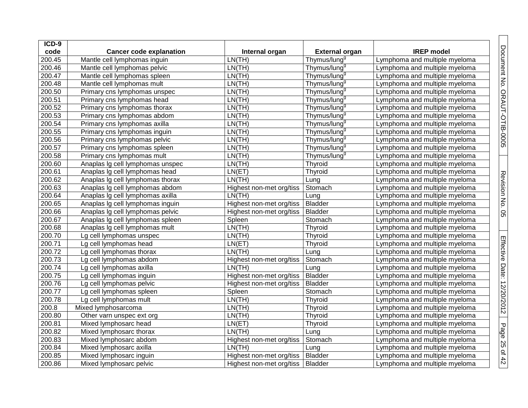| ICD-9  |                                  |                                    |                          |                               |
|--------|----------------------------------|------------------------------------|--------------------------|-------------------------------|
| code   | <b>Cancer code explanation</b>   | Internal organ                     | <b>External organ</b>    | <b>IREP</b> model             |
| 200.45 | Mantle cell lymphomas inguin     | LN(TH)                             | Thymus/lung <sup>9</sup> | Lymphoma and multiple myeloma |
| 200.46 | Mantle cell lymphomas pelvic     | LN(TH)                             | Thymus/lung <sup>9</sup> | Lymphoma and multiple myeloma |
| 200.47 | Mantle cell lymphomas spleen     | LN(TH)                             | Thymus/lung <sup>9</sup> | Lymphoma and multiple myeloma |
| 200.48 | Mantle cell lymphomas mult       | LN(TH)                             | Thymus/lung <sup>9</sup> | Lymphoma and multiple myeloma |
| 200.50 | Primary cns lymphomas unspec     | LN(TH)                             | Thymus/lung <sup>9</sup> | Lymphoma and multiple myeloma |
| 200.51 | Primary cns lymphomas head       | LN(TH)                             | Thymus/lung <sup>9</sup> | Lymphoma and multiple myeloma |
| 200.52 | Primary cns lymphomas thorax     | LN(TH)                             | Thymus/lung <sup>9</sup> | Lymphoma and multiple myeloma |
| 200.53 | Primary cns lymphomas abdom      | LN(TH)                             | Thymus/lung <sup>9</sup> | Lymphoma and multiple myeloma |
| 200.54 | Primary cns lymphomas axilla     | LN(TH)                             | Thymus/lung <sup>9</sup> | Lymphoma and multiple myeloma |
| 200.55 | Primary cns lymphomas inguin     | LN(TH)                             | Thymus/lung <sup>9</sup> | Lymphoma and multiple myeloma |
| 200.56 | Primary cns lymphomas pelvic     | LN(TH)                             | Thymus/lung <sup>9</sup> | Lymphoma and multiple myeloma |
| 200.57 | Primary cns lymphomas spleen     | LN(TH)                             | Thymus/lung <sup>9</sup> | Lymphoma and multiple myeloma |
| 200.58 | Primary cns lymphomas mult       | LN(TH)                             | Thymus/lung <sup>9</sup> | Lymphoma and multiple myeloma |
| 200.60 | Anaplas Ig cell lymphomas unspec | LN(TH)                             | Thyroid                  | Lymphoma and multiple myeloma |
| 200.61 | Anaplas Ig cell lymphomas head   | LN(ET)                             | Thyroid                  | Lymphoma and multiple myeloma |
| 200.62 | Anaplas Ig cell lymphomas thorax | LN(TH)                             | Lung                     | Lymphoma and multiple myeloma |
| 200.63 | Anaplas Ig cell lymphomas abdom  | Highest non-met org/tiss           | Stomach                  | Lymphoma and multiple myeloma |
| 200.64 | Anaplas Ig cell lymphomas axilla | LN(TH)                             | Lung                     | Lymphoma and multiple myeloma |
| 200.65 | Anaplas Ig cell lymphomas inguin | Highest non-met org/tiss           | <b>Bladder</b>           | Lymphoma and multiple myeloma |
| 200.66 | Anaplas Ig cell lymphomas pelvic | Highest non-met org/tiss           | <b>Bladder</b>           | Lymphoma and multiple myeloma |
| 200.67 | Anaplas Ig cell lymphomas spleen | Spleen                             | Stomach                  | Lymphoma and multiple myeloma |
| 200.68 | Anaplas Ig cell lymphomas mult   | LN(TH)                             | Thyroid                  | Lymphoma and multiple myeloma |
| 200.70 | Lg cell lymphomas unspec         | LN(TH)                             | Thyroid                  | Lymphoma and multiple myeloma |
| 200.71 | Lg cell lymphomas head           | LN(ET)                             | Thyroid                  | Lymphoma and multiple myeloma |
| 200.72 | Lg cell lymphomas thorax         | LN(TH)                             | Lung                     | Lymphoma and multiple myeloma |
| 200.73 | Lg cell lymphomas abdom          | Highest non-met org/tiss           | Stomach                  | Lymphoma and multiple myeloma |
| 200.74 | Lg cell lymphomas axilla         | LN(TH)                             | Lung                     | Lymphoma and multiple myeloma |
| 200.75 | Lg cell lymphomas inguin         | Highest non-met org/tiss           | <b>Bladder</b>           | Lymphoma and multiple myeloma |
| 200.76 | Lg cell lymphomas pelvic         | Highest non-met org/tiss           | <b>Bladder</b>           | Lymphoma and multiple myeloma |
| 200.77 | Lg cell lymphomas spleen         | Spleen                             | Stomach                  | Lymphoma and multiple myeloma |
| 200.78 | Lg cell lymphomas mult           | LN(TH)                             | Thyroid                  | Lymphoma and multiple myeloma |
| 200.8  | Mixed lymphosarcoma              | LN(TH)                             | Thyroid                  | Lymphoma and multiple myeloma |
| 200.80 | Other varn unspec ext org        | LN(TH)                             | Thyroid                  | Lymphoma and multiple myeloma |
| 200.81 | Mixed lymphosarc head            | LN(ET)                             | Thyroid                  | Lymphoma and multiple myeloma |
| 200.82 | Mixed lymphosarc thorax          | LN(TH)                             | Lung                     | Lymphoma and multiple myeloma |
| 200.83 | Mixed lymphosarc abdom           | Highest non-met org/tiss           | Stomach                  | Lymphoma and multiple myeloma |
| 200.84 | Mixed lymphosarc axilla          | LN(TH)                             | Lung                     | Lymphoma and multiple myeloma |
| 200.85 | Mixed lymphosarc inguin          | Highest non-met org/tiss           | Bladder                  | Lymphoma and multiple myeloma |
| 200.86 | Mixed lymphosarc pelvic          | Highest non-met org/tiss   Bladder |                          | Lymphoma and multiple myeloma |

Document No. ORAUT-OTIB-0005

Revision No. 05

Effective Date: 12/20/2012

Page 25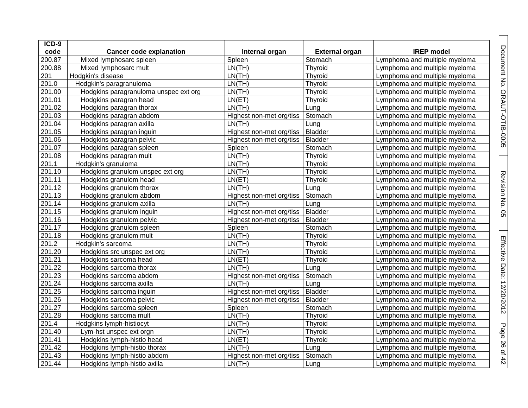| ICD-9  |                                       |                          |                       |                               |
|--------|---------------------------------------|--------------------------|-----------------------|-------------------------------|
| code   | <b>Cancer code explanation</b>        | Internal organ           | <b>External organ</b> | <b>IREP</b> model             |
| 200.87 | Mixed lymphosarc spleen               | Spleen                   | Stomach               | Lymphoma and multiple myeloma |
| 200.88 | Mixed lymphosarc mult                 | LN(TH)                   | Thyroid               | Lymphoma and multiple myeloma |
| 201    | Hodgkin's disease                     | LN(TH)                   | Thyroid               | Lymphoma and multiple myeloma |
| 201.0  | Hodgkin's paragranuloma               | LN(TH)                   | Thyroid               | Lymphoma and multiple myeloma |
| 201.00 | Hodgkins paragranuloma unspec ext org | LN(TH)                   | Thyroid               | Lymphoma and multiple myeloma |
| 201.01 | Hodgkins paragran head                | LN(ET)                   | Thyroid               | Lymphoma and multiple myeloma |
| 201.02 | Hodgkins paragran thorax              | LN(TH)                   | Lung                  | Lymphoma and multiple myeloma |
| 201.03 | Hodgkins paragran abdom               | Highest non-met org/tiss | Stomach               | Lymphoma and multiple myeloma |
| 201.04 | Hodgkins paragran axilla              | LN(TH)                   | Lung                  | Lymphoma and multiple myeloma |
| 201.05 | Hodgkins paragran inguin              | Highest non-met org/tiss | <b>Bladder</b>        | Lymphoma and multiple myeloma |
| 201.06 | Hodgkins paragran pelvic              | Highest non-met org/tiss | <b>Bladder</b>        | Lymphoma and multiple myeloma |
| 201.07 | Hodgkins paragran spleen              | Spleen                   | Stomach               | Lymphoma and multiple myeloma |
| 201.08 | Hodgkins paragran mult                | LN(TH)                   | Thyroid               | Lymphoma and multiple myeloma |
| 201.1  | Hodgkin's granuloma                   | LN(TH)                   | Thyroid               | Lymphoma and multiple myeloma |
| 201.10 | Hodgkins granulom unspec ext org      | LN(TH)                   | Thyroid               | Lymphoma and multiple myeloma |
| 201.11 | Hodgkins granulom head                | LN(ET)                   | Thyroid               | Lymphoma and multiple myeloma |
| 201.12 | Hodgkins granulom thorax              | LN(TH)                   | Lung                  | Lymphoma and multiple myeloma |
| 201.13 | Hodgkins granulom abdom               | Highest non-met org/tiss | Stomach               | Lymphoma and multiple myeloma |
| 201.14 | Hodgkins granulom axilla              | LN(TH)                   | Lung                  | Lymphoma and multiple myeloma |
| 201.15 | Hodgkins granulom inguin              | Highest non-met org/tiss | <b>Bladder</b>        | Lymphoma and multiple myeloma |
| 201.16 | Hodgkins granulom pelvic              | Highest non-met org/tiss | <b>Bladder</b>        | Lymphoma and multiple myeloma |
| 201.17 | Hodgkins granulom spleen              | Spleen                   | Stomach               | Lymphoma and multiple myeloma |
| 201.18 | Hodgkins granulom mult                | LN(TH)                   | Thyroid               | Lymphoma and multiple myeloma |
| 201.2  | Hodgkin's sarcoma                     | LN(TH)                   | Thyroid               | Lymphoma and multiple myeloma |
| 201.20 | Hodgkins src unspec ext org           | LN(TH)                   | Thyroid               | Lymphoma and multiple myeloma |
| 201.21 | Hodgkins sarcoma head                 | LN(ET)                   | Thyroid               | Lymphoma and multiple myeloma |
| 201.22 | Hodgkins sarcoma thorax               | LN(TH)                   | Lung                  | Lymphoma and multiple myeloma |
| 201.23 | Hodgkins sarcoma abdom                | Highest non-met org/tiss | Stomach               | Lymphoma and multiple myeloma |
| 201.24 | Hodgkins sarcoma axilla               | LN(TH)                   | Lung                  | Lymphoma and multiple myeloma |
| 201.25 | Hodgkins sarcoma inguin               | Highest non-met org/tiss | <b>Bladder</b>        | Lymphoma and multiple myeloma |
| 201.26 | Hodgkins sarcoma pelvic               | Highest non-met org/tiss | <b>Bladder</b>        | Lymphoma and multiple myeloma |
| 201.27 | Hodgkins sarcoma spleen               | Spleen                   | Stomach               | Lymphoma and multiple myeloma |
| 201.28 | Hodgkins sarcoma mult                 | LN(TH)                   | Thyroid               | Lymphoma and multiple myeloma |
| 201.4  | Hodgkins lymph-histiocyt              | LN(TH)                   | Thyroid               | Lymphoma and multiple myeloma |
| 201.40 | Lym-hst unspec ext orgn               | LN(TH)                   | Thyroid               | Lymphoma and multiple myeloma |
| 201.41 | Hodgkins lymph-histio head            | LN(ET)                   | Thyroid               | Lymphoma and multiple myeloma |
| 201.42 | Hodgkins lymph-histio thorax          | LN(TH)                   | Lung                  | Lymphoma and multiple myeloma |
| 201.43 | Hodgkins lymph-histio abdom           | Highest non-met org/tiss | Stomach               | Lymphoma and multiple myeloma |
| 201.44 | Hodgkins lymph-histio axilla          | LN(TH)                   | Lung                  | Lymphoma and multiple myeloma |

Document No. ORAUT-OTIB-0005

Revision No. 0

ပာ

Effective Date: 12/20/2012

Page 26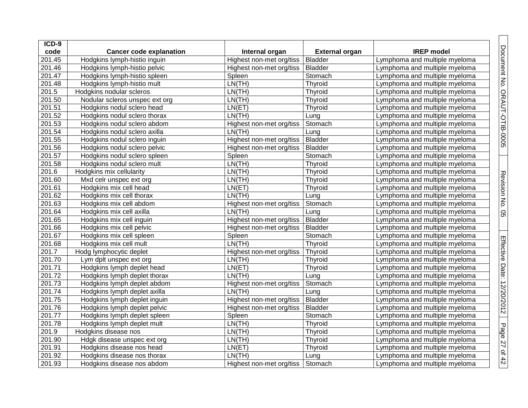| ICD-9  |                                |                          |                       |                               |
|--------|--------------------------------|--------------------------|-----------------------|-------------------------------|
| code   | <b>Cancer code explanation</b> | Internal organ           | <b>External organ</b> | <b>IREP</b> model             |
| 201.45 | Hodgkins lymph-histio inguin   | Highest non-met org/tiss | <b>Bladder</b>        | Lymphoma and multiple myeloma |
| 201.46 | Hodgkins lymph-histio pelvic   | Highest non-met org/tiss | <b>Bladder</b>        | Lymphoma and multiple myeloma |
| 201.47 | Hodgkins lymph-histio spleen   | Spleen                   | Stomach               | Lymphoma and multiple myeloma |
| 201.48 | Hodgkins lymph-histio mult     | LN(TH)                   | Thyroid               | Lymphoma and multiple myeloma |
| 201.5  | Hodgkins nodular scleros       | LN(TH)                   | Thyroid               | Lymphoma and multiple myeloma |
| 201.50 | Nodular scleros unspec ext org | LN(TH)                   | Thyroid               | Lymphoma and multiple myeloma |
| 201.51 | Hodgkins nodul sclero head     | LN(ET)                   | Thyroid               | Lymphoma and multiple myeloma |
| 201.52 | Hodgkins nodul sclero thorax   | LN(TH)                   | Lung                  | Lymphoma and multiple myeloma |
| 201.53 | Hodgkins nodul sclero abdom    | Highest non-met org/tiss | Stomach               | Lymphoma and multiple myeloma |
| 201.54 | Hodgkins nodul sclero axilla   | LN(TH)                   | Lung                  | Lymphoma and multiple myeloma |
| 201.55 | Hodgkins nodul sclero inguin   | Highest non-met org/tiss | <b>Bladder</b>        | Lymphoma and multiple myeloma |
| 201.56 | Hodgkins nodul sclero pelvic   | Highest non-met org/tiss | <b>Bladder</b>        | Lymphoma and multiple myeloma |
| 201.57 | Hodgkins nodul sclero spleen   | Spleen                   | Stomach               | Lymphoma and multiple myeloma |
| 201.58 | Hodgkins nodul sclero mult     | LN(TH)                   | Thyroid               | Lymphoma and multiple myeloma |
| 201.6  | Hodgkins mix cellularity       | LN(TH)                   | Thyroid               | Lymphoma and multiple myeloma |
| 201.60 | Mxd celr unspec ext org        | LN(TH)                   | Thyroid               | Lymphoma and multiple myeloma |
| 201.61 | Hodgkins mix cell head         | LN(ET)                   | Thyroid               | Lymphoma and multiple myeloma |
| 201.62 | Hodgkins mix cell thorax       | LN(TH)                   | Lung                  | Lymphoma and multiple myeloma |
| 201.63 | Hodgkins mix cell abdom        | Highest non-met org/tiss | Stomach               | Lymphoma and multiple myeloma |
| 201.64 | Hodgkins mix cell axilla       | LN(TH)                   | Lung                  | Lymphoma and multiple myeloma |
| 201.65 | Hodgkins mix cell inguin       | Highest non-met org/tiss | Bladder               | Lymphoma and multiple myeloma |
| 201.66 | Hodgkins mix cell pelvic       | Highest non-met org/tiss | <b>Bladder</b>        | Lymphoma and multiple myeloma |
| 201.67 | Hodgkins mix cell spleen       | Spleen                   | Stomach               | Lymphoma and multiple myeloma |
| 201.68 | Hodgkins mix cell mult         | LN(TH)                   | Thyroid               | Lymphoma and multiple myeloma |
| 201.7  | Hodg lymphocytic deplet        | Highest non-met org/tiss | Thyroid               | Lymphoma and multiple myeloma |
| 201.70 | Lym dplt unspec ext org        | LN(TH)                   | Thyroid               | Lymphoma and multiple myeloma |
| 201.71 | Hodgkins lymph deplet head     | LN(ET)                   | Thyroid               | Lymphoma and multiple myeloma |
| 201.72 | Hodgkins lymph deplet thorax   | LN(TH)                   | Lung                  | Lymphoma and multiple myeloma |
| 201.73 | Hodgkins lymph deplet abdom    | Highest non-met org/tiss | Stomach               | Lymphoma and multiple myeloma |
| 201.74 | Hodgkins lymph deplet axilla   | LN(TH)                   | Lung                  | Lymphoma and multiple myeloma |
| 201.75 | Hodgkins lymph deplet inguin   | Highest non-met org/tiss | <b>Bladder</b>        | Lymphoma and multiple myeloma |
| 201.76 | Hodgkins lymph deplet pelvic   | Highest non-met org/tiss | <b>Bladder</b>        | Lymphoma and multiple myeloma |
| 201.77 | Hodgkins lymph deplet spleen   | Spleen                   | Stomach               | Lymphoma and multiple myeloma |
| 201.78 | Hodgkins lymph deplet mult     | LN(TH)                   | Thyroid               | Lymphoma and multiple myeloma |
| 201.9  | Hodgkins disease nos           | LN(TH)                   | Thyroid               | Lymphoma and multiple myeloma |
| 201.90 | Hdgk disease unspec ext org    | LN(TH)                   | Thyroid               | Lymphoma and multiple myeloma |
| 201.91 | Hodgkins disease nos head      | LN(ET)                   | Thyroid               | Lymphoma and multiple myeloma |
| 201.92 | Hodgkins disease nos thorax    | LN(TH)                   | Lung                  | Lymphoma and multiple myeloma |
| 201.93 | Hodgkins disease nos abdom     | Highest non-met org/tiss | Stomach               | Lymphoma and multiple myeloma |

Document No. ORAUT-OTIB-0005

Revision No. 05

Revision No. 05

Effective Date: 12/20/2012

Page 27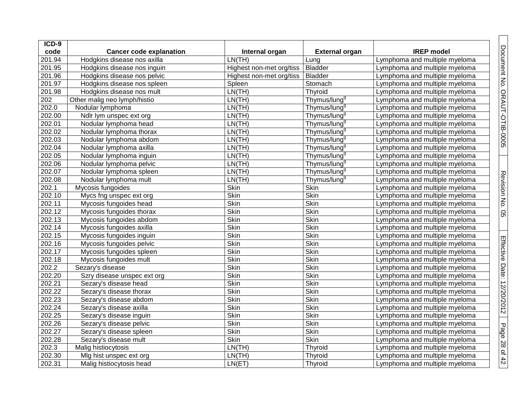| ICD-9  |                                |                          |                          |                               |
|--------|--------------------------------|--------------------------|--------------------------|-------------------------------|
| code   | <b>Cancer code explanation</b> | Internal organ           | <b>External organ</b>    | <b>IREP</b> model             |
| 201.94 | Hodgkins disease nos axilla    | LN(TH)                   | Lung                     | Lymphoma and multiple myeloma |
| 201.95 | Hodgkins disease nos inguin    | Highest non-met org/tiss | <b>Bladder</b>           | Lymphoma and multiple myeloma |
| 201.96 | Hodgkins disease nos pelvic    | Highest non-met org/tiss | <b>Bladder</b>           | Lymphoma and multiple myeloma |
| 201.97 | Hodgkins disease nos spleen    | Spleen                   | Stomach                  | Lymphoma and multiple myeloma |
| 201.98 | Hodgkins disease nos mult      | LN(TH)                   | Thyroid                  | Lymphoma and multiple myeloma |
| 202    | Other malig neo lymph/histio   | LN(TH)                   | Thymus/lung <sup>9</sup> | Lymphoma and multiple myeloma |
| 202.0  | Nodular lymphoma               | LN(TH)                   | Thymus/lung <sup>9</sup> | Lymphoma and multiple myeloma |
| 202.00 | Ndlr lym unspec ext org        | LN(TH)                   | Thymus/lung <sup>9</sup> | Lymphoma and multiple myeloma |
| 202.01 | Nodular lymphoma head          | LN(TH)                   | Thymus/lung <sup>9</sup> | Lymphoma and multiple myeloma |
| 202.02 | Nodular lymphoma thorax        | LN(TH)                   | Thymus/lung <sup>9</sup> | Lymphoma and multiple myeloma |
| 202.03 | Nodular lymphoma abdom         | LN(TH)                   | Thymus/lung <sup>9</sup> | Lymphoma and multiple myeloma |
| 202.04 | Nodular lymphoma axilla        | LN(TH)                   | Thymus/lung <sup>9</sup> | Lymphoma and multiple myeloma |
| 202.05 | Nodular lymphoma inguin        | LN(TH)                   | Thymus/lung <sup>9</sup> | Lymphoma and multiple myeloma |
| 202.06 | Nodular lymphoma pelvic        | LN(TH)                   | Thymus/lung <sup>9</sup> | Lymphoma and multiple myeloma |
| 202.07 | Nodular lymphoma spleen        | LN(TH)                   | Thymus/lung <sup>9</sup> | Lymphoma and multiple myeloma |
| 202.08 | Nodular lymphoma mult          | LN(TH)                   | Thymus/lung <sup>9</sup> | Lymphoma and multiple myeloma |
| 202.1  | Mycosis fungoides              | Skin                     | Skin                     | Lymphoma and multiple myeloma |
| 202.10 | Mycs fng unspec ext org        | Skin                     | Skin                     | Lymphoma and multiple myeloma |
| 202.11 | Mycosis fungoides head         | Skin                     | Skin                     | Lymphoma and multiple myeloma |
| 202.12 | Mycosis fungoides thorax       | Skin                     | Skin                     | Lymphoma and multiple myeloma |
| 202.13 | Mycosis fungoides abdom        | Skin                     | Skin                     | Lymphoma and multiple myeloma |
| 202.14 | Mycosis fungoides axilla       | Skin                     | Skin                     | Lymphoma and multiple myeloma |
| 202.15 | Mycosis fungoides inguin       | Skin                     | Skin                     | Lymphoma and multiple myeloma |
| 202.16 | Mycosis fungoides pelvic       | Skin                     | Skin                     | Lymphoma and multiple myeloma |
| 202.17 | Mycosis fungoides spleen       | Skin                     | Skin                     | Lymphoma and multiple myeloma |
| 202.18 | Mycosis fungoides mult         | Skin                     | Skin                     | Lymphoma and multiple myeloma |
| 202.2  | Sezary's disease               | Skin                     | Skin                     | Lymphoma and multiple myeloma |
| 202.20 | Szry disease unspec ext org    | Skin                     | Skin                     | Lymphoma and multiple myeloma |
| 202.21 | Sezary's disease head          | Skin                     | Skin                     | Lymphoma and multiple myeloma |
| 202.22 | Sezary's disease thorax        | Skin                     | Skin                     | Lymphoma and multiple myeloma |
| 202.23 | Sezary's disease abdom         | Skin                     | Skin                     | Lymphoma and multiple myeloma |
| 202.24 | Sezary's disease axilla        | Skin                     | Skin                     | Lymphoma and multiple myeloma |
| 202.25 | Sezary's disease inguin        | Skin                     | Skin                     | Lymphoma and multiple myeloma |
| 202.26 | Sezary's disease pelvic        | Skin                     | Skin                     | Lymphoma and multiple myeloma |
| 202.27 | Sezary's disease spleen        | Skin                     | <b>Skin</b>              | Lymphoma and multiple myeloma |
| 202.28 | Sezary's disease mult          | Skin                     | <b>Skin</b>              | Lymphoma and multiple myeloma |
| 202.3  | Malig histiocytosis            | LN(TH)                   | Thyroid                  | Lymphoma and multiple myeloma |
| 202.30 | Mig hist unspec ext org        | LN(TH)                   | Thyroid                  | Lymphoma and multiple myeloma |
| 202.31 | Malig histiocytosis head       | LN(ET)                   | Thyroid                  | Lymphoma and multiple myeloma |

Document No. ORAUT-OTIB-0005

Revision No. 05

Revision No. 05

Effective Date: 12/20/2012

Page 28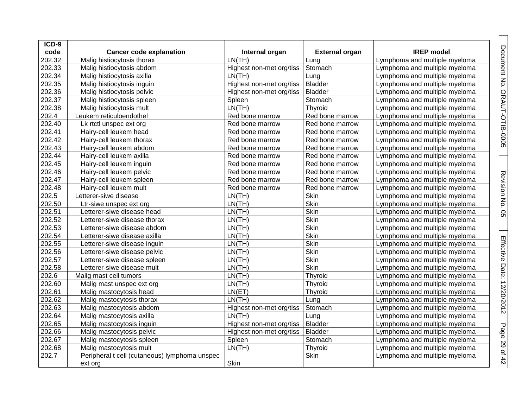| ICD-9               |                                               |                          |                       |                               |
|---------------------|-----------------------------------------------|--------------------------|-----------------------|-------------------------------|
| code                | <b>Cancer code explanation</b>                | Internal organ           | <b>External organ</b> | <b>IREP</b> model             |
| 202.32              | Malig histiocytosis thorax                    | LN(TH)                   | Lung                  | Lymphoma and multiple myeloma |
| 202.33              | Malig histiocytosis abdom                     | Highest non-met org/tiss | Stomach               | Lymphoma and multiple myeloma |
| 202.34              | Malig histiocytosis axilla                    | LN(TH)                   | Lung                  | Lymphoma and multiple myeloma |
| 202.35              | Malig histiocytosis inguin                    | Highest non-met org/tiss | <b>Bladder</b>        | Lymphoma and multiple myeloma |
| 202.36              | Malig histiocytosis pelvic                    | Highest non-met org/tiss | <b>Bladder</b>        | Lymphoma and multiple myeloma |
| 202.37              | Malig histiocytosis spleen                    | Spleen                   | Stomach               | Lymphoma and multiple myeloma |
| 202.38              | Malig histiocytosis mult                      | LN(TH)                   | Thyroid               | Lymphoma and multiple myeloma |
| 202.4               | Leukem reticuloendothel                       | Red bone marrow          | Red bone marrow       | Lymphoma and multiple myeloma |
| 202.40              | Lk rtctl unspec ext org                       | Red bone marrow          | Red bone marrow       | Lymphoma and multiple myeloma |
| 202.41              | Hairy-cell leukem head                        | Red bone marrow          | Red bone marrow       | Lymphoma and multiple myeloma |
| 202.42              | Hairy-cell leukem thorax                      | Red bone marrow          | Red bone marrow       | Lymphoma and multiple myeloma |
| 202.43              | Hairy-cell leukem abdom                       | Red bone marrow          | Red bone marrow       | Lymphoma and multiple myeloma |
| 202.44              | Hairy-cell leukem axilla                      | Red bone marrow          | Red bone marrow       | Lymphoma and multiple myeloma |
| $\overline{202.45}$ | Hairy-cell leukem inguin                      | Red bone marrow          | Red bone marrow       | Lymphoma and multiple myeloma |
| 202.46              | Hairy-cell leukem pelvic                      | Red bone marrow          | Red bone marrow       | Lymphoma and multiple myeloma |
| 202.47              | Hairy-cell leukem spleen                      | Red bone marrow          | Red bone marrow       | Lymphoma and multiple myeloma |
| 202.48              | Hairy-cell leukem mult                        | Red bone marrow          | Red bone marrow       | Lymphoma and multiple myeloma |
| 202.5               | Letterer-siwe disease                         | LN(TH)                   | Skin                  | Lymphoma and multiple myeloma |
| 202.50              | Ltr-siwe unspec ext org                       | LN(TH)                   | Skin                  | Lymphoma and multiple myeloma |
| 202.51              | Letterer-siwe disease head                    | LN(TH)                   | Skin                  | Lymphoma and multiple myeloma |
| 202.52              | Letterer-siwe disease thorax                  | LN(TH)                   | Skin                  | Lymphoma and multiple myeloma |
| 202.53              | Letterer-siwe disease abdom                   | LN(TH)                   | Skin                  | Lymphoma and multiple myeloma |
| 202.54              | Letterer-siwe disease axilla                  | LN(TH)                   | Skin                  | Lymphoma and multiple myeloma |
| 202.55              | Letterer-siwe disease inguin                  | LN(TH)                   | Skin                  | Lymphoma and multiple myeloma |
| 202.56              | Letterer-siwe disease pelvic                  | LN(TH)                   | Skin                  | Lymphoma and multiple myeloma |
| 202.57              | Letterer-siwe disease spleen                  | LN(TH)                   | Skin                  | Lymphoma and multiple myeloma |
| 202.58              | Letterer-siwe disease mult                    | LN(TH)                   | Skin                  | Lymphoma and multiple myeloma |
| 202.6               | Malig mast cell tumors                        | LN(TH)                   | Thyroid               | Lymphoma and multiple myeloma |
| 202.60              | Malig mast unspec ext org                     | LN(TH)                   | Thyroid               | Lymphoma and multiple myeloma |
| 202.61              | Malig mastocytosis head                       | LN(ET)                   | Thyroid               | Lymphoma and multiple myeloma |
| 202.62              | Malig mastocytosis thorax                     | LN(TH)                   | Lung                  | Lymphoma and multiple myeloma |
| 202.63              | Malig mastocytosis abdom                      | Highest non-met org/tiss | Stomach               | Lymphoma and multiple myeloma |
| 202.64              | Malig mastocytosis axilla                     | LN(TH)                   | Lung                  | Lymphoma and multiple myeloma |
| 202.65              | Malig mastocytosis inguin                     | Highest non-met org/tiss | <b>Bladder</b>        | Lymphoma and multiple myeloma |
| 202.66              | Malig mastocytosis pelvic                     | Highest non-met org/tiss | <b>Bladder</b>        | Lymphoma and multiple myeloma |
| 202.67              | Malig mastocytosis spleen                     | Spleen                   | Stomach               | Lymphoma and multiple myeloma |
| 202.68              | Malig mastocytosis mult                       | LN(TH)                   | Thyroid               | Lymphoma and multiple myeloma |
| 202.7               | Peripheral t cell (cutaneous) lymphoma unspec |                          | Skin                  | Lymphoma and multiple myeloma |
|                     | ext org                                       | Skin                     |                       |                               |

Document No. ORAUT-OTIB-0005

Revision No. 0

ပာ

Effective Date: 12/20/2012

Page 29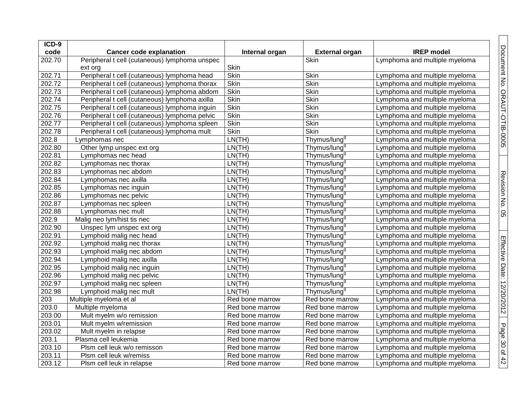| ICD-9  |                                               |                 |                          |                               |
|--------|-----------------------------------------------|-----------------|--------------------------|-------------------------------|
| code   | <b>Cancer code explanation</b>                | Internal organ  | <b>External organ</b>    | <b>IREP</b> model             |
| 202.70 | Peripheral t cell (cutaneous) lymphoma unspec |                 | Skin                     | Lymphoma and multiple myeloma |
|        | ext org                                       | Skin            |                          |                               |
| 202.71 | Peripheral t cell (cutaneous) lymphoma head   | Skin            | Skin                     | Lymphoma and multiple myeloma |
| 202.72 | Peripheral t cell (cutaneous) lymphoma thorax | Skin            | Skin                     | Lymphoma and multiple myeloma |
| 202.73 | Peripheral t cell (cutaneous) lymphoma abdom  | Skin            | <b>Skin</b>              | Lymphoma and multiple myeloma |
| 202.74 | Peripheral t cell (cutaneous) lymphoma axilla | Skin            | Skin                     | Lymphoma and multiple myeloma |
| 202.75 | Peripheral t cell (cutaneous) lymphoma inguin | <b>Skin</b>     | Skin                     | Lymphoma and multiple myeloma |
| 202.76 | Peripheral t cell (cutaneous) lymphoma pelvic | Skin            | Skin                     | Lymphoma and multiple myeloma |
| 202.77 | Peripheral t cell (cutaneous) lymphoma spleen | Skin            | Skin                     | Lymphoma and multiple myeloma |
| 202.78 | Peripheral t cell (cutaneous) lymphoma mult   | <b>Skin</b>     | Skin                     | Lymphoma and multiple myeloma |
| 202.8  | Lymphomas nec                                 | LN(TH)          | Thymus/lung <sup>9</sup> | Lymphoma and multiple myeloma |
| 202.80 | Other lymp unspec ext org                     | LN(TH)          | Thymus/lung <sup>9</sup> | Lymphoma and multiple myeloma |
| 202.81 | Lymphomas nec head                            | LN(TH)          | Thymus/lung <sup>9</sup> | Lymphoma and multiple myeloma |
| 202.82 | Lymphomas nec thorax                          | LN(TH)          | Thymus/lung <sup>9</sup> | Lymphoma and multiple myeloma |
| 202.83 | Lymphomas nec abdom                           | LN(TH)          | Thymus/lung <sup>9</sup> | Lymphoma and multiple myeloma |
| 202.84 | Lymphomas nec axilla                          | LN(TH)          | Thymus/lung <sup>9</sup> | Lymphoma and multiple myeloma |
| 202.85 | Lymphomas nec inguin                          | LN(TH)          | Thymus/lung <sup>9</sup> | Lymphoma and multiple myeloma |
| 202.86 | Lymphomas nec pelvic                          | LN(TH)          | Thymus/lung <sup>9</sup> | Lymphoma and multiple myeloma |
| 202.87 | Lymphomas nec spleen                          | LN(TH)          | Thymus/lung <sup>9</sup> | Lymphoma and multiple myeloma |
| 202.88 | Lymphomas nec mult                            | LN(TH)          | Thymus/lung <sup>9</sup> | Lymphoma and multiple myeloma |
| 202.9  | Malig neo lym/hist tis nec                    | LN(TH)          | Thymus/lung <sup>9</sup> | Lymphoma and multiple myeloma |
| 202.90 | Unspec lym unspec ext org                     | LN(TH)          | Thymus/lung <sup>9</sup> | Lymphoma and multiple myeloma |
| 202.91 | Lymphoid malig nec head                       | LN(TH)          | Thymus/lung <sup>9</sup> | Lymphoma and multiple myeloma |
| 202.92 | Lymphoid malig nec thorax                     | LN(TH)          | Thymus/lung <sup>9</sup> | Lymphoma and multiple myeloma |
| 202.93 | Lymphoid malig nec abdom                      | LN(TH)          | Thymus/lung <sup>9</sup> | Lymphoma and multiple myeloma |
| 202.94 | Lymphoid malig nec axilla                     | LN(TH)          | Thymus/lung <sup>9</sup> | Lymphoma and multiple myeloma |
| 202.95 | Lymphoid malig nec inguin                     | LN(TH)          | Thymus/lung <sup>9</sup> | Lymphoma and multiple myeloma |
| 202.96 | Lymphoid malig nec pelvic                     | LN(TH)          | Thymus/lung <sup>9</sup> | Lymphoma and multiple myeloma |
| 202.97 | Lymphoid malig nec spleen                     | LN(TH)          | Thymus/lung <sup>9</sup> | Lymphoma and multiple myeloma |
| 202.98 | Lymphoid malig nec mult                       | LN(TH)          | Thymus/lung <sup>9</sup> | Lymphoma and multiple myeloma |
| 203    | Multiple myeloma et al                        | Red bone marrow | Red bone marrow          | Lymphoma and multiple myeloma |
| 203.0  | Multiple myeloma                              | Red bone marrow | Red bone marrow          | Lymphoma and multiple myeloma |
| 203.00 | Mult myelm w/o remission                      | Red bone marrow | Red bone marrow          | Lymphoma and multiple myeloma |
| 203.01 | Mult myelm w/remission                        | Red bone marrow | Red bone marrow          | Lymphoma and multiple myeloma |
| 203.02 | Mult myelm in relapse                         | Red bone marrow | Red bone marrow          | Lymphoma and multiple myeloma |
| 203.1  | Plasma cell leukemia                          | Red bone marrow | Red bone marrow          | Lymphoma and multiple myeloma |
| 203.10 | Plsm cell leuk w/o remisson                   | Red bone marrow | Red bone marrow          | Lymphoma and multiple myeloma |
| 203.11 | Plsm cell leuk w/remiss                       | Red bone marrow | Red bone marrow          | Lymphoma and multiple myeloma |
| 203.12 | Plsm cell leuk in relapse                     | Red bone marrow | Red bone marrow          | Lymphoma and multiple myeloma |

Document No. ORAUT-OTIB-0005

Revision No. 0 Revision No. 05

Effective Date: 12/20/2012

Page 30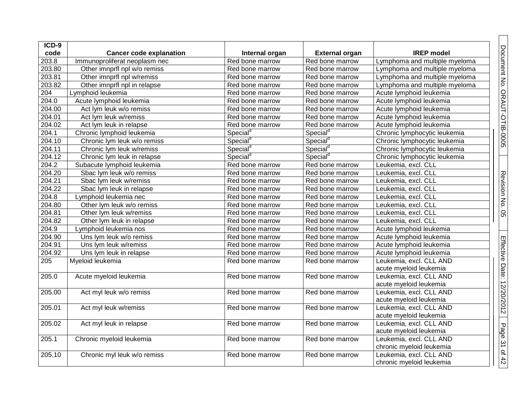| ICD-9              |                                |                      |                       |                               |
|--------------------|--------------------------------|----------------------|-----------------------|-------------------------------|
| code               | <b>Cancer code explanation</b> | Internal organ       | <b>External organ</b> | <b>IREP</b> model             |
| 203.8              | Immunoproliferat neoplasm nec  | Red bone marrow      | Red bone marrow       | Lymphoma and multiple myeloma |
| 203.80             | Other imnprfl npl w/o remiss   | Red bone marrow      | Red bone marrow       | Lymphoma and multiple myeloma |
| 203.81             | Other imnprfl npl w/remiss     | Red bone marrow      | Red bone marrow       | Lymphoma and multiple myeloma |
| 203.82             | Other imnprfl npl in relapse   | Red bone marrow      | Red bone marrow       | Lymphoma and multiple myeloma |
| 204                | Lymphoid leukemia              | Red bone marrow      | Red bone marrow       | Acute lymphoid leukemia       |
| 204.0              | Acute lymphoid leukemia        | Red bone marrow      | Red bone marrow       | Acute lymphoid leukemia       |
| 204.00             | Act lym leuk w/o remiss        | Red bone marrow      | Red bone marrow       | Acute lymphoid leukemia       |
| 204.01             | Act lym leuk w/remiss          | Red bone marrow      | Red bone marrow       | Acute lymphoid leukemia       |
| 204.02             | Act lym leuk in relapse        | Red bone marrow      | Red bone marrow       | Acute lymphoid leukemia       |
| 204.1              | Chronic lymphoid leukemia      | Special <sup>d</sup> | Special <sup>d</sup>  | Chronic lymphocytic leukemia  |
| 204.10             | Chronic lym leuk w/o remiss    | Special <sup>d</sup> | Special <sup>d</sup>  | Chronic lymphocytic leukemia  |
| 204.11             | Chronic lym leuk w/remiss      | Special <sup>d</sup> | Special <sup>d</sup>  | Chronic lymphocytic leukemia  |
| 204.12             | Chronic lym leuk in relapse    | Special <sup>d</sup> | Special <sup>d</sup>  | Chronic lymphocytic leukemia  |
| 204.2              | Subacute lymphoid leukemia     | Red bone marrow      | Red bone marrow       | Leukemia, excl. CLL           |
| 204.20             | Sbac lym leuk w/o remiss       | Red bone marrow      | Red bone marrow       | Leukemia, excl. CLL           |
| 204.21             | Sbac lym leuk w/remiss         | Red bone marrow      | Red bone marrow       | Leukemia, excl. CLL           |
| 204.22             | Sbac lym leuk in relapse       | Red bone marrow      | Red bone marrow       | Leukemia, excl. CLL           |
| 204.8              | Lymphoid leukemia nec          | Red bone marrow      | Red bone marrow       | Leukemia, excl. CLL           |
| 204.80             | Other lym leuk w/o remiss      | Red bone marrow      | Red bone marrow       | Leukemia, excl. CLL           |
| 204.81             | Other lym leuk w/remiss        | Red bone marrow      | Red bone marrow       | Leukemia, excl. CLL           |
| 204.82             | Other lym leuk in relapse      | Red bone marrow      | Red bone marrow       | Leukemia, excl. CLL           |
| 204.9              | Lymphoid leukemia nos          | Red bone marrow      | Red bone marrow       | Acute lymphoid leukemia       |
| 204.90             | Uns lym leuk w/o remiss        | Red bone marrow      | Red bone marrow       | Acute lymphoid leukemia       |
| 204.91             | Uns lym leuk w/remiss          | Red bone marrow      | Red bone marrow       | Acute lymphoid leukemia       |
| 204.92             | Uns lym leuk in relapse        | Red bone marrow      | Red bone marrow       | Acute lymphoid leukemia       |
| 205                | Myeloid leukemia               | Red bone marrow      | Red bone marrow       | Leukemia, excl. CLL AND       |
|                    |                                |                      |                       | acute myeloid leukemia        |
| 205.0              | Acute myeloid leukemia         | Red bone marrow      | Red bone marrow       | Leukemia, excl. CLL AND       |
|                    |                                |                      |                       | acute myeloid leukemia        |
| 205.00             | Act myl leuk w/o remiss        | Red bone marrow      | Red bone marrow       | Leukemia, excl. CLL AND       |
|                    |                                |                      |                       | acute myeloid leukemia        |
| 205.01             | Act myl leuk w/remiss          | Red bone marrow      | Red bone marrow       | Leukemia, excl. CLL AND       |
|                    |                                |                      |                       | acute myeloid leukemia        |
| 205.02             | Act myl leuk in relapse        | Red bone marrow      | Red bone marrow       | Leukemia, excl. CLL AND       |
|                    |                                |                      |                       | acute myeloid leukemia        |
| $\overline{2}05.1$ | Chronic myeloid leukemia       | Red bone marrow      | Red bone marrow       | Leukemia, excl. CLL AND       |
|                    |                                |                      |                       | chronic myeloid leukemia      |
| 205.10             | Chronic myl leuk w/o remiss    | Red bone marrow      | Red bone marrow       | Leukemia, excl. CLL AND       |
|                    |                                |                      |                       | chronic myeloid leukemia      |

Document No. ORAUT-OTIB-0005

Revision No. 05

Effective Date: 12/20/2012

Page 31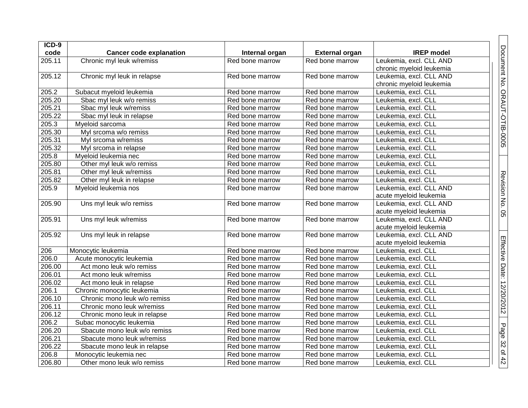| ICD-9  |                                |                 |                       |                          |  |
|--------|--------------------------------|-----------------|-----------------------|--------------------------|--|
| code   | <b>Cancer code explanation</b> | Internal organ  | <b>External organ</b> | <b>IREP</b> model        |  |
| 205.11 | Chronic myl leuk w/remiss      | Red bone marrow | Red bone marrow       | Leukemia, excl. CLL AND  |  |
|        |                                |                 |                       | chronic myeloid leukemia |  |
| 205.12 | Chronic myl leuk in relapse    | Red bone marrow | Red bone marrow       | Leukemia, excl. CLL AND  |  |
|        |                                |                 |                       | chronic myeloid leukemia |  |
| 205.2  | Subacut myeloid leukemia       | Red bone marrow | Red bone marrow       | Leukemia, excl. CLL      |  |
| 205.20 | Sbac myl leuk w/o remiss       | Red bone marrow | Red bone marrow       | Leukemia, excl. CLL      |  |
| 205.21 | Sbac myl leuk w/remiss         | Red bone marrow | Red bone marrow       | Leukemia, excl. CLL      |  |
| 205.22 | Sbac myl leuk in relapse       | Red bone marrow | Red bone marrow       | Leukemia, excl. CLL      |  |
| 205.3  | Myeloid sarcoma                | Red bone marrow | Red bone marrow       | Leukemia, excl. CLL      |  |
| 205.30 | Myl srcoma w/o remiss          | Red bone marrow | Red bone marrow       | Leukemia, excl. CLL      |  |
| 205.31 | Myl srcoma w/remiss            | Red bone marrow | Red bone marrow       | Leukemia, excl. CLL      |  |
| 205.32 | Myl srcoma in relapse          | Red bone marrow | Red bone marrow       | Leukemia, excl. CLL      |  |
| 205.8  | Myeloid leukemia nec           | Red bone marrow | Red bone marrow       | Leukemia, excl. CLL      |  |
| 205.80 | Other myl leuk w/o remiss      | Red bone marrow | Red bone marrow       | Leukemia, excl. CLL      |  |
| 205.81 | Other myl leuk w/remiss        | Red bone marrow | Red bone marrow       | Leukemia, excl. CLL      |  |
| 205.82 | Other myl leuk in relapse      | Red bone marrow | Red bone marrow       | Leukemia, excl. CLL      |  |
| 205.9  | Myeloid leukemia nos           | Red bone marrow | Red bone marrow       | Leukemia, excl. CLL AND  |  |
|        |                                |                 |                       | acute myeloid leukemia   |  |
| 205.90 | Uns myl leuk w/o remiss        | Red bone marrow | Red bone marrow       | Leukemia, excl. CLL AND  |  |
|        |                                |                 |                       | acute myeloid leukemia   |  |
| 205.91 | Uns myl leuk w/remiss          | Red bone marrow | Red bone marrow       | Leukemia, excl. CLL AND  |  |
|        |                                |                 |                       | acute myeloid leukemia   |  |
| 205.92 | Uns myl leuk in relapse        | Red bone marrow | Red bone marrow       | Leukemia, excl. CLL AND  |  |
|        |                                |                 |                       | acute myeloid leukemia   |  |
| 206    | Monocytic leukemia             | Red bone marrow | Red bone marrow       | Leukemia, excl. CLL      |  |
| 206.0  | Acute monocytic leukemia       | Red bone marrow | Red bone marrow       | Leukemia, excl. CLL      |  |
| 206.00 | Act mono leuk w/o remiss       | Red bone marrow | Red bone marrow       | Leukemia, excl. CLL      |  |
| 206.01 | Act mono leuk w/remiss         | Red bone marrow | Red bone marrow       | Leukemia, excl. CLL      |  |
| 206.02 | Act mono leuk in relapse       | Red bone marrow | Red bone marrow       | Leukemia, excl. CLL      |  |
| 206.1  | Chronic monocytic leukemia     | Red bone marrow | Red bone marrow       | Leukemia, excl. CLL      |  |
| 206.10 | Chronic mono leuk w/o remiss   | Red bone marrow | Red bone marrow       | Leukemia, excl. CLL      |  |
| 206.11 | Chronic mono leuk w/remiss     | Red bone marrow | Red bone marrow       | Leukemia, excl. CLL      |  |
| 206.12 | Chronic mono leuk in relapse   | Red bone marrow | Red bone marrow       | Leukemia, excl. CLL      |  |
| 206.2  | Subac monocytic leukemia       | Red bone marrow | Red bone marrow       | Leukemia, excl. CLL      |  |
| 206.20 | Sbacute mono leuk w/o remiss   | Red bone marrow | Red bone marrow       | Leukemia, excl. CLL      |  |
| 206.21 | Sbacute mono leuk w/remiss     | Red bone marrow | Red bone marrow       | Leukemia, excl. CLL      |  |
| 206.22 | Sbacute mono leuk in relapse   | Red bone marrow | Red bone marrow       | Leukemia, excl. CLL      |  |
| 206.8  | Monocytic leukemia nec         | Red bone marrow | Red bone marrow       | Leukemia, excl. CLL      |  |
| 206.80 | Other mono leuk w/o remiss     | Red bone marrow | Red bone marrow       | Leukemia, excl. CLL      |  |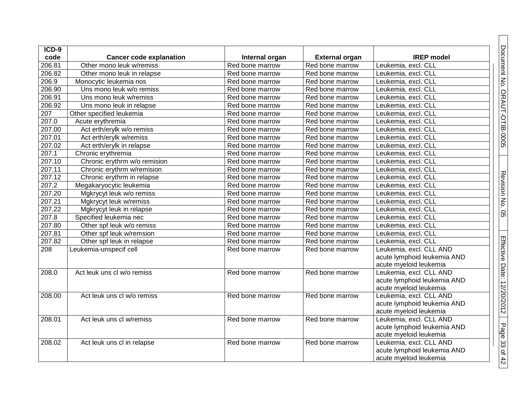| ICD-9            |                                |                 |                       |                             |
|------------------|--------------------------------|-----------------|-----------------------|-----------------------------|
| code             | <b>Cancer code explanation</b> | Internal organ  | <b>External organ</b> | <b>IREP</b> model           |
| 206.81           | Other mono leuk w/remiss       | Red bone marrow | Red bone marrow       | Leukemia, excl. CLL         |
| 206.82           | Other mono leuk in relapse     | Red bone marrow | Red bone marrow       | Leukemia, excl. CLL         |
| 206.9            | Monocytic leukemia nos         | Red bone marrow | Red bone marrow       | Leukemia, excl. CLL         |
| 206.90           | Uns mono leuk w/o remiss       | Red bone marrow | Red bone marrow       | Leukemia, excl. CLL         |
| 206.91           | Uns mono leuk w/remiss         | Red bone marrow | Red bone marrow       | Leukemia, excl. CLL         |
| 206.92           | Uns mono leuk in relapse       | Red bone marrow | Red bone marrow       | Leukemia, excl. CLL         |
| $\overline{207}$ | Other specified leukemia       | Red bone marrow | Red bone marrow       | Leukemia, excl. CLL         |
| 207.0            | Acute erythremia               | Red bone marrow | Red bone marrow       | Leukemia, excl. CLL         |
| 207.00           | Act erth/erylk w/o remiss      | Red bone marrow | Red bone marrow       | Leukemia, excl. CLL         |
| 207.01           | Act erth/erylk w/remiss        | Red bone marrow | Red bone marrow       | Leukemia, excl. CLL         |
| 207.02           | Act erth/erylk in relapse      | Red bone marrow | Red bone marrow       | Leukemia, excl. CLL         |
| 207.1            | Chronic erythremia             | Red bone marrow | Red bone marrow       | Leukemia, excl. CLL         |
| 207.10           | Chronic erythrm w/o remision   | Red bone marrow | Red bone marrow       | Leukemia, excl. CLL         |
| 207.11           | Chronic erythrm w/remision     | Red bone marrow | Red bone marrow       | Leukemia, excl. CLL         |
| 207.12           | Chronic erythrm in relapse     | Red bone marrow | Red bone marrow       | Leukemia, excl. CLL         |
| 207.2            | Megakaryocytic leukemia        | Red bone marrow | Red bone marrow       | Leukemia, excl. CLL         |
| 207.20           | Mgkrycyt leuk w/o remiss       | Red bone marrow | Red bone marrow       | Leukemia, excl. CLL         |
| 207.21           | Mgkrycyt leuk w/remiss         | Red bone marrow | Red bone marrow       | Leukemia, excl. CLL         |
| 207.22           | Mgkrycyt leuk in relapse       | Red bone marrow | Red bone marrow       | Leukemia, excl. CLL         |
| 207.8            | Specified leukemia nec         | Red bone marrow | Red bone marrow       | Leukemia, excl. CLL         |
| 207.80           | Other spf leuk w/o remiss      | Red bone marrow | Red bone marrow       | Leukemia, excl. CLL         |
| 207.81           | Other spf leuk w/remsion       | Red bone marrow | Red bone marrow       | Leukemia, excl. CLL         |
| 207.82           | Other spf leuk in relapse      | Red bone marrow | Red bone marrow       | Leukemia, excl. CLL         |
| 208              | Leukemia-unspecif cell         | Red bone marrow | Red bone marrow       | Leukemia, excl. CLL AND     |
|                  |                                |                 |                       | acute lymphoid leukemia AND |
|                  |                                |                 |                       | acute myeloid leukemia      |
| 208.0            | Act leuk uns cl w/o remiss     | Red bone marrow | Red bone marrow       | Leukemia, excl. CLL AND     |
|                  |                                |                 |                       | acute lymphoid leukemia AND |
|                  |                                |                 |                       | acute myeloid leukemia      |
| 208.00           | Act leuk uns cl w/o remiss     | Red bone marrow | Red bone marrow       | Leukemia, excl. CLL AND     |
|                  |                                |                 |                       | acute lymphoid leukemia AND |
|                  |                                |                 |                       | acute myeloid leukemia      |
| 208.01           | Act leuk uns cl w/remiss       | Red bone marrow | Red bone marrow       | Leukemia, excl. CLL AND     |
|                  |                                |                 |                       | acute lymphoid leukemia AND |
|                  |                                |                 |                       | acute myeloid leukemia      |
| 208.02           | Act leuk uns cl in relapse     | Red bone marrow | Red bone marrow       | Leukemia, excl. CLL AND     |
|                  |                                |                 |                       | acute lymphoid leukemia AND |
|                  |                                |                 |                       | acute myeloid leukemia      |

Document No. ORAUT-OTIB-0005

Revision No. 05

Effective Date: 12/20/2012

Page 33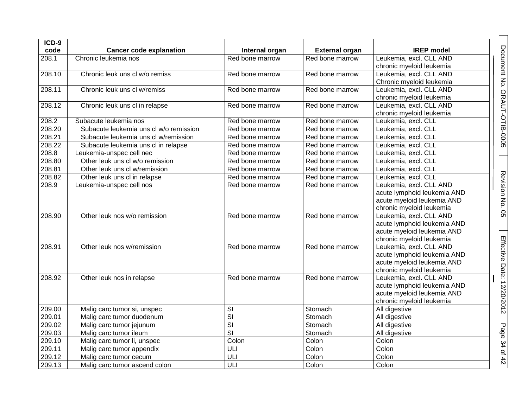| $ICD-9$ |                                        |                         |                       |                             |
|---------|----------------------------------------|-------------------------|-----------------------|-----------------------------|
| code    | <b>Cancer code explanation</b>         | Internal organ          | <b>External organ</b> | <b>IREP</b> model           |
| 208.1   | Chronic leukemia nos                   | Red bone marrow         | Red bone marrow       | Leukemia, excl. CLL AND     |
|         |                                        |                         |                       | chronic myeloid leukemia    |
| 208.10  | Chronic leuk uns cl w/o remiss         | Red bone marrow         | Red bone marrow       | Leukemia, excl. CLL AND     |
|         |                                        |                         |                       | Chronic myeloid leukemia    |
| 208.11  | Chronic leuk uns cl w/remiss           | Red bone marrow         | Red bone marrow       | Leukemia, excl. CLL AND     |
|         |                                        |                         |                       | chronic myeloid leukemia    |
| 208.12  | Chronic leuk uns cl in relapse         | Red bone marrow         | Red bone marrow       | Leukemia, excl. CLL AND     |
|         |                                        |                         |                       | chronic myeloid leukemia    |
| 208.2   | Subacute leukemia nos                  | Red bone marrow         | Red bone marrow       | Leukemia, excl. CLL         |
| 208.20  | Subacute leukemia uns cl w/o remission | Red bone marrow         | Red bone marrow       | Leukemia, excl. CLL         |
| 208.21  | Subacute leukemia uns cl w/remission   | Red bone marrow         | Red bone marrow       | Leukemia, excl. CLL         |
| 208.22  | Subacute leukemia uns cl in relapse    | Red bone marrow         | Red bone marrow       | Leukemia, excl. CLL         |
| 208.8   | Leukemia-unspec cell nec               | Red bone marrow         | Red bone marrow       | Leukemia, excl. CLL         |
| 208.80  | Other leuk uns cl w/o remission        | Red bone marrow         | Red bone marrow       | Leukemia, excl. CLL         |
| 208.81  | Other leuk uns cl w/remission          | Red bone marrow         | Red bone marrow       | Leukemia, excl. CLL         |
| 208.82  | Other leuk uns cl in relapse           | Red bone marrow         | Red bone marrow       | Leukemia, excl. CLL         |
| 208.9   | Leukemia-unspec cell nos               | Red bone marrow         | Red bone marrow       | Leukemia, excl. CLL AND     |
|         |                                        |                         |                       | acute lymphoid leukemia AND |
|         |                                        |                         |                       | acute myeloid leukemia AND  |
|         |                                        |                         |                       | chronic myeloid leukemia    |
| 208.90  | Other leuk nos w/o remission           | Red bone marrow         | Red bone marrow       | Leukemia, excl. CLL AND     |
|         |                                        |                         |                       | acute lymphoid leukemia AND |
|         |                                        |                         |                       | acute myeloid leukemia AND  |
|         |                                        |                         |                       | chronic myeloid leukemia    |
| 208.91  | Other leuk nos w/remission             | Red bone marrow         | Red bone marrow       | Leukemia, excl. CLL AND     |
|         |                                        |                         |                       | acute lymphoid leukemia AND |
|         |                                        |                         |                       | acute myeloid leukemia AND  |
|         |                                        |                         |                       | chronic myeloid leukemia    |
| 208.92  | Other leuk nos in relapse              | Red bone marrow         | Red bone marrow       | Leukemia, excl. CLL AND     |
|         |                                        |                         |                       | acute lymphoid leukemia AND |
|         |                                        |                         |                       | acute myeloid leukemia AND  |
|         |                                        |                         |                       | chronic myeloid leukemia    |
| 209.00  | Malig carc tumor si, unspec            | $\overline{\mathbf{s}}$ | Stomach               | All digestive               |
| 209.01  | Malig carc tumor duodenum              | $\overline{\mathsf{S}}$ | Stomach               | All digestive               |
| 209.02  | Malig carc tumor jejunum               | $\overline{\mathsf{S}}$ | Stomach               | All digestive               |
| 209.03  | Malig carc tumor ileum                 | $\overline{\mathbf{s}}$ | Stomach               | All digestive               |
| 209.10  | Malig carc tumor li, unspec            | Colon                   | Colon                 | Colon                       |
| 209.11  | Malig carc tumor appendix              | ULI                     | Colon                 | Colon                       |
| 209.12  | Malig carc tumor cecum                 | ULI                     | Colon                 | Colon                       |
| 209.13  | Malig carc tumor ascend colon          | ULI                     | Colon                 | Colon                       |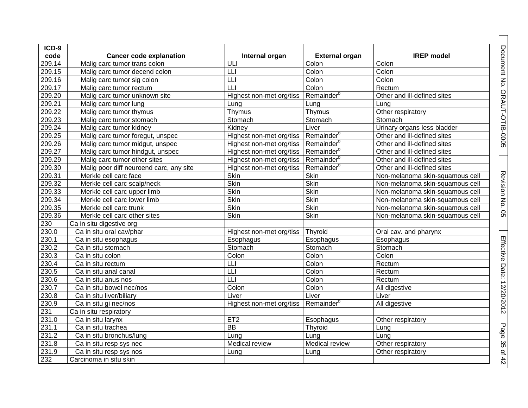| $ICD-9$ |                                         |                          |                        |                                 |
|---------|-----------------------------------------|--------------------------|------------------------|---------------------------------|
| code    | <b>Cancer code explanation</b>          | Internal organ           | <b>External organ</b>  | <b>IREP</b> model               |
| 209.14  | Malig carc tumor trans colon            | ULI                      | Colon                  | Colon                           |
| 209.15  | Malig carc tumor decend colon           | $\overline{L}$           | Colon                  | Colon                           |
| 209.16  | Malig carc tumor sig colon              | $\overline{L}$           | Colon                  | Colon                           |
| 209.17  | Malig carc tumor rectum                 |                          | Colon                  | Rectum                          |
| 209.20  | Malig carc tumor unknown site           | Highest non-met org/tiss | Remainder <sup>b</sup> | Other and ill-defined sites     |
| 209.21  | Malig carc tumor lung                   | Lung                     | Lung                   | Lung                            |
| 209.22  | Malig carc tumor thymus                 | Thymus                   | Thymus                 | Other respiratory               |
| 209.23  | Malig carc tumor stomach                | Stomach                  | Stomach                | Stomach                         |
| 209.24  | Malig carc tumor kidney                 | Kidney                   | Liver                  | Urinary organs less bladder     |
| 209.25  | Malig carc tumor foregut, unspec        | Highest non-met org/tiss | Remainder <sup>b</sup> | Other and ill-defined sites     |
| 209.26  | Malig carc tumor midgut, unspec         | Highest non-met org/tiss | Remainder <sup>b</sup> | Other and ill-defined sites     |
| 209.27  | Malig carc tumor hindgut, unspec        | Highest non-met org/tiss | Remainder <sup>b</sup> | Other and ill-defined sites     |
| 209.29  | Malig carc tumor other sites            | Highest non-met org/tiss | Remainder <sup>b</sup> | Other and ill-defined sites     |
| 209.30  | Malig poor diff neuroend carc, any site | Highest non-met org/tiss | Remainder <sup>b</sup> | Other and ill-defined sites     |
| 209.31  | Merkle cell carc face                   | Skin                     | Skin                   | Non-melanoma skin-squamous cell |
| 209.32  | Merkle cell carc scalp/neck             | <b>Skin</b>              | Skin                   | Non-melanoma skin-squamous cell |
| 209.33  | Merkle cell carc upper limb             | Skin                     | Skin                   | Non-melanoma skin-squamous cell |
| 209.34  | Merkle cell carc lower limb             | Skin                     | Skin                   | Non-melanoma skin-squamous cell |
| 209.35  | Merkle cell carc trunk                  | <b>Skin</b>              | Skin                   | Non-melanoma skin-squamous cell |
| 209.36  | Merkle cell carc other sites            | <b>Skin</b>              | Skin                   | Non-melanoma skin-squamous cell |
| 230     | Ca in situ digestive org                |                          |                        |                                 |
| 230.0   | Ca in situ oral cav/phar                | Highest non-met org/tiss | Thyroid                | Oral cav. and pharynx           |
| 230.1   | Ca in situ esophagus                    | Esophagus                | Esophagus              | Esophagus                       |
| 230.2   | Ca in situ stomach                      | Stomach                  | Stomach                | Stomach                         |
| 230.3   | Ca in situ colon                        | Colon                    | Colon                  | Colon                           |
| 230.4   | Ca in situ rectum                       | LLI                      | Colon                  | Rectum                          |
| 230.5   | Ca in situ anal canal                   | $\overline{L}$           | Colon                  | Rectum                          |
| 230.6   | Ca in situ anus nos                     | LLI                      | Colon                  | Rectum                          |
| 230.7   | Ca in situ bowel nec/nos                | Colon                    | Colon                  | All digestive                   |
| 230.8   | Ca in situ liver/biliary                | Liver                    | Liver                  | Liver                           |
| 230.9   | Ca in situ gi nec/nos                   | Highest non-met org/tiss | Remainder <sup>b</sup> | All digestive                   |
| 231     | Ca in situ respiratory                  |                          |                        |                                 |
| 231.0   | Ca in situ larynx                       | ET <sub>2</sub>          | Esophagus              | Other respiratory               |
| 231.1   | Ca in situ trachea                      | $\overline{BB}$          | Thyroid                | Lung                            |
| 231.2   | Ca in situ bronchus/lung                | Lung                     | Lung                   | Lung                            |
| 231.8   | Ca in situ resp sys nec                 | Medical review           | Medical review         | Other respiratory               |
| 231.9   | Ca in situ resp sys nos                 | Lung                     | Lung                   | Other respiratory               |
| 232     | Carcinoma in situ skin                  |                          |                        |                                 |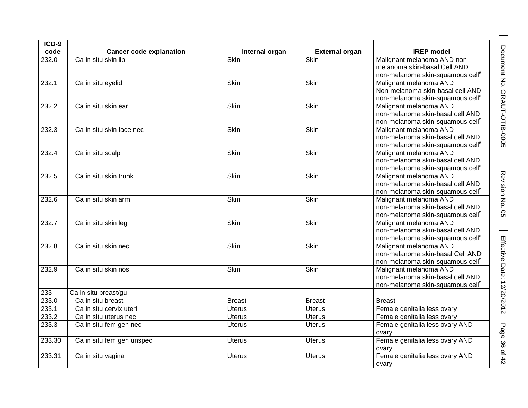| $ICD-9$ |                                                       |                               |                                      |                                                             |
|---------|-------------------------------------------------------|-------------------------------|--------------------------------------|-------------------------------------------------------------|
| code    | <b>Cancer code explanation</b><br>Ca in situ skin lip | Internal organ<br><b>Skin</b> | <b>External organ</b><br><b>Skin</b> | <b>IREP</b> model                                           |
| 232.0   |                                                       |                               |                                      | Malignant melanoma AND non-<br>melanoma skin-basal Cell AND |
|         |                                                       |                               |                                      | non-melanoma skin-squamous cell <sup>e</sup>                |
| 232.1   | Ca in situ eyelid                                     | <b>Skin</b>                   | <b>Skin</b>                          | Malignant melanoma AND                                      |
|         |                                                       |                               |                                      | Non-melanoma skin-basal cell AND                            |
|         |                                                       |                               |                                      | non-melanoma skin-squamous cell <sup>e</sup>                |
| 232.2   | Ca in situ skin ear                                   | Skin                          | Skin                                 | Malignant melanoma AND                                      |
|         |                                                       |                               |                                      | non-melanoma skin-basal cell AND                            |
|         |                                                       |                               |                                      | non-melanoma skin-squamous cell <sup>e</sup>                |
| 232.3   | Ca in situ skin face nec                              | <b>Skin</b>                   | <b>Skin</b>                          | Malignant melanoma AND                                      |
|         |                                                       |                               |                                      | non-melanoma skin-basal cell AND                            |
|         |                                                       |                               |                                      | non-melanoma skin-squamous cell <sup>e</sup>                |
| 232.4   | Ca in situ scalp                                      | <b>Skin</b>                   | <b>Skin</b>                          | Malignant melanoma AND                                      |
|         |                                                       |                               |                                      | non-melanoma skin-basal cell AND                            |
|         |                                                       |                               |                                      | non-melanoma skin-squamous cell <sup>e</sup>                |
| 232.5   | Ca in situ skin trunk                                 | Skin                          | Skin                                 | Malignant melanoma AND                                      |
|         |                                                       |                               |                                      | non-melanoma skin-basal cell AND                            |
|         |                                                       |                               |                                      | non-melanoma skin-squamous cell <sup>e</sup>                |
| 232.6   | Ca in situ skin arm                                   | Skin                          | <b>Skin</b>                          | Malignant melanoma AND                                      |
|         |                                                       |                               |                                      | non-melanoma skin-basal cell AND                            |
|         |                                                       |                               |                                      | non-melanoma skin-squamous cell <sup>e</sup>                |
| 232.7   | Ca in situ skin leg                                   | Skin                          | <b>Skin</b>                          | Malignant melanoma AND                                      |
|         |                                                       |                               |                                      | non-melanoma skin-basal cell AND                            |
|         |                                                       |                               |                                      | non-melanoma skin-squamous cell <sup>e</sup>                |
| 232.8   | Ca in situ skin nec                                   | Skin                          | <b>Skin</b>                          | Malignant melanoma AND                                      |
|         |                                                       |                               |                                      | non-melanoma skin-basal Cell AND                            |
|         |                                                       |                               |                                      | non-melanoma skin-squamous cell <sup>e</sup>                |
| 232.9   | Ca in situ skin nos                                   | Skin                          | <b>Skin</b>                          | Malignant melanoma AND                                      |
|         |                                                       |                               |                                      | non-melanoma skin-basal cell AND                            |
|         |                                                       |                               |                                      | non-melanoma skin-squamous cell <sup>e</sup>                |
| 233     | Ca in situ breast/gu                                  |                               |                                      |                                                             |
| 233.0   | Ca in situ breast                                     | <b>Breast</b>                 | <b>Breast</b>                        | <b>Breast</b>                                               |
| 233.1   | Ca in situ cervix uteri                               | <b>Uterus</b>                 | <b>Uterus</b>                        | Female genitalia less ovary                                 |
| 233.2   | Ca in situ uterus nec                                 | <b>Uterus</b>                 | <b>Uterus</b>                        | Female genitalia less ovary                                 |
| 233.3   | Ca in situ fem gen nec                                | <b>Uterus</b>                 | <b>Uterus</b>                        | Female genitalia less ovary AND                             |
|         |                                                       |                               |                                      | ovary                                                       |
| 233.30  | Ca in situ fem gen unspec                             | <b>Uterus</b>                 | <b>Uterus</b>                        | Female genitalia less ovary AND                             |
|         |                                                       |                               |                                      | ovary                                                       |
| 233.31  | Ca in situ vagina                                     | <b>Uterus</b>                 | <b>Uterus</b>                        | Female genitalia less ovary AND                             |
|         |                                                       |                               |                                      |                                                             |
|         |                                                       |                               |                                      | ovary                                                       |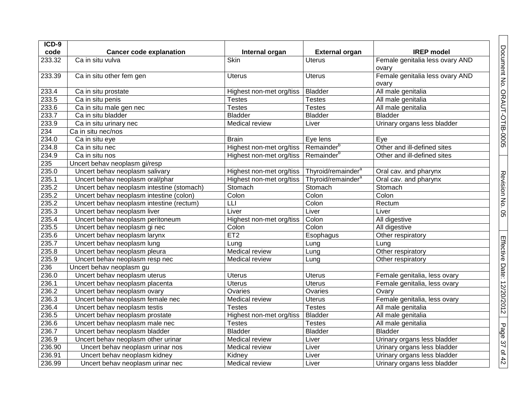| ICD-9  |                                           |                          |                                |                                 |
|--------|-------------------------------------------|--------------------------|--------------------------------|---------------------------------|
| code   | <b>Cancer code explanation</b>            | Internal organ           | <b>External organ</b>          | <b>IREP</b> model               |
| 233.32 | Ca in situ vulva                          | <b>Skin</b>              | <b>Uterus</b>                  | Female genitalia less ovary AND |
|        |                                           |                          |                                | ovary                           |
| 233.39 | Ca in situ other fem gen                  | <b>Uterus</b>            | <b>Uterus</b>                  | Female genitalia less ovary AND |
|        |                                           |                          |                                | ovary                           |
| 233.4  | Ca in situ prostate                       | Highest non-met org/tiss | <b>Bladder</b>                 | All male genitalia              |
| 233.5  | Ca in situ penis                          | <b>Testes</b>            | <b>Testes</b>                  | All male genitalia              |
| 233.6  | Ca in situ male gen nec                   | <b>Testes</b>            | <b>Testes</b>                  | All male genitalia              |
| 233.7  | Ca in situ bladder                        | <b>Bladder</b>           | <b>Bladder</b>                 | <b>Bladder</b>                  |
| 233.9  | Ca in situ urinary nec                    | Medical review           | Liver                          | Urinary organs less bladder     |
| 234    | Ca in situ nec/nos                        |                          |                                |                                 |
| 234.0  | Ca in situ eye                            | <b>Brain</b>             | Eye lens                       | Eye                             |
| 234.8  | Ca in situ nec                            | Highest non-met org/tiss | Remainder <sup>b</sup>         | Other and ill-defined sites     |
| 234.9  | Ca in situ nos                            | Highest non-met org/tiss | Remainder <sup>b</sup>         | Other and ill-defined sites     |
| 235    | Uncert behav neoplasm gi/resp             |                          |                                |                                 |
| 235.0  | Uncert behav neoplasm salivary            | Highest non-met org/tiss | Thyroid/remainder <sup>a</sup> | Oral cav. and pharynx           |
| 235.1  | Uncert behav neoplasm oral/phar           | Highest non-met org/tiss | Thyroid/remainder <sup>a</sup> | Oral cav. and pharynx           |
| 235.2  | Uncert behav neoplasm intestine (stomach) | Stomach                  | Stomach                        | Stomach                         |
| 235.2  | Uncert behav neoplasm intestine (colon)   | Colon                    | Colon                          | Colon                           |
| 235.2  | Uncert behav neoplasm intestine (rectum)  | $\overline{\mathsf{L}}$  | Colon                          | Rectum                          |
| 235.3  | Uncert behav neoplasm liver               | Liver                    | Liver                          | Liver                           |
| 235.4  | Uncert behav neoplasm peritoneum          | Highest non-met org/tiss | Colon                          | All digestive                   |
| 235.5  | Uncert behav neoplasm gi nec              | Colon                    | Colon                          | All digestive                   |
| 235.6  | Uncert behav neoplasm larynx              | ET2                      | Esophagus                      | Other respiratory               |
| 235.7  | Uncert behav neoplasm lung                | Lung                     | Lung                           | Lung                            |
| 235.8  | Uncert behav neoplasm pleura              | Medical review           | Lung                           | Other respiratory               |
| 235.9  | Uncert behav neoplasm resp nec            | Medical review           | Lung                           | Other respiratory               |
| 236    | Uncert behav neoplasm gu                  |                          |                                |                                 |
| 236.0  | Uncert behav neoplasm uterus              | <b>Uterus</b>            | <b>Uterus</b>                  | Female genitalia, less ovary    |
| 236.1  | Uncert behav neoplasm placenta            | <b>Uterus</b>            | <b>Uterus</b>                  | Female genitalia, less ovary    |
| 236.2  | Uncert behav neoplasm ovary               | Ovaries                  | Ovaries                        | Ovary                           |
| 236.3  | Uncert behav neoplasm female nec          | Medical review           | <b>Uterus</b>                  | Female genitalia, less ovary    |
| 236.4  | Uncert behav neoplasm testis              | <b>Testes</b>            | <b>Testes</b>                  | All male genitalia              |
| 236.5  | Uncert behav neoplasm prostate            | Highest non-met org/tiss | <b>Bladder</b>                 | All male genitalia              |
| 236.6  | Uncert behav neoplasm male nec            | <b>Testes</b>            | <b>Testes</b>                  | All male genitalia              |
| 236.7  | Uncert behav neoplasm bladder             | <b>Bladder</b>           | <b>Bladder</b>                 | <b>Bladder</b>                  |
| 236.9  | Uncert behav neoplasm other urinar        | Medical review           | Liver                          | Urinary organs less bladder     |
| 236.90 | Uncert behav neoplasm urinar nos          | Medical review           | Liver                          | Urinary organs less bladder     |
| 236.91 | Uncert behav neoplasm kidney              | Kidney                   | Liver                          | Urinary organs less bladder     |
| 236.99 | Uncert behav neoplasm urinar nec          | Medical review           | Liver                          | Urinary organs less bladder     |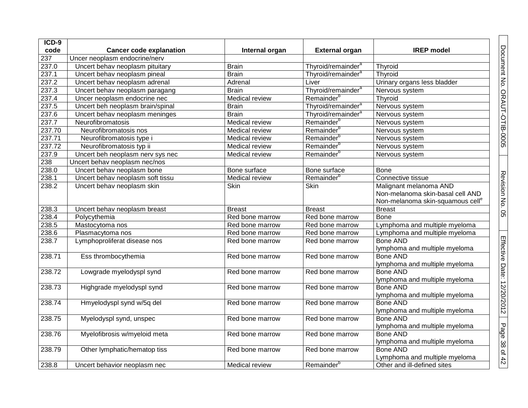| ICD-9  |                                  |                 |                                |                                              |
|--------|----------------------------------|-----------------|--------------------------------|----------------------------------------------|
| code   | <b>Cancer code explanation</b>   | Internal organ  | <b>External organ</b>          | <b>IREP</b> model                            |
| 237    | Uncer neoplasm endocrine/nerv    |                 |                                |                                              |
| 237.0  | Uncert behav neoplasm pituitary  | <b>Brain</b>    | Thyroid/remainder <sup>a</sup> | Thyroid                                      |
| 237.1  | Uncert behav neoplasm pineal     | <b>Brain</b>    | Thyroid/remainder <sup>a</sup> | Thyroid                                      |
| 237.2  | Uncert behav neoplasm adrenal    | Adrenal         | Liver                          | Urinary organs less bladder                  |
| 237.3  | Uncert behav neoplasm paragang   | <b>Brain</b>    | Thyroid/remainder <sup>a</sup> | Nervous system                               |
| 237.4  | Uncer neoplasm endocrine nec     | Medical review  | Remainder <sup>b</sup>         | Thyroid                                      |
| 237.5  | Uncert beh neoplasm brain/spinal | <b>Brain</b>    | Thyroid/remainder <sup>a</sup> | Nervous system                               |
| 237.6  | Uncert behav neoplasm meninges   | <b>Brain</b>    | Thyroid/remainder <sup>a</sup> | Nervous system                               |
| 237.7  | Neurofibromatosis                | Medical review  | Remainder <sup>b</sup>         | Nervous system                               |
| 237.70 | Neurofibromatosis nos            | Medical review  | Remainder <sup>b</sup>         | Nervous system                               |
| 237.71 | Neurofibromatosis type i         | Medical review  | Remainder                      | Nervous system                               |
| 237.72 | Neurofibromatosis typ ii         | Medical review  | Remainder                      | Nervous system                               |
| 237.9  | Uncert beh neoplasm nerv sys nec | Medical review  | Remainder <sup>b</sup>         | Nervous system                               |
| 238    | Uncert behav neoplasm nec/nos    |                 |                                |                                              |
| 238.0  | Uncert behav neoplasm bone       | Bone surface    | Bone surface                   | <b>Bone</b>                                  |
| 238.1  | Uncert behav neoplasm soft tissu | Medical review  | Remainder <sup>b</sup>         | Connective tissue                            |
| 238.2  | Uncert behav neoplasm skin       | Skin            | Skin                           | Malignant melanoma AND                       |
|        |                                  |                 |                                | Non-melanoma skin-basal cell AND             |
|        |                                  |                 |                                | Non-melanoma skin-squamous cell <sup>e</sup> |
| 238.3  | Uncert behav neoplasm breast     | <b>Breast</b>   | <b>Breast</b>                  | <b>Breast</b>                                |
| 238.4  | Polycythemia                     | Red bone marrow | Red bone marrow                | <b>Bone</b>                                  |
| 238.5  | Mastocytoma nos                  | Red bone marrow | Red bone marrow                | Lymphoma and multiple myeloma                |
| 238.6  | Plasmacytoma nos                 | Red bone marrow | Red bone marrow                | Lymphoma and multiple myeloma                |
| 238.7  | Lymphoproliferat disease nos     | Red bone marrow | Red bone marrow                | <b>Bone AND</b>                              |
|        |                                  |                 |                                | lymphoma and multiple myeloma                |
| 238.71 | Ess thrombocythemia              | Red bone marrow | Red bone marrow                | <b>Bone AND</b>                              |
|        |                                  |                 |                                | lymphoma and multiple myeloma                |
| 238.72 | Lowgrade myelodyspl synd         | Red bone marrow | Red bone marrow                | <b>Bone AND</b>                              |
|        |                                  |                 |                                | lymphoma and multiple myeloma                |
| 238.73 | Highgrade myelodyspl synd        | Red bone marrow | Red bone marrow                | <b>Bone AND</b>                              |
|        |                                  |                 |                                | lymphoma and multiple myeloma                |
| 238.74 | Hmyelodyspl synd w/5q del        | Red bone marrow | Red bone marrow                | <b>Bone AND</b>                              |
|        |                                  |                 |                                | lymphoma and multiple myeloma                |
| 238.75 | Myelodyspl synd, unspec          | Red bone marrow | Red bone marrow                | <b>Bone AND</b>                              |
|        |                                  |                 |                                | lymphoma and multiple myeloma                |
| 238.76 | Myelofibrosis w/myeloid meta     | Red bone marrow | Red bone marrow                | <b>Bone AND</b>                              |
|        |                                  |                 |                                | lymphoma and multiple myeloma                |
| 238.79 | Other lymphatic/hematop tiss     | Red bone marrow | Red bone marrow                | <b>Bone AND</b>                              |
|        |                                  |                 |                                | Lymphoma and multiple myeloma                |
| 238.8  | Uncert behavior neoplasm nec     | Medical review  | Remainder <sup>b</sup>         | Other and ill-defined sites                  |

Document No. ORAUT-OTIB-0005

Revision No. 05

Effective Date: 12/20/2012

Page 38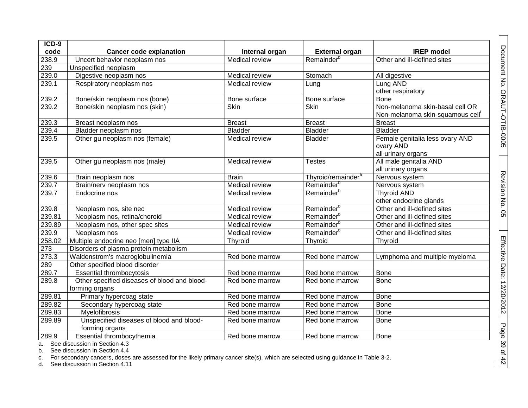| ICD-9  |                                              |                       |                                |                                 |
|--------|----------------------------------------------|-----------------------|--------------------------------|---------------------------------|
| code   | <b>Cancer code explanation</b>               | Internal organ        | <b>External organ</b>          | <b>IREP</b> model               |
| 238.9  | Uncert behavior neoplasm nos                 | Medical review        | Remainder <sup>b</sup>         | Other and ill-defined sites     |
| 239    | Unspecified neoplasm                         |                       |                                |                                 |
| 239.0  | Digestive neoplasm nos                       | Medical review        | Stomach                        | All digestive                   |
| 239.1  | Respiratory neoplasm nos                     | Medical review        | Lung                           | Lung AND                        |
|        |                                              |                       |                                | other respiratory               |
| 239.2  | Bone/skin neoplasm nos (bone)                | Bone surface          | Bone surface                   | Bone                            |
| 239.2  | Bone/skin neoplasm nos (skin)                | Skin                  | Skin                           | Non-melanoma skin-basal cell OR |
|        |                                              |                       |                                | Non-melanoma skin-squamous cell |
| 239.3  | Breast neoplasm nos                          | <b>Breast</b>         | <b>Breast</b>                  | <b>Breast</b>                   |
| 239.4  | Bladder neoplasm nos                         | <b>Bladder</b>        | <b>Bladder</b>                 | <b>Bladder</b>                  |
| 239.5  | Other gu neoplasm nos (female)               | Medical review        | <b>Bladder</b>                 | Female genitalia less ovary AND |
|        |                                              |                       |                                | ovary AND                       |
|        |                                              |                       |                                | all urinary organs              |
| 239.5  | Other gu neoplasm nos (male)                 | Medical review        | <b>Testes</b>                  | All male genitalia AND          |
|        |                                              |                       |                                | all urinary organs              |
| 239.6  | Brain neoplasm nos                           | <b>Brain</b>          | Thyroid/remainder <sup>a</sup> | Nervous system                  |
| 239.7  | Brain/nerv neoplasm nos                      | Medical review        | Remainder <sup>b</sup>         | Nervous system                  |
| 239.7  | Endocrine nos                                | <b>Medical review</b> | Remainder <sup>b</sup>         | <b>Thyroid AND</b>              |
|        |                                              |                       |                                | other endocrine glands          |
| 239.8  | Neoplasm nos, site nec                       | Medical review        | Remainder <sup>b</sup>         | Other and ill-defined sites     |
| 239.81 | Neoplasm nos, retina/choroid                 | Medical review        | Remainder <sup>b</sup>         | Other and ill-defined sites     |
| 239.89 | Neoplasm nos, other spec sites               | Medical review        | Remainder <sup>b</sup>         | Other and ill-defined sites     |
| 239.9  | Neoplasm nos                                 | <b>Medical review</b> | Remainder <sup>b</sup>         | Other and ill-defined sites     |
| 258.02 | Multiple endocrine neo [men] type IIA        | Thyroid               | Thyroid                        | Thyroid                         |
| 273    | Disorders of plasma protein metabolism       |                       |                                |                                 |
| 273.3  | Waldenstrom's macroglobulinemia              | Red bone marrow       | Red bone marrow                | Lymphoma and multiple myeloma   |
| 289    | Other specified blood disorder               |                       |                                |                                 |
| 289.7  | <b>Essential thrombocytosis</b>              | Red bone marrow       | Red bone marrow                | <b>Bone</b>                     |
| 289.8  | Other specified diseases of blood and blood- | Red bone marrow       | Red bone marrow                | <b>Bone</b>                     |
|        | forming organs                               |                       |                                |                                 |
| 289.81 | Primary hypercoag state                      | Red bone marrow       | Red bone marrow                | <b>Bone</b>                     |
| 289.82 | Secondary hypercoag state                    | Red bone marrow       | Red bone marrow                | <b>Bone</b>                     |
| 289.83 | <b>Myelofibrosis</b>                         | Red bone marrow       | Red bone marrow                | Bone                            |
| 289.89 | Unspecified diseases of blood and blood-     | Red bone marrow       | Red bone marrow                | <b>Bone</b>                     |
|        | forming organs                               |                       |                                |                                 |
| 289.9  | Essential thrombocythemia                    | Red bone marrow       | Red bone marrow                | Bone                            |
|        | a. See discussion in Section 4.3             |                       |                                |                                 |

b. See discussion in Section 4.4

c. For secondary cancers, doses are assessed for the likely primary cancer site(s), which are selected using guidance in Table 3-2.

d. See discussion in Section 4.11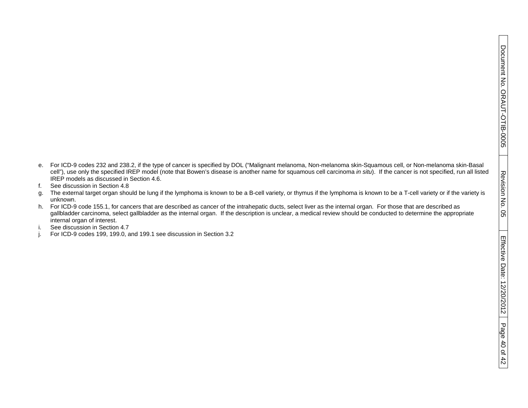- e. For ICD-9 codes 232 and 238.2, if the type of cancer is specified by DOL ("Malignant melanoma, Non-melanoma skin-Squamous cell, or Non-melanoma skin-Basal cell"), use only the specified IREP model (note that Bowen's disease is another name for squamous cell carcinoma *in situ*). If the cancer is not specified, run all listed IREP models as discussed in Section 4.6.
- f. See discussion in Section 4.8
- g. The external target organ should be lung if the lymphoma is known to be a B-cell variety, or thymus if the lymphoma is known to be a T-cell variety or if the variety is unknown.
- h. For ICD-9 code 155.1, for cancers that are described as cancer of the intrahepatic ducts, select liver as the internal organ. For those that are described as gallbladder carcinoma, select gallbladder as the internal organ. If the description is unclear, a medical review should be conducted to determine the appropriate internal organ of interest.
- i. See discussion in Section 4.7
- j. For ICD-9 codes 199, 199.0, and 199.1 see discussion in Section 3.2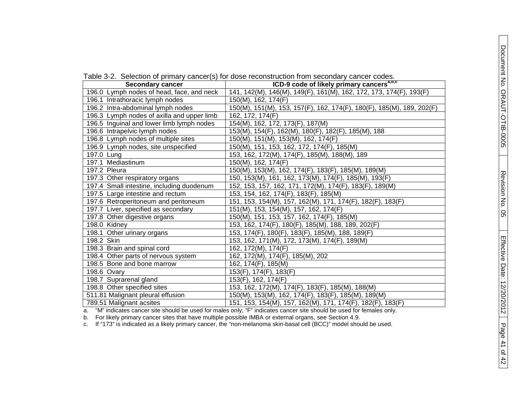|  |  |  |  |  |  | Table 3-2. Selection of primary cancer(s) for dose reconstruction from secondary cancer codes. |  |  |  |  |
|--|--|--|--|--|--|------------------------------------------------------------------------------------------------|--|--|--|--|
|--|--|--|--|--|--|------------------------------------------------------------------------------------------------|--|--|--|--|

| <b>Secondary cancer</b>                    | ICD-9 code of likely primary cancers <sup>a, D, c</sup>               |
|--------------------------------------------|-----------------------------------------------------------------------|
| 196.0 Lymph nodes of head, face, and neck  | 141, 142(M), 146(M), 149(F), 161(M), 162, 172, 173, 174(F), 193(F)    |
| 196.1 Intrathoracic lymph nodes            | 150(M), 162, 174(F)                                                   |
| 196.2 Intra-abdominal lymph nodes          | 150(M), 151(M), 153, 157(F), 162, 174(F), 180(F), 185(M), 189, 202(F) |
| 196.3 Lymph nodes of axilla and upper limb | 162, 172, 174(F)                                                      |
| 196.5 Inguinal and lower limb lymph nodes  | 154(M), 162, 172, 173(F), 187(M)                                      |
| 196.6 Intrapelvic lymph nodes              | 153(M), 154(F), 162(M), 180(F), 182(F), 185(M), 188                   |
| 196.8 Lymph nodes of multiple sites        | 150(M), 151(M), 153(M), 162, 174(F)                                   |
| 196.9 Lymph nodes, site unspecified        | 150(M), 151, 153, 162, 172, 174(F), 185(M)                            |
| 197.0 Lung                                 | 153, 162, 172(M), 174(F), 185(M), 188(M), 189                         |
| 197.1 Mediastinum                          | 150(M), 162, 174(F)                                                   |
| 197.2 Pleura                               | 150(M), 153(M), 162, 174(F), 183(F), 185(M), 189(M)                   |
| 197.3 Other respiratory organs             | 150, 153(M), 161, 162, 173(M), 174(F), 185(M), 193(F)                 |
| 197.4 Small intestine, including duodenum  | 152, 153, 157, 162, 171, 172(M), 174(F), 183(F), 189(M)               |
| 197.5 Large intestine and rectum           | 153, 154, 162, 174(F), 183(F), 185(M)                                 |
| 197.6 Retroperitoneum and peritoneum       | 151, 153, 154(M), 157, 162(M), 171, 174(F), 182(F), 183(F)            |
| 197.7 Liver, specified as secondary        | 151(M), 153, 154(M), 157, 162, 174(F)                                 |
| 197.8 Other digestive organs               | 150(M), 151, 153, 157, 162, 174(F), 185(M)                            |
| 198.0 Kidney                               | 153, 162, 174(F), 180(F), 185(M), 188, 189, 202(F)                    |
| 198.1 Other urinary organs                 | 153, 174(F), 180(F), 183(F), 185(M), 188, 189(F)                      |
| 198.2 Skin                                 | 153, 162, 171(M), 172, 173(M), 174(F), 189(M)                         |
| 198.3 Brain and spinal cord                | 162, 172(M), 174(F)                                                   |
| 198.4 Other parts of nervous system        | 162, 172(M), 174(F), 185(M), 202                                      |
| 198.5 Bone and bone marrow                 | 162, 174(F), 185(M)                                                   |
| 198.6 Ovary                                | 153(F), 174(F), 183(F)                                                |
| 198.7 Suprarenal gland                     | 153(F), 162, 174(F)                                                   |
| 198.8 Other specified sites                | 153, 162, 172(M), 174(F), 183(F), 185(M), 188(M)                      |
| 511.81 Malignant pleural effusion          | 150(M), 153(M), 162, 174(F), 183(F), 185(M), 189(M)                   |
| 789.51 Malignant acsites                   | 151, 153, 154(M), 157, 162(M), 171, 174(F), 182(F), 183(F)            |

a. "M" indicates cancer site should be used for males only; "F" indicates cancer site should be used for females only.

b. For likely primary cancer sites that have multiple possible IMBA or external organs, see Section 4.9.

c. If "173" is indicated as a likely primary cancer, the "non-melanoma skin-basal cell (BCC)" model should be used.